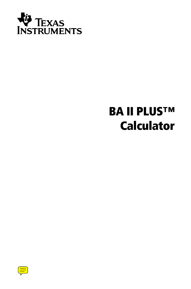

# **BA II PLUS™ Calculator**

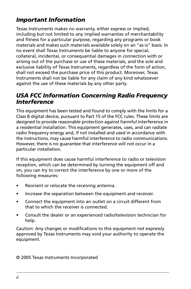# <span id="page-1-0"></span>*Important Information*

Texas Instruments makes no warranty, either express or implied, including but not limited to any implied warranties of merchantability and fitness for a particular purpose, regarding any programs or book materials and makes such materials available solely on an "as-is" basis. In no event shall Texas Instruments be liable to anyone for special, collateral, incidental, or consequential damages in connection with or arising out of the purchase or use of these materials, and the sole and exclusive liability of Texas Instruments, regardless of the form of action, shall not exceed the purchase price of this product. Moreover, Texas Instruments shall not be liable for any claim of any kind whatsoever against the use of these materials by any other party.

## <span id="page-1-1"></span>*USA FCC Information Concerning Radio Frequency Interference*

This equipment has been tested and found to comply with the limits for a Class B digital device, pursuant to Part 15 of the FCC rules. These limits are designed to provide reasonable protection against harmful interference in a residential installation. This equipment generates, uses, and can radiate radio frequency energy and, if not installed and used in accordance with the instructions, may cause harmful interference to radio communications. However, there is no guarantee that interference will not occur in a particular installation.

If this equipment does cause harmful interference to radio or television reception, which can be determined by turning the equipment off and on, you can try to correct the interference by one or more of the following measures:

- Reorient or relocate the receiving antenna.
- Increase the separation between the equipment and receiver.
- Connect the equipment into an outlet on a circuit different from that to which the receiver is connected.
- Consult the dealer or an experienced radio/television technician for help.

Caution: Any changes or modifications to this equipment not expressly approved by Texas Instruments may void your authority to operate the equipment.

© 2005 Texas Instruments Incorporated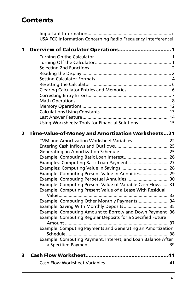# **Contents**

|   | USA FCC Information Concerning Radio Frequency Interferenceii                                                            |  |
|---|--------------------------------------------------------------------------------------------------------------------------|--|
| 1 |                                                                                                                          |  |
|   |                                                                                                                          |  |
|   |                                                                                                                          |  |
|   |                                                                                                                          |  |
|   |                                                                                                                          |  |
|   |                                                                                                                          |  |
|   |                                                                                                                          |  |
|   |                                                                                                                          |  |
|   |                                                                                                                          |  |
|   |                                                                                                                          |  |
|   |                                                                                                                          |  |
|   |                                                                                                                          |  |
|   | Using Worksheets: Tools for Financial Solutions  15                                                                      |  |
| 2 | Time-Value-of-Money and Amortization Worksheets21                                                                        |  |
|   | TVM and Amortization Worksheet Variables 22                                                                              |  |
|   |                                                                                                                          |  |
|   |                                                                                                                          |  |
|   |                                                                                                                          |  |
|   | Examples: Computing Basic Loan Payments  27                                                                              |  |
|   |                                                                                                                          |  |
|   | Example: Computing Present Value in Annuities 29                                                                         |  |
|   | Example: Computing Perpetual Annuities 30                                                                                |  |
|   | Example: Computing Present Value of Variable Cash Flows  31<br>Example: Computing Present Value of a Lease With Residual |  |
|   |                                                                                                                          |  |
|   | Example: Computing Other Monthly Payments 34                                                                             |  |
|   |                                                                                                                          |  |
|   | Example: Computing Amount to Borrow and Down Payment. 36                                                                 |  |
|   | Example: Computing Regular Deposits for a Specified Future                                                               |  |
|   |                                                                                                                          |  |
|   | Example: Computing Payments and Generating an Amortization                                                               |  |
|   |                                                                                                                          |  |
|   | Example: Computing Payment, Interest, and Loan Balance After                                                             |  |
|   |                                                                                                                          |  |
| 3 |                                                                                                                          |  |
|   |                                                                                                                          |  |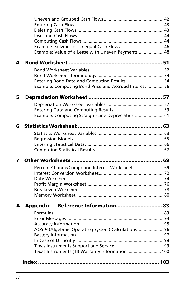|   | Example: Solving for Unequal Cash Flows  46           |  |
|---|-------------------------------------------------------|--|
|   | Example: Value of a Lease with Uneven Payments  48    |  |
| 4 |                                                       |  |
|   |                                                       |  |
|   |                                                       |  |
|   | Entering Bond Data and Computing Results  54          |  |
|   | Example: Computing Bond Price and Accrued Interest 56 |  |
| 5 |                                                       |  |
|   |                                                       |  |
|   |                                                       |  |
|   | Example: Computing Straight-Line Depreciation 61      |  |
| 6 |                                                       |  |
|   |                                                       |  |
|   |                                                       |  |
|   |                                                       |  |
|   |                                                       |  |
| 7 |                                                       |  |
|   | Percent Change/Compound Interest Worksheet  69        |  |
|   |                                                       |  |
|   |                                                       |  |
|   |                                                       |  |
|   |                                                       |  |
|   |                                                       |  |
| A | Appendix - Reference Information 83                   |  |
|   |                                                       |  |
|   |                                                       |  |
|   |                                                       |  |
|   | AOS™ (Algebraic Operating System) Calculations  96    |  |
|   |                                                       |  |
|   |                                                       |  |
|   |                                                       |  |
|   | Texas Instruments (TI) Warranty Information  100      |  |
|   | <u>Index ……………………………………………………………………… 103</u>          |  |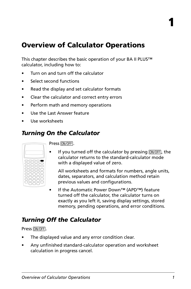# <span id="page-4-0"></span>**Overview of Calculator Operations**

This chapter describes the basic operation of your BA II PLUS™ calculator, including how to:

- Turn on and turn off the calculator
- Select second functions
- Read the display and set calculator formats
- Clear the calculator and correct entry errors
- Perform math and memory operations
- Use the Last Answer feature
- Use worksheets

## <span id="page-4-1"></span>*Turning On the Calculator*



Press  $\overline{ON/OFF}$ .

If you turned off the calculator by pressing  $[ON/OFF]$ , the calculator returns to the standard-calculator mode with a displayed value of zero.

All worksheets and formats for numbers, angle units, dates, separators, and calculation method retain previous values and configurations.

If the Automatic Power Down<sup>™</sup> (APD™) feature turned off the calculator, the calculator turns on exactly as you left it, saving display settings, stored memory, pending operations, and error conditions.

# <span id="page-4-2"></span>*Turning Off the Calculator*

Press  $\overline{ON/OFF}$ .

- The displayed value and any error condition clear.
- Any unfinished standard-calculator operation and worksheet calculation in progress cancel.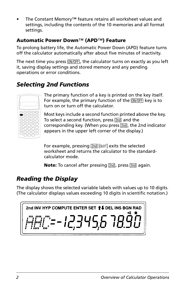• The Constant Memory™ feature retains all worksheet values and settings, including the contents of the 10 memories and all format settings.

#### **Automatic Power Down**™ **(APD**™**) Feature**

To prolong battery life, the Automatic Power Down (APD) feature turns off the calculator automatically after about five minutes of inactivity.

The next time you press  $[ON/OFF]$ , the calculator turns on exactly as you left it, saving display settings and stored memory and any pending operations or error conditions.

# <span id="page-5-0"></span>*Selecting 2nd Functions*

| c |  |
|---|--|

The primary function of a key is printed on the key itself. For example, the primary function of the  $\overline{ON/OFF}$  key is to turn on or turn off the calculator.

Most keys include a second function printed above the key. To select a second function, press [2nd] and the corresponding key. (When you press 2nd), the 2nd indicator appears in the upper left corner of the display.)

For example, pressing  $[2nd]$   $[QU]$  exits the selected worksheet and returns the calculator to the standardcalculator mode.

**Note:** To cancel after pressing [2nd], press [2nd] again.

# <span id="page-5-1"></span>*Reading the Display*

The display shows the selected variable labels with values up to 10 digits. (The calculator displays values exceeding 10 digits in scientific notation.)

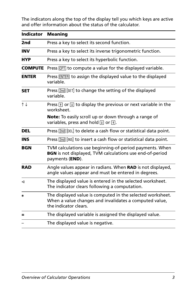The indicators along the top of the display tell you which keys are active and offer information about the status of the calculator.

| <b>Indicator</b>      | <b>Meaning</b>                                                                                                                                |  |  |
|-----------------------|-----------------------------------------------------------------------------------------------------------------------------------------------|--|--|
| 2nd                   | Press a key to select its second function.                                                                                                    |  |  |
| <b>INV</b>            | Press a key to select its inverse trigonometric function.                                                                                     |  |  |
| <b>HYP</b>            | Press a key to select its hyperbolic function.                                                                                                |  |  |
| <b>COMPUTE</b>        | Press CPT to compute a value for the displayed variable.                                                                                      |  |  |
| <b>ENTER</b>          | Press <b>ENTER</b> to assign the displayed value to the displayed<br>variable.                                                                |  |  |
| <b>SET</b>            | Press 2nd [SET] to change the setting of the displayed<br>variable.                                                                           |  |  |
| $\uparrow \downarrow$ | Press $\lceil \cdot \rceil$ or $\lceil \cdot \rceil$ to display the previous or next variable in the<br>worksheet.                            |  |  |
|                       | <b>Note:</b> To easily scroll up or down through a range of<br>variables, press and hold $\Box$ or $\Box$ .                                   |  |  |
| <b>DEL</b>            | Press [2nd] [DEL] to delete a cash flow or statistical data point.                                                                            |  |  |
| <b>INS</b>            | Press [2nd] [INS] to insert a cash flow or statistical data point.                                                                            |  |  |
| <b>BGN</b>            | TVM calculations use beginning-of-period payments. When<br>BGN is not displayed, TVM calculations use end-of-period<br>payments (END).        |  |  |
| <b>RAD</b>            | Angle values appear in radians. When RAD is not displayed,<br>angle values appear and must be entered in degrees.                             |  |  |
| ◁                     | The displayed value is entered in the selected worksheet.<br>The indicator clears following a computation.                                    |  |  |
| $\ast$                | The displayed value is computed in the selected worksheet.<br>When a value changes and invalidates a computed value,<br>the indicator clears. |  |  |
| Ξ                     | The displayed variable is assigned the displayed value.                                                                                       |  |  |
|                       | The displayed value is negative.                                                                                                              |  |  |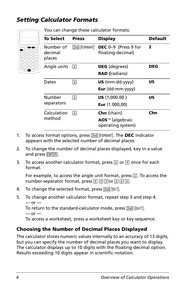# <span id="page-7-0"></span>*Setting Calculator Formats*



You can change these calculator formats:

| To Select                      | <b>Press</b>   | <b>Display</b>                                                         | <b>Default</b> |
|--------------------------------|----------------|------------------------------------------------------------------------|----------------|
| Number of<br>decimal<br>places | [2nd] [FORMAT] | DEC 0-9 (Press 9 for<br>floating-decimal)                              | $\overline{2}$ |
| Angle units                    | $  \cdot  $    | <b>DEG</b> (degrees)<br><b>RAD</b> (radians)                           | DEG            |
| Dates                          | $ \ddagger $   | $US$ (mm-dd-yyyy)<br><b>Eur</b> (dd-mm- $\gamma y y y$ )               | บร             |
| Number<br>separators           | 1              | US(1,000.00)<br>Eur $(1.000,00)$                                       | บร             |
| Calculation<br>method          | 1              | <b>Chn</b> (chain)<br>AOS <sup>™</sup> (algebraic<br>operating system) | Chn            |

- 1. To access format options, press [2nd] [FORMAT]. The **DEC** indicator appears with the selected number of decimal places.
- 2. To change the number of decimal places displayed, key in a value and press **ENTER**.
- 3. To access another calculator format, press  $\lceil \cdot \rceil$  once for each format.

For example, to access the angle unit format, press  $\mathbf{F}$ . To access the number-separator format, press  $\left[\begin{array}{cc} \uparrow \end{array} \right] \left[\begin{array}{cc} \uparrow \end{array} \right] \left[\begin{array}{cc} \uparrow \end{array} \right] \left[\begin{array}{cc} \uparrow \end{array} \right] \left[\begin{array}{cc} \uparrow \end{array} \right]$ 

- 4. To change the selected format, press [2nd] [SET].
- 5. To change another calculator format, repeat step 3 and step 4.  $-$  or  $-$

To return to the standard-calculator mode, press  $[2nd]$   $[QUIT]$ .

 $-$  or  $-$ 

To access a worksheet, press a worksheet key or key sequence.

## <span id="page-7-1"></span>**Choosing the Number of Decimal Places Displayed**

The calculator stores numeric values internally to an accuracy of 13 digits, but you can specify the number of decimal places you want to display. The calculator displays up to 10 digits with the floating-decimal option. Results exceeding 10 digits appear in scientific notation.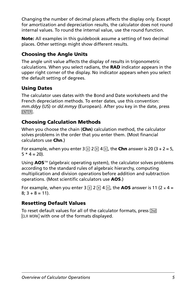Changing the number of decimal places affects the display only. Except for amortization and depreciation results, the calculator does not round internal values. To round the internal value, use the round function.

**Note:** All examples in this guidebook assume a setting of two decimal places. Other settings might show different results.

## <span id="page-8-0"></span>**Choosing the Angle Units**

The angle unit value affects the display of results in trigonometric calculations. When you select radians, the **RAD** indicator appears in the upper right corner of the display. No indicator appears when you select the default setting of degrees.

## **Using Dates**

The calculator uses dates with the Bond and Date worksheets and the French depreciation methods. To enter dates, use this convention: ENTER). *mm.ddyy* (US) or *dd.mmyy* (European). After you key in the date, press

## <span id="page-8-1"></span>**Choosing Calculation Methods**

When you choose the chain (**Chn**) calculation method, the calculator solves problems in the order that you enter them. (Most financial calculators use **Chn**.)

For example, when you enter  $3 \nvert 7 \nvert 2 \nvert \nvert 4 \nvert \nvert 7$ , the **Chn** answer is 20 (3 + 2 = 5,  $5 * 4 = 20$ .

Using **AOS**<sup>™</sup> (algebraic operating system), the calculator solves problems according to the standard rules of algebraic hierarchy, computing multiplication and division operations before addition and subtraction operations. (Most scientific calculators use **AOS**.)

For example, when you enter  $3 \div 2 \times 4 = 1$ , the **AOS** answer is 11 (2 x 4 =  $8: 3 + 8 = 11$ .

## **Resetting Default Values**

To reset default values for all of the calculator formats, press [2nd] [CLR W0RK] with one of the formats displayed.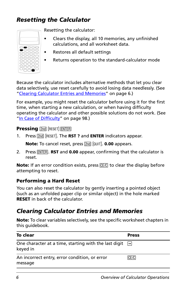# <span id="page-9-0"></span>*Resetting the Calculator*



Resetting the calculator:

- Clears the display, all 10 memories, any unfinished calculations, and all worksheet data.
- Restores all default settings
- Returns operation to the standard-calculator mode

Because the calculator includes alternative methods that let you clear data selectively, use reset carefully to avoid losing data needlessly. [\(See](#page-9-1)  ["Clearing Calculator Entries and Memories" on page 6.\)](#page-9-1)

For example, you might reset the calculator before using it for the first time, when starting a new calculation, or when having difficulty operating the calculator and other possible solutions do not work. [\(See](#page-101-1)  ["In Case of Difficulty" on page 98.\)](#page-101-1)

#### **Pressing [2nd] [RESET] [ENTER]**

1. Press **[2nd]** [RESET]. The **RST ?** and **ENTER** indicators appear.

**Note:** To cancel reset, press [2nd] [QUIT]. **0.00** appears.

2. Press **ENTER**. RST and 0.00 appear, confirming that the calculator is reset.

**Note:** If an error condition exists, press  $CE/C$  to clear the display before attempting to reset.

#### **Performing a Hard Reset**

You can also reset the calculator by gently inserting a pointed object (such as an unfolded paper clip or similar object) in the hole marked **RESET** in back of the calculator.

# <span id="page-9-1"></span>*Clearing Calculator Entries and Memories*

**Note:** To clear variables selectively, see the specific worksheet chapters in this guidebook.

| To clear                                                                 | <b>Press</b> |
|--------------------------------------------------------------------------|--------------|
| One character at a time, starting with the last digit $\Box$<br>keved in |              |
| An incorrect entry, error condition, or error<br>message                 | [CE/C]       |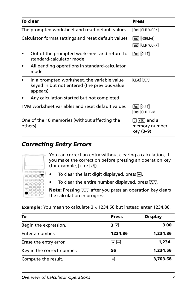| To clear                                                                                                | <b>Press</b>                                |  |
|---------------------------------------------------------------------------------------------------------|---------------------------------------------|--|
| The prompted worksheet and reset default values                                                         | <b>2nd CLR WORK</b>                         |  |
| Calculator format settings and reset default values                                                     | [2nd] [FORMAT]<br>[2nd] [CLR WORK]          |  |
| Out of the prompted worksheet and return to<br>standard-calculator mode                                 | $[2nd]$ $[QUIT]$                            |  |
| All pending operations in standard-calculator<br>mode                                                   |                                             |  |
| In a prompted worksheet, the variable value<br>keyed in but not entered (the previous value<br>appears) | $CE/C$ $CE/C$                               |  |
| Any calculation started but not completed                                                               |                                             |  |
| TVM worksheet variables and reset default values                                                        | $[2nd]$ $[QUIT]$<br>$[2nd]$ $[CLR$ TVM $]$  |  |
| One of the 10 memories (without affecting the<br>others)                                                | 间 lstol and a<br>memory number<br>key (0–9) |  |

# <span id="page-10-0"></span>*Correcting Entry Errors*



You can correct an entry without clearing a calculation, if you make the correction before pressing an operation key (for example,  $\pm$  or  $\sqrt{x^2}$ ).

- To clear the last digit displayed, press  $\Box$ .
- To clear the entire number displayed, press  $CE/C$ .

**Note:** Pressing CE/C after you press an operation key clears the calculation in progress.

**Example:** You mean to calculate 3 x 1234.56 but instead enter 1234.86.

| To                         | <b>Press</b> | <b>Display</b> |
|----------------------------|--------------|----------------|
| Begin the expression.      | $3 \times$   | 3.00           |
| Enter a number.            | 1234.86      | 1,234.86       |
| Erase the entry error.     | →∐→l         | 1,234.         |
| Key in the correct number. | 56           | 1,234.56       |
| Compute the result.        | $\equiv$     | 3,703.68       |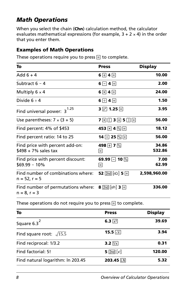# <span id="page-11-0"></span>*Math Operations*

When you select the chain (**Chn**) calculation method, the calculator evaluates mathematical expressions (for example,  $3 + 2 \times 4$ ) in the order that you enter them.

#### **Examples of Math Operations**

These operations require you to press  $\equiv$  to complete.

| To                                                        | <b>Press</b>                                       | <b>Display</b>  |
|-----------------------------------------------------------|----------------------------------------------------|-----------------|
| Add $6+4$                                                 | $6 + 4 =$                                          | 10.00           |
| Subtract $6 - 4$                                          | $6\Box 4\Box$                                      | 2.00            |
| Multiply $6 \times 4$                                     | $6 \triangleright 4 \triangleright$                | 24.00           |
| Divide $6 \div 4$                                         | $6 \rightarrow 4 \rightarrow$                      | 1.50            |
| 1.25<br>Find universal power: 3                           | $3 \triangledown$ 1.25 $\Box$                      | 3.95            |
| Use parentheses: $7 \times (3 + 5)$                       | $7 \times  ($ 3 + 5 $ $                            | 56.00           |
| Find percent: $4\%$ of \$453                              | $453 \boxtimes 4 \boxtimes \boxdot$                | 18.12           |
| Find percent ratio: 14 to 25                              | 14 $\left  \cdot \right $ 25 $\left  \% \right  =$ | 56.00           |
| Find price with percent add-on:<br>$$498 + 7\%$ sales tax | 498日78<br>$\mathsf{E}$                             | 34.86<br>532.86 |
| Find price with percent discount:<br>\$69.99 - 10%        | 69.99 $\Box$ 10 $\%$<br>l=l                        | 7.00<br>62.99   |
| Find number of combinations where:<br>$n = 52, r = 5$     | 52 $[2nd]$ [nCr] 5 $\Box$                          | 2,598,960.00    |
| Find number of permutations where:<br>$n = 8, r = 3$      | <b>8</b> $[2nd]$ [nPr] <b>3</b> $[=]$              | 336.00          |

These operations do not require you to press  $\equiv$  to complete.

| To                                | <b>Press</b>                    | <b>Display</b> |
|-----------------------------------|---------------------------------|----------------|
| Square 6.3 <sup>2</sup>           | 6.3 $x^2$                       | 39.69          |
| Find square root: $\sqrt{15.5}$   | 15.5 $\sqrt{x}$                 | 3.94           |
| Find reciprocal: 1/3.2            | 3.2 $\sqrt{1/x}$                | 0.31           |
| Find factorial: 5!                | $5$ $[2nd]$ $[x!]$              | 120.00         |
| Find natural logarithm: In 203.45 | $203.45$ $\overline{\text{LN}}$ | 5.32           |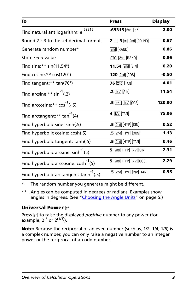| To                                         | <b>Press</b>                                                                             | <b>Display</b> |
|--------------------------------------------|------------------------------------------------------------------------------------------|----------------|
| .69315<br>Find natural antilogarithm: e    | <b>.69315</b> [2nd] $[e^x]$                                                              | 2.00           |
| Round $2 \div 3$ to the set decimal format | $2 \ominus 3 \ominus 2$ nd [ROUND]                                                       | 0.67           |
| Generate random number*                    | $[2nd]$ $[RAND]$                                                                         | 0.86           |
| Store seed value                           | $[STO]$ $[2nd]$ $[RAND]$                                                                 | 0.86           |
| Find sine: $**$ sin(11.54 $^{\circ}$ )     | 11.54 $[2nd]$ $[SN]$                                                                     | 0.20           |
| Find cosine:** cos(120°)                   | <b>120 <math>\boxed{2nd}</math> <math>\boxed{COS}</math></b>                             | $-0.50$        |
| Find tangent:** tan(76°)                   | $76$ $[2nd]$ $[TAN]$                                                                     | 4.01           |
| Find arcsine: ** $\sin^{-1}(.2)$           | $.2$ $\overline{INV}$ $\overline{SIN}$                                                   | 11.54          |
| Find arccosine: ** $cos^{-1}(-.5)$         | $.5 \rightarrow \rightarrow \rightarrow \rightarrow \rightarrow \rightarrow \rightarrow$ | 120.00         |
| Find arctangent: ** $tan^{-1}(4)$          | 4 <b>INV</b> [TAN]                                                                       | 75.96          |
| Find hyperbolic sine: sinh(.5)             | $.5$ $[2nd]$ $[HYP]$ $[SN]$                                                              | 0.52           |
| Find hyperbolic cosine: cosh(.5)           | $.5$ $2nd$ [HYP] $[cos]$                                                                 | 1.13           |
| Find hyperbolic tangent: tanh(.5)          | $.5$ $\sqrt{2nd}$ $[HYP]$ $[TAN]$                                                        | 0.46           |
| Find hyperbolic arcsine: sinh (5)          | 5 2nd [HYP] [NV] [SIN]                                                                   | 2.31           |
| Find hyperbolic arccosine: $\cosh^{-1}(5)$ | 5 2nd [HYP] [NV] [COS]                                                                   | 2.29           |
| Find hyperbolic arctangent: tanh (.5)      | <b>.5</b> 2nd [HYP] [NV] [TAN]                                                           | 0.55           |

\* The random number you generate might be different.

\*\* Angles can be computed in degrees or radians. Examples show angles in degrees. [\(See "Choosing the Angle Units" on page 5.\)](#page-8-0)

## **Universal Power**  $\overline{y^x}$

Press  $\boxed{y^x}$  to raise the displayed *positive* number to any power (for example,  $2^{-5}$  or  $2^{(1/3)}$ ).

**Note:** Because the reciprocal of an even number (such as, 1/2, 1/4, 1/6) is a complex number, you can only raise a negative number to an integer power or the reciprocal of an odd number.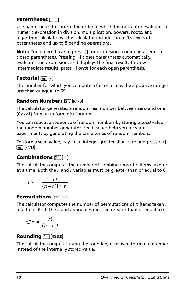## **Parentheses**  $\Pi$

Use parentheses to control the order in which the calculator evaluates a numeric expression in division, multiplication, powers, roots, and logarithm calculations. The calculator includes up to 15 levels of parentheses and up to 8 pending operations.

**Note:** You do not have to press  $\Box$  for expressions ending in a series of closed parentheses. Pressing  $\equiv$  closes parentheses automatically, evaluates the expression, and displays the final result. To view intermediate results, press  $\Box$  once for each open parenthesis.

#### **Factorial** [2nd] [x!]

The number for which you compute a factorial must be a positive integer less than or equal to 69.

#### **Random Numbers [2nd] [RAND]**

The calculator generates a random real number between zero and one (0<x<1) from a uniform distribution.

You can repeat a sequence of random numbers by storing a *seed* value in the random number generator. Seed values help you recreate experiments by generating the same series of random numbers.

To store a seed value, key in an integer greater than zero and press  $\boxed{ST0}$ [2nd] [RAND].

## **Combinations [2nd]** [nCr]

The calculator computes the number of combinations of *n* items taken *r* at a time. Both the *n* and *r* variables must be greater than or equal to 0.

$$
nCr = \frac{n!}{(n-r)! \times r!}
$$

#### **Permutations [2nd]** [nPr]

The calculator computes the number of permutations of *n* items taken *r* at a time. Both the *n* and *r* variables must be greater than or equal to 0.

$$
nPr = \frac{n!}{(n-r)!}
$$

#### **Rounding [2nd] [ROUND]**

The calculator computes using the rounded, displayed form of a number instead of the internally stored value.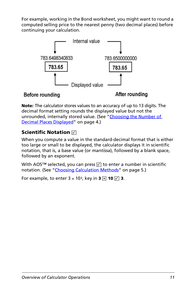For example, working in the Bond worksheet, you might want to round a computed selling price to the nearest penny (two decimal places) before continuing your calculation.



## Before rounding

After rounding

**Note:** The calculator stores values to an accuracy of up to 13 digits. The decimal format setting rounds the displayed value but not the unrounded, internally stored value. [\(See "Choosing the Number of](#page-7-1)  [Decimal Places Displayed" on page 4.\)](#page-7-1)

## **Scientific Notation**  $\boxed{y^x}$

When you compute a value in the standard-decimal format that is either too large or small to be displayed, the calculator displays it in scientific notation, that is, a base value (or *mantissa*), followed by a blank space, followed by an exponent.

With AOS<sup>™</sup> selected, you can press  $\sqrt{y}$  to enter a number in scientific notation. [\(See "Choosing Calculation Methods" on page 5.\)](#page-8-1)

For example, to enter  $3 \times 10^3$ , key in **3**  $\boxed{\times}$  **10**  $\boxed{y^x}$  **3**.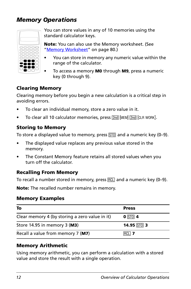# <span id="page-15-0"></span>*Memory Operations*



You can store values in any of 10 memories using the standard calculator keys.

**Note:** You can also use the Memory worksheet. [\(See](#page-83-1)  ["Memory Worksheet" on page 80.\)](#page-83-1)

- You can store in memory any numeric value within the range of the calculator.
	- To access a memory **M0** through **M9**, press a numeric key (0 through 9).

#### **Clearing Memory**

Clearing memory before you begin a new calculation is a critical step in avoiding errors.

- To clear an individual memory, store a zero value in it.
- To clear all 10 calculator memories, press [2nd] [MEM] [2nd] [CLR WORK].

#### **Storing to Memory**

To store a displayed value to memory, press  $\overline{ST0}$  and a numeric key (0–9).

- The displayed value replaces any previous value stored in the memory.
- The Constant Memory feature retains all stored values when you turn off the calculator.

#### **Recalling From Memory**

To recall a number stored in memory, press RCL and a numeric key (0-9).

**Note:** The recalled number remains in memory.

#### **Memory Examples**

| To                                             | <b>Press</b>  |
|------------------------------------------------|---------------|
| Clear memory 4 (by storing a zero value in it) | $0$ STO 4     |
| Store 14.95 in memory $3$ (M3)                 | $14.95$ STO 3 |
| Recall a value from memory 7 (M7)              | $ RCL $ 7     |

## **Memory Arithmetic**

Using memory arithmetic, you can perform a calculation with a stored value and store the result with a single operation.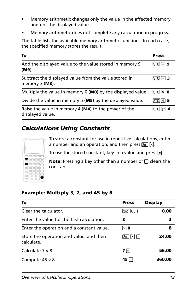- Memory arithmetic changes only the value in the affected memory and not the displayed value.
- Memory arithmetic does not complete any calculation in progress.

The table lists the available memory arithmetic functions. In each case, the specified memory stores the result.

| To                                                                        | <b>Press</b>                           |
|---------------------------------------------------------------------------|----------------------------------------|
| Add the displayed value to the value stored in memory 9<br>(M9).          | ISTOI [+] <b>9</b>                     |
| Subtract the displayed value from the value stored in<br>memory $3$ (M3). | ISTOI I-I <b>3</b>                     |
| Multiply the value in memory 0 (MO) by the displayed value.               | $ ST0 $ $\triangleright$ 0             |
| Divide the value in memory 5 (M5) by the displayed value.                 | $\boxed{\text{STol}}$ $\boxed{\div}$ 5 |
| Raise the value in memory 4 (M4) to the power of the<br>displayed value.  | $ STO $ $\sqrt{Y}$ 4                   |

# <span id="page-16-0"></span>*Calculations Using Constants*



To store a constant for use in repetitive calculations, enter a number and an operation, and then press  $[2nd]$  [K].

To use the stored constant, key in a value and press  $\equiv$ .

**Note:** Pressing a key other than a number or  $\equiv$  clears the constant.

#### **Example: Multiply 3, 7, and 45 by 8**

| To                                                    | <b>Press</b>            | <b>Display</b> |
|-------------------------------------------------------|-------------------------|----------------|
| Clear the calculator.                                 | $[2nd]$ $[QUIT]$        | 0.00           |
| Enter the value for the first calculation.            | 3                       | 3              |
| Enter the operation and a constant value.             | l×l 8                   | 8              |
| Store the operation and value, and then<br>calculate. | $[2nd] [K] \sqsubseteq$ | 24.00          |
| Calculate $7 \times 8$ .                              | $7 =$                   | 56.00          |
| Compute $45 \times 8$ .                               | 45 F                    | 360.00         |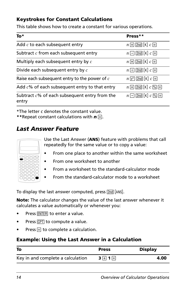#### **Keystrokes for Constant Calculations**

This table shows how to create a constant for various operations.

| To*                                                       | Press**                                       |
|-----------------------------------------------------------|-----------------------------------------------|
| Add $c$ to each subsequent entry                          | $n \boxplus 2$ nd $[K]$ $c \boxminus$         |
| Subtract c from each subsequent entry                     | $n \square$ 2nd [K] $c \square$               |
| Multiply each subsequent entry by $c$                     | $n \times 2$ nd $[K]$ $c \equiv$              |
| Divide each subsequent entry by $c$                       | $n \in \mathbb{Z}$ 2nd $[K]$ $c \in$          |
| Raise each subsequent entry to the power of $c$           | $n \times$ 2nd [K] $c \equiv$                 |
| Add $c$ % of each subsequent entry to that entry          | $n \boxplus 2$ nd [K] $c \boxtimes \boxminus$ |
| Subtract $c$ % of each subsequent entry from the<br>entry | $n \Box$ 2nd [K] $c \boxtimes \Box$           |

\*The letter *c* denotes the constant value.

**\*\***Repeat constant calculations with  $n \in \mathbb{R}$ .

# <span id="page-17-0"></span>*Last Answer Feature*



Use the Last Answer (**ANS**) feature with problems that call repeatedly for the same value or to copy a value:

- From one place to another within the same worksheet
- From one worksheet to another
- From a worksheet to the standard-calculator mode
	- From the standard-calculator mode to a worksheet

To display the last answer computed, press [2nd] [ANS].

**Note:** The calculator changes the value of the last answer whenever it calculates a value automatically or whenever you:

- Press **ENTER** to enter a value.
- Press CPT to compute a value.
- Press  $\equiv$  to complete a calculation.

## **Example: Using the Last Answer in a Calculation**

| To                                | <b>Press</b>            | <b>Display</b> |
|-----------------------------------|-------------------------|----------------|
| Key in and complete a calculation | $3 \text{F} 1 \text{F}$ | 4.00           |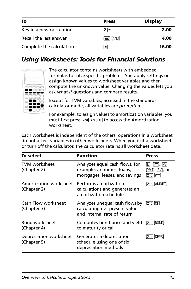| To                       | <b>Press</b>    | <b>Display</b> |
|--------------------------|-----------------|----------------|
| Key in a new calculation | $2[y^x]$        | 2.00           |
| Recall the last answer   | $[2nd]$ $[ANS]$ | 4.00           |
| Complete the calculation | $=$             | 16.00          |

## <span id="page-18-0"></span>*Using Worksheets: Tools for Financial Solutions*



The calculator contains worksheets with embedded formulas to solve specific problems. You apply settings or assign known values to worksheet variables and then compute the unknown value. Changing the values lets you ask *what if* questions and compare results.

Except for TVM variables, accessed in the standardcalculator mode, all variables are *prompted*.

For example, to assign values to amortization variables, you must first press  $\boxed{2nd}$   $\boxed{AMORT}$  to access the Amortization worksheet.

Each worksheet is independent of the others: operations in a worksheet do not affect variables in other worksheets. When you exit a worksheet or turn off the calculator, the calculator retains all worksheet data.

| To select                             | <b>Function</b>                                                                                | <b>Press</b>                                                         |
|---------------------------------------|------------------------------------------------------------------------------------------------|----------------------------------------------------------------------|
| TVM worksheet<br>(Chapter 2)          | Analyzes equal cash flows, for<br>example, annuities, loans,<br>mortgages, leases, and savings | $\boxdot$ , $\boxdot$ y), pv),<br> PMT ,  FV , or<br>$[2nd]$ $[P/Y]$ |
| Amortization worksheet<br>(Chapter 2) | Performs amortization<br>calculations and generates an<br>amortization schedule                | [2nd] [AMORT]                                                        |
| Cash Flow worksheet<br>(Chapter 3)    | Analyzes unequal cash flows by<br>calculating net present value<br>and internal rate of return | $[2nd]$ $[CF]$                                                       |
| <b>Bond worksheet</b><br>(Chapter 4)  | Computes bond price and yield<br>to maturity or call                                           | $[2nd]$ $[BOND]$                                                     |
| Depreciation worksheet<br>(Chapter 5) | Generates a depreciation<br>schedule using one of six<br>depreciation methods                  | [2nd] [DEPR]                                                         |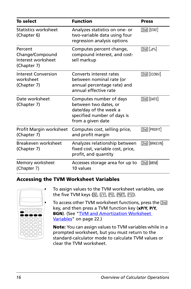| To select                                                       | <b>Function</b>                                                                                                                | <b>Press</b>      |
|-----------------------------------------------------------------|--------------------------------------------------------------------------------------------------------------------------------|-------------------|
| Statistics worksheet<br>(Chapter 6)                             | Analyzes statistics on one- or<br>two-variable data using four<br>regression analysis options                                  | $[2nd]$ [STAT]    |
| Percent<br>Change/Compound<br>Interest worksheet<br>(Chapter 7) | Computes percent change,<br>compound interest, and cost-<br>sell markup                                                        | $2nd$ $[4%]$      |
| <b>Interest Conversion</b><br>worksheet<br>(Chapter 7)          | Converts interest rates<br>between nominal rate (or<br>annual percentage rate) and<br>annual effective rate                    | $[2nd]$ $[ICONV]$ |
| Date worksheet<br>(Chapter 7)                                   | Computes number of days<br>between two dates, or<br>date/day of the week a<br>specified number of days is<br>from a given date | [2nd] [DATE]      |
| Profit Margin worksheet<br>(Chapter 7)                          | Computes cost, selling price,<br>and profit margin                                                                             | [2nd] [PROFIT]    |
| Breakeven worksheet<br>(Chapter 7)                              | Analyzes relationship between<br>fixed cost, variable cost, price,<br>profit, and quantity                                     | [2nd] [BRKEVN]    |
| Memory worksheet<br>(Chapter 7)                                 | Accesses storage area for up to<br>10 values                                                                                   | [2nd] [MEM]       |

#### **Accessing the TVM Worksheet Variables**



• To assign values to the TVM worksheet variables, use the five TVM keys  $(N, NT, \overline{PY}, \overline{PNT}, \overline{FY}).$ 

To access other TVM worksheet functions, press the [2nd] key, and then press a TVM function key (**xP/Y**, **P/Y**, **BGN**). (See "TVM and Amortization Worksheet [Variables" on page 22.\)](#page-25-1)

**Note:** You can assign values to TVM variables while in a prompted worksheet, but you must return to the standard-calculator mode to calculate TVM values or clear the TVM worksheet.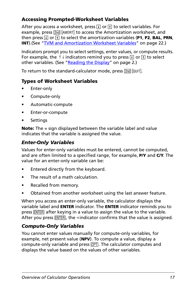#### **Accessing Prompted-Worksheet Variables**

After you access a worksheet, press  $\Box$  or  $\Box$  to select variables. For example, press  $\sqrt{2nd}$  [AMORT] to access the Amortization worksheet, and then press  $\mathbf{F}$  or  $\mathbf{F}$  to select the amortization variables (P1, P2, BAL, PRN, **INT**).[\(See "TVM and Amortization Worksheet Variables" on page 22.\)](#page-25-1)

Indicators prompt you to select settings, enter values, or compute results. For example, the  $\hat{\uparrow} \downarrow$  indicators remind you to press  $\hat{H}$  or  $\hat{H}$  to select other variables. [\(See "Reading the Display" on page 2.\)](#page-5-1)

To return to the standard-calculator mode, press [2nd] [QUIT].

#### <span id="page-20-0"></span>**Types of Worksheet Variables**

- Enter-only
- Compute-only
- Automatic-compute
- Enter-or-compute
- **Settings**

**Note:** The = sign displayed between the variable label and value indicates that the variable is assigned the value.

#### *Enter-Only Variables*

Values for enter-only variables must be entered, cannot be computed, and are often limited to a specified range, for example, **P/Y** and **C/Y**. The value for an enter-only variable can be:

- Entered directly from the keyboard.
- The result of a math calculation.
- Recalled from memory.
- Obtained from another worksheet using the last answer feature.

When you access an enter-only variable, the calculator displays the variable label and **ENTER** indicator. The **ENTER** indicator reminds you to press **ENTER** after keying in a value to assign the value to the variable. After you press  $[INTER]$ , the  $\triangleleft$  indicator confirms that the value is assigned.

#### *Compute-Only Variables*

You cannot enter values manually for compute-only variables, for example, net present value (**NPV**). To compute a value, display a compute-only variable and press  $[CFT]$ . The calculator computes and displays the value based on the values of other variables.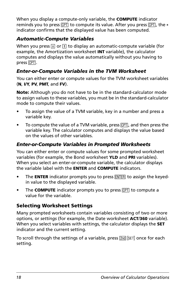When you display a compute-only variable, the **COMPUTE** indicator reminds you to press  $\overline{CPT}$  to compute its value. After you press  $\overline{CPT}$ , the  $*$ indicator confirms that the displayed value has been computed.

## *Automatic-Compute Variables*

When you press  $\mathbb{F}$  or  $\mathbb{F}$  to display an automatic-compute variable (for example, the Amortization worksheet **INT** variable), the calculator computes and displays the value automatically without you having to  $pres[CFT]$ .

## *Enter-or-Compute Variables in the TVM Worksheet*

You can either enter or compute values for the TVM worksheet variables (**N**, **I/Y**, **PV**, **PMT**, and **FV**).

**Note:** Although you do not have to be in the standard-calculator mode to assign values to these variables, you must be in the standard-calculator mode to compute their values.

- To assign the value of a TVM variable, key in a number and press a variable key.
- To compute the value of a TVM variable, press  $[CPT]$ , and then press the variable key. The calculator computes and displays the value based on the values of other variables.

## *Enter-or-Compute Variables in Prompted Worksheets*

You can either enter or compute values for some prompted worksheet variables (for example, the Bond worksheet **YLD** and **PRI** variables). When you select an enter-or-compute variable, the calculator displays the variable label with the **ENTER** and **COMPUTE** indicators.

- The **ENTER** indicator prompts you to press **ENTER** to assign the keyedin value to the displayed variable.
- The **COMPUTE** indicator prompts you to press **CPT** to compute a value for the variable.

## **Selecting Worksheet Settings**

Many prompted worksheets contain variables consisting of two or more options, or *settings* (for example, the Date worksheet **ACT**/**360** variable). When you select variables with settings, the calculator displays the **SET** indicator and the current setting.

To scroll through the settings of a variable, press [2nd] [SET] once for each setting.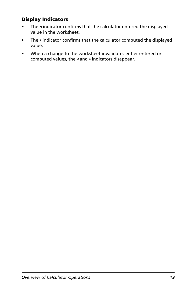## **Display Indicators**

- $\bullet$  The  $\triangleleft$  indicator confirms that the calculator entered the displayed value in the worksheet.
- The  $*$  indicator confirms that the calculator computed the displayed value.
- When a change to the worksheet invalidates either entered or computed values, the  $\triangleleft$  and  $\ast$  indicators disappear.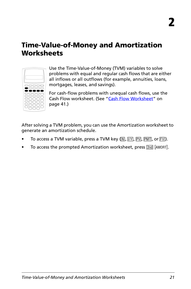# <span id="page-24-0"></span>**Time-Value-of-Money and Amortization Worksheets**



Use the Time-Value-of-Money (TVM) variables to solve problems with equal and regular cash flows that are either all inflows or all outflows (for example, annuities, loans, mortgages, leases, and savings).

For cash-flow problems with unequal cash flows, use the Cash Flow worksheet. [\(See "Cash Flow Worksheet" on](#page-44-2)  [page 41.\)](#page-44-2)

After solving a TVM problem, you can use the Amortization worksheet to generate an amortization schedule.

- To access a TVM variable, press a TVM key  $(\mathbb{N}, \mathbb{I}\mathbb{Y})$ ,  $(\mathbb{N}\mathbb{N})$ ,  $(\mathbb{N}\mathbb{N})$ , or  $(\mathbb{V})$ ).
- To access the prompted Amortization worksheet, press [2nd] [AMORT].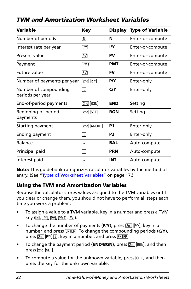| <b>Variable</b>                           | <b>Key</b>               | <b>Display</b> | <b>Type of Variable</b> |
|-------------------------------------------|--------------------------|----------------|-------------------------|
| Number of periods                         | M                        | N              | Enter-or-compute        |
| Interest rate per year                    | $\sqrt{VY}$              | <b>I/Y</b>     | Enter-or-compute        |
| Present value                             | $\boxed{\mathsf{PV}}$    | PV             | Enter-or-compute        |
| Payment                                   | <b>PMT</b>               | <b>PMT</b>     | Enter-or-compute        |
| Future value                              | FV                       | FV             | Enter-or-compute        |
| Number of payments per year               | $[2nd]$ $[P/Y]$          | P/Y            | Enter-only              |
| Number of compounding<br>periods per year | $\vert \downarrow \vert$ | C/Y            | Enter-only              |
| End-of-period payments                    | 2nd [BGN]                | <b>END</b>     | Setting                 |
| Beginning-of-period<br>payments           | $[2nd]$ $[SET]$          | <b>BGN</b>     | Setting                 |
| Starting payment                          | $[2nd]$ $[AMORT]$        | P <sub>1</sub> | Enter-only              |
| Ending payment                            | $\vert \downarrow \vert$ | P <sub>2</sub> | Enter-only              |
| <b>Balance</b>                            | 団                        | <b>BAL</b>     | Auto-compute            |
| Principal paid                            | $\lceil \cdot \rceil$    | <b>PRN</b>     | Auto-compute            |
| Interest paid                             | ℿ                        | <b>INT</b>     | Auto-compute            |

## <span id="page-25-1"></span><span id="page-25-0"></span>*TVM and Amortization Worksheet Variables*

**Note:** This guidebook categorizes calculator variables by the method of entry. [\(See "Types of Worksheet Variables" on page 17.\)](#page-20-0)

#### **Using the TVM and Amortization Variables**

Because the calculator stores values assigned to the TVM variables until you clear or change them, you should not have to perform all steps each time you work a problem.

- To assign a value to a TVM variable, key in a number and press a TVM  $key$  ( $N$ ,  $IV$ ,  $PV$ ,  $PVI$ ,  $PMT$ ,  $FV$ ).
- To change the number of payments (P/Y), press **[2nd]** [P/Y], key in a number, and press **ENTER**. To change the compounding periods (C/Y), press  $[2nd]$   $[P/Y]$   $\Box$ , key in a number, and press  $[ENTER]$ .
- To change the payment period (**END/BGN**), press [2nd] [BGN], and then  $pres$   $2nd$   $[SET]$ .
- To compute a value for the unknown variable, press  $[CPT]$ , and then press the key for the unknown variable.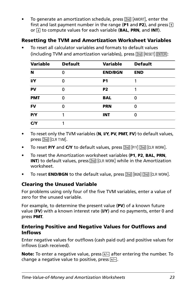To generate an amortization schedule, press  $[2nd]$   $[AMORT]$ , enter the first and last payment number in the range (P1 and P2), and press if or  $\lceil \cdot \rceil$  to compute values for each variable (**BAL, PRN, and INT**).

#### **Resetting the TVM and Amortization Worksheet Variables**

• To reset all calculator variables and formats to default values (including TVM and amortization variables), press  $[2nd]$   $[RESET]$   $[ENTER]$ :

| Variable   | <b>Default</b> | Variable       | <b>Default</b> |
|------------|----------------|----------------|----------------|
| N          | 0              | <b>END/BGN</b> | <b>END</b>     |
| I/Y        | 0              | P <sub>1</sub> |                |
| PV         | 0              | P <sub>2</sub> |                |
| <b>PMT</b> | 0              | <b>BAL</b>     | 0              |
| <b>FV</b>  | 0              | <b>PRN</b>     | 0              |
| P/Y        |                | <b>INT</b>     | O              |
| <b>C/Y</b> |                |                |                |

- To reset only the TVM variables (**N**, **I/Y**, **PV**, **PMT**, **FV**) to default values,  $pres$   $2nd$   $GLR$   $TVM$ .
- To reset P/Y and C/Y to default values, press  $\boxed{2nd}$   $\boxed{P/Y}$   $\boxed{2nd}$   $\boxed{CLR}$  WORK $\boxed{.}$
- To reset the Amortization worksheet variables (**P1**, **P2**, **BAL**, **PRN**, **INT**) to default values, press **[2nd]** [CLR WORK] while in the Amortization worksheet.
- To reset **END/BGN** to the default value, press [2nd] [BGN] [2nd] [CLR WORK].

#### **Clearing the Unused Variable**

For problems using only four of the five TVM variables, enter a value of zero for the unused variable.

For example, to determine the present value (**PV**) of a known future value (**FV**) with a known interest rate (**I/Y**) and no payments, enter 0 and press **PMT**.

#### **Entering Positive and Negative Values for Outflows and Inflows**

Enter negative values for outflows (cash paid out) and positive values for inflows (cash received).

**Note:** To enter a negative value, press  $\overline{A}$  after entering the number. To change a negative value to positive, press  $H$ .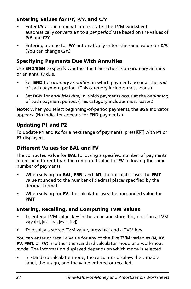## **Entering Values for I/Y, P/Y, and C/Y**

- Enter **I/Y** as the nominal interest rate. The TVM worksheet automatically converts **I/Y** to a *per period* rate based on the values of **P/Y** and **C/Y**.
- Entering a value for **P/Y** automatically enters the same value for **C/Y**. (You can change **C/Y**.)

#### **Specifying Payments Due With Annuities**

Use **END**/**BGN** to specify whether the transaction is an ordinary annuity or an annuity due.

- Set **END** for *ordinary annuities*, in which payments occur at the *end* of each payment period. (This category includes most loans.)
- Set **BGN** for *annuities due*, in which payments occur at the *beginning* of each payment period. (This category includes most leases.)

**Note:** When you select beginning-of-period payments, the **BGN** indicator appears. (No indicator appears for **END** payments.)

#### **Updating P1 and P2**

To update **P1** and **P2** for a next range of payments, press  $\boxed{CPT}$  with **P1** or **P2** displayed.

#### **Different Values for BAL and FV**

The computed value for **BAL** following a specified number of payments might be different than the computed value for **FV** following the same number of payments.

- When solving for **BAL**, **PRN**, and **INT**, the calculator uses the **PMT** value rounded to the number of decimal places specified by the decimal format.
- When solving for **FV**, the calculator uses the unrounded value for **PMT**.

#### **Entering, Recalling, and Computing TVM Values**

- To enter a TVM value, key in the value and store it by pressing a TVM  $key$  ( $N$ ,  $\overline{IV}$ ,  $\overline{PV}$ ,  $\overline{PMT}$ ,  $\overline{FV}$ ).
- To display a stored TVM value, press RCL and a TVM key.

You can enter or recall a value for any of the five TVM variables (**N**, **I/Y**, **PV**, **PMT**, or **FV**) in either the standard calculator mode or a worksheet mode. The information displayed depends on which mode is selected.

• In standard calculator mode, the calculator displays the variable label, the = sign, and the value entered or recalled.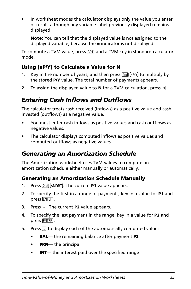• In worksheet modes the calculator displays only the value you enter or recall, although any variable label previously displayed remains displayed.

**Note:** You can tell that the displayed value is not assigned to the displayed variable, because the  $=$  indicator is not displayed.

To compute a TVM value, press  $\overline{CPT}$  and a TVM key in standard-calculator mode.

#### **Using [xP/Y] to Calculate a Value for N**

- 1. Key in the number of years, and then press  $[2nd]$  [xP/Y] to multiply by the stored **P/Y** value. The total number of payments appears.
- 2. To assign the displayed value to **N** for a TVM calculation, press  $\mathbb{N}$ .

## <span id="page-28-0"></span>*Entering Cash Inflows and Outflows*

The calculator treats cash received (inflows) as a positive value and cash invested (outflows) as a negative value.

- You must enter cash inflows as positive values and cash outflows as negative values.
- The calculator displays computed inflows as positive values and computed outflows as negative values.

# <span id="page-28-1"></span>*Generating an Amortization Schedule*

The Amortization worksheet uses TVM values to compute an amortization schedule either manually or automatically.

#### **Generating an Amortization Schedule Manually**

- 1. Press **[2nd]** [AMORT]. The current **P1** value appears.
- 2. To specify the first in a range of payments, key in a value for **P1** and press **ENTER**.
- 3. Press  $\Box$ . The current **P2** value appears.
- 4. To specify the last payment in the range, key in a value for **P2** and press **ENTER**.
- 5. Press  $\Box$  to display each of the automatically computed values:
	- **BAL** the remaining balance after payment **P2**
	- **PRN** the principal
	- **INT** the interest paid over the specified range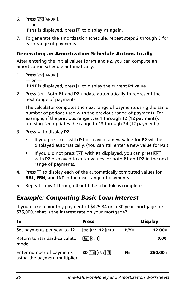6. Press [2nd] [AMORT].

 $-$  or  $-$ 

If **INT** is displayed, press  $\mathbf{F}$  to display **P1** again.

7. To generate the amortization schedule, repeat steps 2 through 5 for each range of payments.

## **Generating an Amortization Schedule Automatically**

After entering the initial values for **P1** and **P2**, you can compute an amortization schedule automatically.

1. Press  $\sqrt{2nd}$   $\sqrt{AMORT}$ .

 $-$  or  $-$ If **INT** is displayed, press  $\Box$  to display the current **P1** value.

2. Press  $\overline{CPT}$ . Both **P1** and **P2** update automatically to represent the next range of payments.

The calculator computes the next range of payments using the same number of periods used with the previous range of payments. For example, if the previous range was 1 through 12 (12 payments), pressing  $[CPT]$  updates the range to 13 through 24 (12 payments).

- 3. Press  $\Box$  to display **P2**.
	- If you press  $[CPT]$  with **P1** displayed, a new value for **P2** will be displayed automatically. (You can still enter a new value for **P2**.)
	- If you did not press **CPT** with **P1** displayed, you can press CPT with **P2** displayed to enter values for both **P1** and **P2** in the next range of payments.
- 4. Press  $\mathbb{F}$  to display each of the automatically computed values for **BAL**, **PRN**, and **INT** in the next range of payments.
- 5. Repeat steps 1 through 4 until the schedule is complete.

# <span id="page-29-0"></span>*Example: Computing Basic Loan Interest*

If you make a monthly payment of \$425.84 on a 30-year mortgage for \$75,000, what is the interest rate on your mortgage?

| To                                                        | <b>Press</b>                 | <b>Display</b> |         |
|-----------------------------------------------------------|------------------------------|----------------|---------|
| Set payments per year to 12.                              | $[2nd]$ $[P/Y]$ 12 $[ENTER]$ | $P/Y =$        | 12.00⊲  |
| Return to standard-calculator [2nd] [QUIT]<br>mode.       |                              |                | 0.00    |
| Enter number of payments<br>using the payment multiplier. | 30 $[2nd]$ $[xP/Y]$ $[N]$    | $N =$          | 360.00⊲ |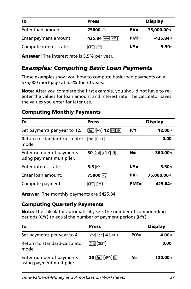| To                     | <b>Press</b>    |         | <b>Display</b> |
|------------------------|-----------------|---------|----------------|
| Enter loan amount.     | 75000 PV        | $PV =$  | 75,000.00⊲     |
| Enter payment amount.  | 425.84 $H$ PMT  | $PMT =$ | -425.84⊲       |
| Compute interest rate. | $[CPT]$ $[1/Y]$ | $IV =$  | $5.50*$        |

**Answer:** The interest rate is 5.5% per year.

## <span id="page-30-0"></span>*Examples: Computing Basic Loan Payments*

These examples show you how to compute basic loan payments on a \$75,000 mortgage at 5.5% for 30 years.

**Note:** After you complete the first example, you should not have to reenter the values for loan amount and interest rate. The calculator saves the values you enter for later use.

#### **Computing Monthly Payments**

| To                                                    | <b>Press</b>                 |         | <b>Display</b>    |
|-------------------------------------------------------|------------------------------|---------|-------------------|
| Set payments per year to 12.                          | $[2nd]$ $[P/Y]$ 12 $[ENTER]$ | $P/Y =$ | 12.00⊲            |
| Return to standard-calculator<br>mode.                | $[2nd]$ $[QUIT]$             |         | 0.00              |
| Enter number of payments<br>using payment multiplier. | 30 $[2nd]$ $[xP/Y]$ $[N]$    | $N =$   | 360.00<           |
| Enter interest rate.                                  | 5.5 $VY$                     | $I/Y=$  | 5.50 <sub>4</sub> |
| Enter loan amount.                                    | 75000 PV                     | $PV =$  | 75,000.00⊲        |
| Compute payment.                                      | <b>IPMT</b><br>CPT           | $PMT =$ | $-425.84*$        |

**Answer:** The monthly payments are \$425.84.

#### **Computing Quarterly Payments**

**Note:** The calculator automatically sets the number of compounding periods (**C/Y**) to equal the number of payment periods (**P/Y**).

| To                                                    | <b>Press</b>                |         | <b>Display</b> |
|-------------------------------------------------------|-----------------------------|---------|----------------|
| Set payments per year to 4.                           | $[2nd]$ $[P/Y]$ 4 $[ENTER]$ | $P/Y =$ | 4.00⊲          |
| Return to standard-calculator<br>mode.                | $[2nd]$ $[QUIT]$            |         | 0.00           |
| Enter number of payments<br>using payment multiplier. | 30 $[2nd]$ $[xP/Y]$ $[N]$   | $N =$   | 120.00⊲        |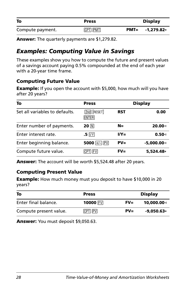| To               | <b>Press</b>     | <b>Display</b> |                          |
|------------------|------------------|----------------|--------------------------|
| Compute payment. | <b>CPTI PMTI</b> |                | <b>PMT=</b> $-1,279.82*$ |

**Answer:** The quarterly payments are \$1,279.82.

# <span id="page-31-0"></span>*Examples: Computing Value in Savings*

These examples show you how to compute the future and present values of a savings account paying 0.5% compounded at the end of each year with a 20-year time frame.

#### **Computing Future Value**

**Example:** If you open the account with \$5,000, how much will you have after 20 years?

| To                             | <b>Press</b>                  |            | <b>Display</b>            |
|--------------------------------|-------------------------------|------------|---------------------------|
| Set all variables to defaults. | [2nd] [RESET]<br><b>ENTER</b> | <b>RST</b> | 0.00                      |
| Enter number of payments.      | $20 \text{ N}$                | $N =$      | 20.00⊲                    |
| Enter interest rate.           | $.5$ $VY$                     | $I/Y =$    | $0.50 \triangleleft$      |
| Enter beginning balance.       | 5000 $H$ PV                   | $PV =$     | $-5,000.00 \triangleleft$ |
| Compute future value.          | CPT FV                        | $FV =$     | 5,524.48*                 |

**Answer:** The account will be worth \$5,524.48 after 20 years.

#### **Computing Present Value**

**Example:** How much money must you deposit to have \$10,000 in 20 years?

| To                     | <b>Press</b>    |        | <b>Display</b> |  |
|------------------------|-----------------|--------|----------------|--|
| Enter final balance.   | 10000 $FVI$     | $FV =$ | 10,000.00⊲     |  |
| Compute present value. | <b>CPTI PVI</b> | $PV =$ | $-9.050.63*$   |  |

**Answer:** You must deposit \$9,050.63.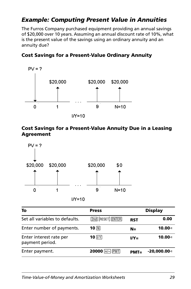## <span id="page-32-0"></span>*Example: Computing Present Value in Annuities*

The Furros Company purchased equipment providing an annual savings of \$20,000 over 10 years. Assuming an annual discount rate of 10%, what is the present value of the savings using an ordinary annuity and an annuity due?

#### **Cost Savings for a Present-Value Ordinary Annuity**



**Cost Savings for a Present-Value Annuity Due in a Leasing Agreement**





| To                                         | <b>Press</b>                    | <b>Display</b> |              |
|--------------------------------------------|---------------------------------|----------------|--------------|
| Set all variables to defaults.             | [2nd] [RESET] [ENTER]           | <b>RST</b>     | 0.00         |
| Enter number of payments.                  | 10 $\mathbb N$                  | $N =$          | 10.00⊲       |
| Enter interest rate per<br>payment period. | 10 $\overline{IV}$              | $IV =$         | 10.00⊲       |
| Enter payment.                             | <b>20000 <math>H</math></b> $H$ | $PMT =$        | $-20,000.00$ |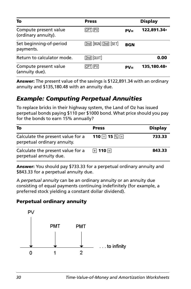| To                                           | <b>Press</b>                    | <b>Display</b> |             |
|----------------------------------------------|---------------------------------|----------------|-------------|
| Compute present value<br>(ordinary annuity). | CPT PV                          | $PV =$         | 122,891.34* |
| Set beginning-of-period<br>payments.         | $[2nd]$ $[BGN]$ $[2nd]$ $[SET]$ | BGN            |             |
| Return to calculator mode.                   | <b>2nd CQUIT</b>                |                | 0.00        |
| Compute present value<br>(annuity due).      | CPT PV                          | $PV =$         | 135,180.48* |

**Answer:** The present value of the savings is \$122,891.34 with an ordinary annuity and \$135,180.48 with an annuity due.

# <span id="page-33-0"></span>*Example: Computing Perpetual Annuities*

To replace bricks in their highway system, the Land of Oz has issued perpetual bonds paying \$110 per \$1000 bond. What price should you pay for the bonds to earn 15% annually?

| To                                                               | <b>Press</b>                      | <b>Display</b> |
|------------------------------------------------------------------|-----------------------------------|----------------|
| Calculate the present value for a<br>perpetual ordinary annuity. | 110 $\Box$ 15 $\mathbb{Z}$ $\Box$ | 733.33         |
| Calculate the present value for a<br>perpetual annuity due.      | $\boxed{+}$ 110 $\boxed{=}$       | 843.33         |

**Answer:** You should pay \$733.33 for a perpetual ordinary annuity and \$843.33 for a perpetual annuity due.

A *perpetual annuity* can be an ordinary annuity or an annuity due consisting of equal payments continuing indefinitely (for example, a preferred stock yielding a constant dollar dividend).

#### **Perpetual ordinary annuity**

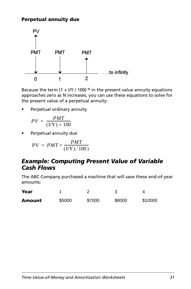#### **Perpetual annuity due**



Because the term  $(1 + I/Y / 100)^{-N}$  in the present value annuity equations approaches zero as N increases, you can use these equations to solve for the present value of a perpetual annuity:

Perpetual ordinary annuity

$$
PV = \frac{PMT}{(I/Y) \div 100}
$$

• Perpetual annuity due

$$
PV = PMT + \frac{PMT}{(1/Y)/100)}
$$

## <span id="page-34-0"></span>*Example: Computing Present Value of Variable Cash Flows*

The ABC Company purchased a machine that will save these end-of-year amounts:

| Year          |        |        |        |         |
|---------------|--------|--------|--------|---------|
| <b>Amount</b> | \$5000 | \$7000 | \$8000 | \$10000 |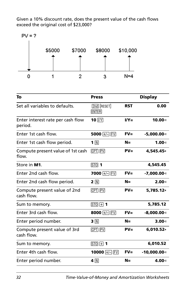Given a 10% discount rate, does the present value of the cash flows exceed the original cost of \$23,000?



| To                                           | <b>Press</b>                  |            | <b>Display</b>            |
|----------------------------------------------|-------------------------------|------------|---------------------------|
| Set all variables to defaults.               | [2nd] [RESET]<br><b>ENTER</b> | <b>RST</b> | 0.00                      |
| Enter interest rate per cash flow<br>period. | 10 $[17]$                     | $I/Y=$     | 10.00⊲                    |
| Enter 1st cash flow.                         | 5000 $H$ FV                   | $FV =$     | $-5,000.00 \triangleleft$ |
| Enter 1st cash flow period.                  | 1 $\boxed{N}$                 | $N =$      | $1.00 \triangleleft$      |
| Compute present value of 1st cash<br>flow.   | CPT PV                        | $PV =$     | 4,545.45*                 |
| Store in M1.                                 | $STO$ 1                       |            | 4,545.45                  |
| Enter 2nd cash flow.                         | <b>7000 <math>H</math></b> FV | $FV =$     | $-7,000.00$               |
| Enter 2nd cash flow period.                  | $2 \sqrt{N}$                  | $N =$      | $2.00 \triangleleft$      |
| Compute present value of 2nd<br>cash flow.   | CPT PV                        | $PV =$     | 5,785.12*                 |
| Sum to memory.                               | $STO + 1$                     |            | 5,785.12                  |
| Enter 3rd cash flow.                         | 8000 $H - FV$                 | $FV =$     | $-8,000.00 \triangleleft$ |
| Enter period number.                         | $3 \sqrt{N}$                  | $N =$      | $3.00 \triangleleft$      |
| Compute present value of 3rd<br>cash flow.   | CPT PV                        | $PV =$     | 6,010.52*                 |
| Sum to memory.                               | $STO + 1$                     |            | 6,010.52                  |
| Enter 4th cash flow.                         | 10000 $H$ FV                  | $FV =$     | $-10,000.00$              |
| Enter period number.                         | $4 \sqrt{N}$                  | $N =$      | 4.00⊲                     |

*32 Time-Value-of-Money and Amortization Worksheets*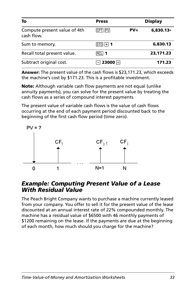| To                                         | <b>Press</b> |        | <b>Display</b> |
|--------------------------------------------|--------------|--------|----------------|
| Compute present value of 4th<br>cash flow. | CPTI PVI     | $PV =$ | $6.830.13*$    |
| Sum to memory.                             | $ ST0 + $ 1  |        | 6,830.13       |
| Recall total present value.                | $RCL$ 1      |        | 23,171.23      |
| Subtract original cost.                    | ㅋ 23000 F    |        | 171.23         |

**Answer:** The present value of the cash flows is \$23,171.23, which exceeds the machine's cost by \$171.23. This is a profitable investment.

**Note:** Although variable cash flow payments are not equal (unlike annuity payments), you can solve for the present value by treating the cash flows as a series of compound interest payments.

The present value of variable cash flows is the value of cash flows occurring at the end of each payment period discounted back to the beginning of the first cash flow period (time zero).



#### *Example: Computing Present Value of a Lease With Residual Value*

The Peach Bright Company wants to purchase a machine currently leased from your company. You offer to sell it for the present value of the lease discounted at an annual interest rate of 22% compounded monthly. The machine has a residual value of \$6500 with 46 monthly payments of \$1200 remaining on the lease. If the payments are due at the beginning of each month, how much should you charge for the machine?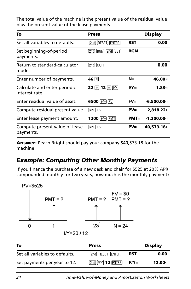The total value of the machine is the present value of the residual value plus the present value of the lease payments.

| To                                             | <b>Press</b>                    |         | <b>Display</b> |
|------------------------------------------------|---------------------------------|---------|----------------|
| Set all variables to defaults.                 | <b>2nd FRESET ENTER</b>         | RST     | 0.00           |
| Set beginning-of-period<br>payments.           | $[2nd]$ $[BGN]$ $[2nd]$ $[SET]$ | BGN     |                |
| Return to standard-calculator<br>mode.         | $[2nd]$ $[QUIT]$                |         | 0.00           |
| Enter number of payments.                      | 46 M                            | $N =$   | 46.00⊲         |
| Calculate and enter periodic<br>interest rate. | 22 $\Box$ 12 $\Box$ $W$         | $I/Y=$  | <b>1.83</b> ⊲  |
| Enter residual value of asset.                 | 6500 $ +/- $ $ $ FV             | $FV =$  | -6,500.00⊲     |
| Compute residual present value.                | CPT PV                          | $PV =$  | $2.818.22*$    |
| Enter lease payment amount.                    | 1200 $\overline{+/-}$ PMT       | $PMT =$ | -1,200.00⊲     |
| Compute present value of lease<br>payments.    | CPT FPV                         | $PV =$  | 40,573.18*     |

**Answer:** Peach Bright should pay your company \$40,573.18 for the machine.

# *Example: Computing Other Monthly Payments*

If you finance the purchase of a new desk and chair for \$525 at 20% APR compounded monthly for two years, how much is the monthly payment?



| To                             | <b>Press</b>                |            | <b>Display</b> |
|--------------------------------|-----------------------------|------------|----------------|
| Set all variables to defaults. | <b>2nd FRESET ENTER</b>     | <b>RST</b> | 0.00           |
| Set payments per year to 12.   | $[2nd]$ $[Py]$ 12 $[ENTER]$ | $P/Y=$     | 12.00⊲         |

*34 Time-Value-of-Money and Amortization Worksheets*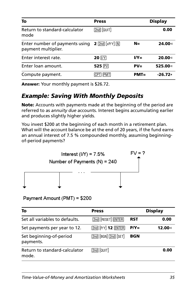| To                                                                               | <b>Press</b>        |         | <b>Display</b> |
|----------------------------------------------------------------------------------|---------------------|---------|----------------|
| Return to standard-calculator<br>mode                                            | $[2nd]$ $[QUIT]$    |         | 0.00           |
| Enter number of payments using $2$ $[2nd]$ $[xP/Y]$ $[N]$<br>payment multiplier. |                     | $N =$   | 24.00⊲         |
| Enter interest rate.                                                             | $20$ $\overline{V}$ | $I/Y=$  | 20.00⊲         |
| Enter loan amount.                                                               | 525 PV              | $PV =$  | 525.00⊲        |
| Compute payment.                                                                 | <b>PMT</b>          | $PMT =$ | $-26.72*$      |

**Answer:** Your monthly payment is \$26.72.

# *Example: Saving With Monthly Deposits*

**Note:** Accounts with payments made at the beginning of the period are referred to as *annuity due* accounts. Interest begins accumulating earlier and produces slightly higher yields.

You invest \$200 at the beginning of each month in a retirement plan. What will the account balance be at the end of 20 years, if the fund earns an annual interest of 7.5 % compounded monthly, assuming beginningof-period payments?



Payment Amount (PMT) = \$200

| To                                     | <b>Press</b>                 |            | <b>Display</b> |
|----------------------------------------|------------------------------|------------|----------------|
| Set all variables to defaults.         | [2nd] [RESET] [ENTER]        | <b>RST</b> | 0.00           |
| Set payments per year to 12.           | $[2nd]$ $[P/Y]$ 12 $[ENTER]$ | $P/Y =$    | 12.00⊲         |
| Set beginning-of-period<br>payments.   | [2nd] [BGN] [2nd] [SET]      | BGN        |                |
| Return to standard-calculator<br>mode. | [2nd] [QUIT]                 |            | 0.00           |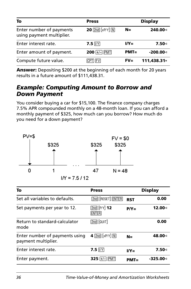| To                                                    | <b>Press</b>              |        | <b>Display</b>          |
|-------------------------------------------------------|---------------------------|--------|-------------------------|
| Enter number of payments<br>using payment multiplier. | 20 $[2nd]$ $[xP/Y]$ $[N]$ | $N =$  | 240.00⊲                 |
| Enter interest rate.                                  | $7.5$ $VY$                | $IV =$ | 7.50 <sub>4</sub>       |
| Enter amount of payment.                              | $200$ $H$ PMT             | $PMT=$ | $-200.00 \triangleleft$ |
| Compute future value.                                 | l IFVI                    | $FV =$ | 111,438.31*             |

**Answer:** Depositing \$200 at the beginning of each month for 20 years results in a future amount of \$111,438.31.

#### *Example: Computing Amount to Borrow and Down Payment*

You consider buying a car for \$15,100. The finance company charges 7.5% APR compounded monthly on a 48-month loan. If you can afford a monthly payment of \$325, how much can you borrow? How much do you need for a down payment?



| To                                                    | <b>Press</b>                       |            | <b>Display</b>       |
|-------------------------------------------------------|------------------------------------|------------|----------------------|
| Set all variables to defaults.                        | [2nd] [RESET] <b>[ENTER</b> ]      | <b>RST</b> | 0.00                 |
| Set payments per year to 12.                          | $[2nd]$ $[P/Y]$ 12<br><b>ENTER</b> | $P/Y =$    | 12.00⊲               |
| Return to standard-calculator<br>mode                 | $[2nd]$ $[QUIT]$                   |            | 0.00                 |
| Enter number of payments using<br>payment multiplier. | 4 $[2nd]$ $[xP/Y]$ $[N]$           | $N =$      | 48.00⊲               |
| Enter interest rate.                                  | $7.5$ $VY$                         | $I/Y=$     | $7.50 \triangleleft$ |
| Enter payment.                                        | $325 +$<br><b>IPMT</b>             | $PMT =$    | -325.00⊲             |

*36 Time-Value-of-Money and Amortization Worksheets*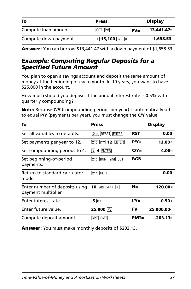| To                   | <b>Press</b>                   |        | <b>Display</b> |
|----------------------|--------------------------------|--------|----------------|
| Compute loan amount. | <b>CPTIPVI</b>                 | $PV =$ | 13,441.47*     |
| Compute down payment | $\boxed{+}$ 15,100 $\boxed{+}$ |        | -1,658.53      |

**Answer:** You can borrow \$13,441.47 with a down payment of \$1,658.53.

# *Example: Computing Regular Deposits for a Specified Future Amount*

You plan to open a savings account and deposit the same amount of money at the beginning of each month. In 10 years, you want to have \$25,000 in the account.

How much should you deposit if the annual interest rate is 0.5% with quarterly compounding?

**Note:** Because **C/Y** (compounding periods per year) is automatically set to equal **P/Y** (payments per year), you must change the **C/Y** value.

| To                                                    | <b>Press</b>                                                             |         | <b>Display</b>       |
|-------------------------------------------------------|--------------------------------------------------------------------------|---------|----------------------|
| Set all variables to defaults.                        | <b>2nd FRESET ENTER</b>                                                  | RST     | 0.00                 |
| Set payments per year to 12.                          | $[2nd]$ $[P/Y]$ 12 $[ENTER]$                                             | $P/Y =$ | 12.00⊲               |
| Set compounding periods to 4.                         | 4 ENTER<br>$  \downarrow  $                                              | $C/Y =$ | 4.00⊲                |
| Set beginning-of-period<br>payments.                  | $[2nd]$ $[6GM]$ $[2nd]$ $[SET]$                                          | BGN     |                      |
| Return to standard-calculator<br>mode.                | <b>2nd CQUIT</b>                                                         |         | 0.00                 |
| Enter number of deposits using<br>payment multiplier. | <b>10 <math>\boxed{2nd}</math> <math>\boxed{xP/Y}</math></b> $\boxed{N}$ | $N =$   | 120.00⊲              |
| Enter interest rate.                                  | <b>.5</b> [/Y]                                                           | $IV =$  | $0.50 \triangleleft$ |
| Enter future value.                                   | <b>25,000 FVI</b>                                                        | $FV =$  | 25,000.00⊲           |
| Compute deposit amount.                               | CPT PMT                                                                  | $PMT =$ | $-203.13*$           |

**Answer:** You must make monthly deposits of \$203.13.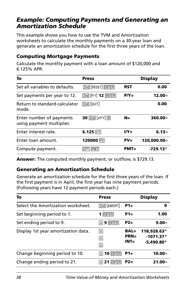## *Example: Computing Payments and Generating an Amortization Schedule*

This example shows you how to use the TVM and Amortization worksheets to calculate the monthly payments on a 30-year loan and generate an amortization schedule for the first three years of the loan.

#### **Computing Mortgage Payments**

Calculate the monthly payment with a loan amount of \$120,000 and 6.125% APR.

| To                                                    | <b>Press</b>                                       |            | <b>Display</b> |
|-------------------------------------------------------|----------------------------------------------------|------------|----------------|
| Set all variables to defaults.                        | [2nd] [RESET] [ENTER]                              | <b>RST</b> | 0.00           |
| Set payments per year to 12.                          | $[2nd]$ $[P/Y]$ 12 $[ENTER]$                       | $P/Y =$    | 12.00⊲         |
| Return to standard-calculator<br>mode.                | $[2nd]$ $[QUIT]$                                   |            | 0.00           |
| Enter number of payments<br>using payment multiplier. | <b>30 2nd [xP/Y] <math>\boxed{\text{N}}</math></b> | $N =$      | 360.00         |
| Enter interest rate.                                  | 6.125 $\overline{111}$                             | $I/Y=$     | 6.13⊲          |
| Enter loan amount.                                    | 120000 PV                                          | $PV =$     | 120,000.00<    |
| Compute payment.                                      | <b>IPMT</b>                                        | $PMT =$    | $-729.13*$     |

**Answer:** The computed monthly payment, or outflow, is \$729.13.

#### **Generating an Amortization Schedule**

Generate an amortization schedule for the first three years of the loan. If the first payment is in April, the first year has nine payment periods. (Following years have 12 payment periods each.)

| To                                  | <b>Press</b>                                            |                              | <b>Display</b>                             |
|-------------------------------------|---------------------------------------------------------|------------------------------|--------------------------------------------|
| Select the Amortization worksheet.  | [2nd] [AMORT]                                           | $P1=$                        | 0                                          |
| Set beginning period to 1.          | <b>1 ENTER</b>                                          | $P1=$                        | 1.00                                       |
| Set ending period to 9.             | <b>9 ENTER</b><br>I∔I                                   | $P2=$                        | 9.00 $<$                                   |
| Display 1st year amortization data. | $\vert \cdot \vert$<br>$ \downarrow $<br>$ \downarrow $ | $BAL =$<br>$PRN=$<br>$INT =$ | 118,928.63*<br>$-1071.37*$<br>$-5,490.80*$ |
| Change beginning period to 10.      | $\Box$ 10 $ENTER$                                       | $P1=$                        | 10.00⊲                                     |
| Change ending period to 21.         | <b>ENTER</b><br>21                                      | $P2=$                        | 21.00⊲                                     |

*38 Time-Value-of-Money and Amortization Worksheets*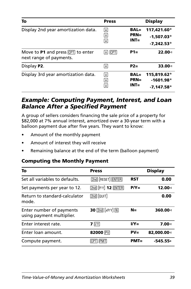| To                                                           | <b>Press</b>                          | <b>Display</b>                                                                  |
|--------------------------------------------------------------|---------------------------------------|---------------------------------------------------------------------------------|
| Display 2nd year amortization data.                          | $ + $<br>$\downarrow$<br>$\downarrow$ | 117,421.60*<br><b>BAL=</b><br>$PRN=$<br>$-1.507.03*$<br>$INT =$<br>$-7,242.53*$ |
| Move to P1 and press CPT to enter<br>next range of payments. | <b>CPT</b>                            | $P1=$<br>22.00⊲                                                                 |
| Display P2.                                                  | $  \cdot  $                           | $P2=$<br>33.00⊲                                                                 |
| Display 3rd year amortization data.                          | $ + $<br>$ + $<br>$\downarrow$        | $BAL =$<br>115,819.62*<br>$PRN=$<br>$-1601.98*$<br>$INT =$<br>$-7,147.58*$      |

## *Example: Computing Payment, Interest, and Loan Balance After a Specified Payment*

A group of sellers considers financing the sale price of a property for \$82,000 at 7% annual interest, amortized over a 30-year term with a balloon payment due after five years. They want to know:

- Amount of the monthly payment
- Amount of interest they will receive
- Remaining balance at the end of the term (balloon payment)

#### **Computing the Monthly Payment**

| To                                                    | <b>Press</b>                     |            | <b>Display</b>       |
|-------------------------------------------------------|----------------------------------|------------|----------------------|
| Set all variables to defaults.                        | <b>2nd FRESET ENTER</b>          | <b>RST</b> | 0.00                 |
| Set payments per year to 12.                          | $[2nd]$ $[P/Y]$ 12 $[ENTER]$     | $P/Y =$    | 12.00⊲               |
| Return to standard-calculator<br>mode.                | <b>2nd CQUIT</b>                 |            | 0.00                 |
| Enter number of payments<br>using payment multiplier. | <b>30</b> $[2nd]$ $[xP/Y]$ $[N]$ | $N =$      | 360.00               |
| Enter interest rate.                                  | $7$ $\overline{V}$               | $I/Y =$    | $7.00 \triangleleft$ |
| Enter loan amount.                                    | 82000 PV                         | $PV =$     | 82,000.00⊲           |
| Compute payment.                                      | <b>PMT</b><br>ICPTI              | $PMT=$     | $-545.55*$           |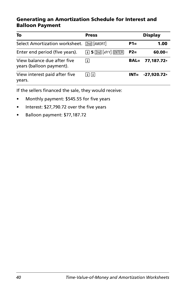#### **Generating an Amortization Schedule for Interest and Balloon Payment**

| To                                                      | <b>Press</b>                                               |         | <b>Display</b>        |
|---------------------------------------------------------|------------------------------------------------------------|---------|-----------------------|
| Select Amortization worksheet.                          | <b>2nd [AMORT]</b>                                         | $P1=$   | 1.00                  |
| Enter end period (five years).                          | $\boxed{4}$ 5 $\boxed{2nd}$ $\boxed{x$ P/Y $\boxed{ENTER}$ | $P2=$   | 60.00 $\triangleleft$ |
| View balance due after five<br>years (balloon payment). | $ + $                                                      | BAL=    | 77,187.72*            |
| View interest paid after five<br>years.                 | $+$   $ + $                                                | $INT =$ | $-27.920.72*$         |

If the sellers financed the sale, they would receive:

- Monthly payment: \$545.55 for five years
- Interest: \$27,790.72 over the five years
- Balloon payment: \$77,187.72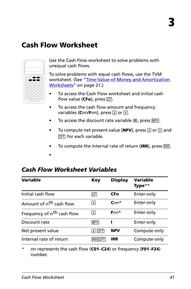# **Cash Flow Worksheet**



Use the Cash Flow worksheet to solve problems with unequal cash flows.

To solve problems with equal cash flows, use the TVM worksheet. [\(See "Time-Value-of-Money and Amortization](#page-24-0)  [Worksheets" on page 21.\)](#page-24-0)

- To access the Cash Flow worksheet and initial cash flow value  $(CFo)$ , press  $CF$ .
- To access the cash flow amount and frequency variables (Cnn/Fnn), press  $\lceil \cdot \rceil$  or  $\lceil \cdot \rceil$ .
- To access the discount rate variable (**I**), press  $\overline{NPV}$ .
- To compute net present value (**NPV**), press  $\lceil \cdot \rceil$  or  $\lceil \cdot \rceil$  and **CPTI** for each variable.
- To compute the internal rate of return (**IRR**), press  $\sqrt{IRR}$ .
- **•**

## *Cash Flow Worksheet Variables*

| Variable                               | <b>Key</b>     | <b>Display</b> | Variable<br>Type** |
|----------------------------------------|----------------|----------------|--------------------|
| Initial cash flow                      | CF             | <b>CFo</b>     | Enter-only         |
| Amount of n <sup>th</sup> cash flow    | $ \downarrow $ | $Cnn*$         | Enter-only         |
| Frequency of $n^{\text{th}}$ cash flow | $ \downarrow $ | $Fnn*$         | Enter-only         |
| Discount rate                          | [NPV]          |                | Enter-only         |
| Net present value                      | <b>CPT</b>     | <b>NPV</b>     | Compute-only       |
| Internal rate of return                | IIRRIICPT      | <b>IRR</b>     | Compute-only       |

*\* nn* represents the cash flow (**C01**–**C24**) or frequency (**F01**–**F24**) number.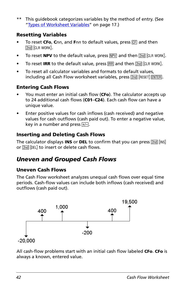\*\* This guidebook categorizes variables by the method of entry. [\(See](#page-20-0)  ["Types of Worksheet Variables" on page 17.\)](#page-20-0) 

#### **Resetting Variables**

- To reset CFo, Cnn, and Fnn to default values, press  $CF$  and then [2nd] [CLR WORK].
- To reset **NPV** to the default value, press **NPV** and then **[2nd]** [CLR WORK].
- To reset **IRR** to the default value, press **IRRI** and then **[2nd]** [CLR WORK].
- To reset all calculator variables and formats to default values, including all Cash Flow worksheet variables, press [2nd] [RESET] [ENTER].

#### **Entering Cash Flows**

- You must enter an initial cash flow (**CFo**). The calculator accepts up to 24 additional cash flows (**C01**–**C24**). Each cash flow can have a unique value.
- Enter positive values for cash inflows (cash received) and negative values for cash outflows (cash paid out). To enter a negative value, key in a number and press  $F^{-1}$ .

#### **Inserting and Deleting Cash Flows**

The calculator displays **INS** or **DEL** to confirm that you can press [2nd] [INS] or **[2nd]** [DEL] to insert or delete cash flows.

# *Uneven and Grouped Cash Flows*

## **Uneven Cash Flows**

The Cash Flow worksheet analyzes unequal cash flows over equal time periods. Cash-flow values can include both inflows (cash received) and outflows (cash paid out).



All cash-flow problems start with an initial cash flow labeled **CFo**. **CFo** is always a known, entered value.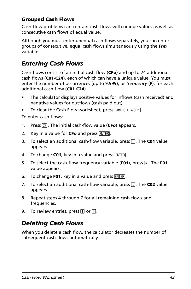#### **Grouped Cash Flows**

Cash-flow problems can contain cash flows with unique values as well as consecutive cash flows of equal value.

Although you must enter unequal cash flows separately, you can enter groups of consecutive, equal cash flows simultaneously using the **F***nn* variable.

# *Entering Cash Flows*

Cash flows consist of an initial cash flow (**CFo**) and up to 24 additional cash flows (**C01**-**C24**), each of which can have a unique value. You must enter the number of occurrences (up to 9,999), or *frequency* (**F**), for each additional cash flow (**C01**-**C24**).

- The calculator displays positive values for inflows (cash received) and negative values for outflows (cash paid out).
- To clear the Cash Flow worksheet, press [2nd] [CLR WORK].

To enter cash flows:

- 1. Press  $\overline{CF}$ . The initial cash-flow value (**CFo**) appears.
- 2. Key in a value for **CFo** and press **ENTER**.
- 3. To select an additional cash-flow variable, press  $\mathbf{F}$ . The **C01** value appears.
- 4. To change **C01**, key in a value and press **ENTER**.
- 5. To select the cash-flow frequency variable (F01), press  $\uparrow$ . The F01 value appears.
- 6. To change  $F01$ , key in a value and press  $ENIER$ .
- 7. To select an additional cash-flow variable, press  $\Box$ . The **C02** value appears.
- 8. Repeat steps 4 through 7 for all remaining cash flows and frequencies.
- 9. To review entries, press  $\Pi$  or  $\Pi$ .

# *Deleting Cash Flows*

When you delete a cash flow, the calculator decreases the number of subsequent cash flows automatically.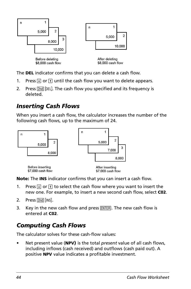

The **DEL** indicator confirms that you can delete a cash flow.

- 1. Press  $\mathbb{F}$  or  $\mathbb{F}$  until the cash flow you want to delete appears.
- 2. Press [2nd] [DEL]. The cash flow you specified and its frequency is deleted.

# *Inserting Cash Flows*

When you insert a cash flow, the calculator increases the number of the following cash flows, up to the maximum of 24.



**Note:** The **INS** indicator confirms that you can insert a cash flow.

- 1. Press  $\overline{F}$  or  $\overline{F}$  to select the cash flow where you want to insert the new one. For example, to insert a new second cash flow, select **C02**.
- 2. Press  $[2nd]$   $[INS]$ .
- 3. Key in the new cash flow and press **ENTER**. The new cash flow is entered at **C02**.

# *Computing Cash Flows*

The calculator solves for these cash-flow values:

• Net present value (**NPV)** is the total *present* value of all cash flows, including inflows (cash received) and outflows (cash paid out). A positive **NPV** value indicates a profitable investment.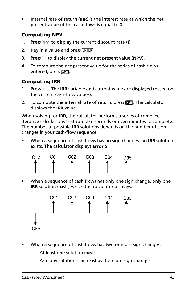• Internal rate of return (**IRR**) is the interest rate at which the net present value of the cash flows is equal to 0.

#### **Computing NPV**

- 1. Press **NPV** to display the current discount rate (**I**).
- 2. Key in a value and press **ENTER**.
- 3. Press  $\Box$  to display the current net present value (NPV).
- 4. To compute the net present value for the series of cash flows entered, press CPT.

## **Computing IRR**

- 1. Press **IRR**. The **IRR** variable and current value are displayed (based on the current cash-flow values).
- 2. To compute the internal rate of return, press  $\sqrt{\text{CPT}}$ . The calculator displays the **IRR** value.

When solving for **IRR**, the calculator performs a series of complex, iterative calculations that can take seconds or even minutes to complete. The number of possible **IRR** solutions depends on the number of sign changes in your cash-flow sequence.

• When a sequence of cash flows has no sign changes, no **IRR** solution exists. The calculator displays **Error 5**.



When a sequence of cash flows has only one sign change, only one **IRR** solution exists, which the calculator displays.



- When a sequence of cash flows has two or more sign changes:
	- At least one solution exists.
	- As many solutions can exist as there are sign changes.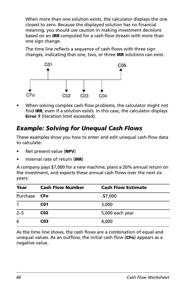When more than one solution exists, the calculator displays the one closest to zero. Because the displayed solution has no financial meaning, you should use caution in making investment decisions based on an **IRR** computed for a cash-flow stream with more than one sign change.

The time line reflects a sequence of cash flows with three sign changes, indicating that one, two, or three **IRR** solutions can exist.



When solving complex cash-flow problems, the calculator might not find **IRR**, even if a solution exists. In this case, the calculator displays **Error 7** (iteration limit exceeded).

# *Example: Solving for Unequal Cash Flows*

These examples show you how to enter and edit unequal cash-flow data to calculate:

- Net present value (**NPV**)
- Internal rate of return (**IRR**)

A company pays \$7,000 for a new machine, plans a 20% annual return on the investment, and expects these annual cash flows over the next six years:

| Year     | <b>Cash Flow Number</b> | <b>Cash Flow Estimate</b> |
|----------|-------------------------|---------------------------|
| Purchase | <b>CFo</b>              | $-$7.000$                 |
| 1        | <b>C01</b>              | 3,000                     |
| $2 - 5$  | C02                     | 5,000 each year           |
| 6        | C03                     | 4,000                     |

As the time line shows, the cash flows are a combination of equal and unequal values. As an outflow, the initial cash flow (**CFo**) appears as a negative value.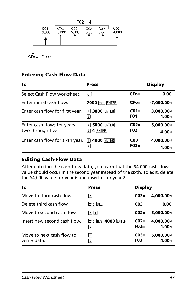

#### **Entering Cash-Flow Data**

| To                                              | <b>Press</b>                                       |                           | <b>Display</b>     |
|-------------------------------------------------|----------------------------------------------------|---------------------------|--------------------|
| Select Cash Flow worksheet.                     | <b>CFI</b>                                         | $CFo=$                    | 0.00               |
| Enter initial cash flow.                        | <b>7000 <math>\overline{+/-}</math> ENTER</b>      | $CFo=$                    | $-7,000.00$        |
| Enter cash flow for first year.                 | <b>3000 ENTER</b><br> 1 <br>$\downarrow$           | $CO1=$<br>$F01=$          | 3,000,00<br>1.00⊲  |
| Enter cash flows for years<br>two through five. | <b>5000 ENTER</b><br>$\downarrow$<br>4 ENTER       | CO <sub>2</sub><br>$F02=$ | 5,000.00⊲<br>4.00⊲ |
| Enter cash flow for sixth year.                 | <b>4000 [ENTER]</b><br> 1 <br>$\ddot{\phantom{0}}$ | CO <sub>3</sub><br>$F03=$ | 4,000.00⊲<br>1.00⊲ |

#### **Editing Cash-Flow Data**

After entering the cash-flow data, you learn that the \$4,000 cash-flow value should occur in the second year instead of the sixth. To edit, delete the \$4,000 value for year 6 and insert it for year 2.

| To                                        | <b>Press</b>                         | <b>Display</b>            |                                   |
|-------------------------------------------|--------------------------------------|---------------------------|-----------------------------------|
| Move to third cash flow.                  | t                                    | CO <sub>3</sub>           | 4,000.00⊲                         |
| Delete third cash flow.                   | 2nd [DEL]                            | CO <sub>3</sub>           | 0.00                              |
| Move to second cash flow.                 | $t$   $t$                            | CO <sub>2</sub>           | 5,000,00                          |
| Insert new second cash flow.              | $[2nd]$ $[INS]$ 4000 $[ENTER]$<br> ↓ | CO <sub>2</sub><br>$F02=$ | 4,000.00⊲<br>1.00⊲                |
| Move to next cash flow to<br>verify data. | $\downarrow$<br>$\downarrow$         | CO <sub>3</sub><br>$F03=$ | $5,000.00 \triangleleft$<br>4.00⊲ |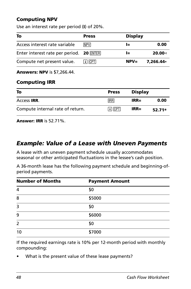#### **Computing NPV**

Use an interest rate per period (**I**) of 20%.

| To                                       | <b>Press</b>                     | <b>Display</b> |           |
|------------------------------------------|----------------------------------|----------------|-----------|
| Access interest rate variable            | <b>NPV</b>                       | l=             | 0.00      |
| Enter interest rate per period. 20 ENTER |                                  | l=             | 20.00⊲    |
| Compute net present value.               | $\lceil \downarrow \rceil$ [CPT] | $NPV =$        | 7.266.44* |

**Answers: NPV** is \$7,266.44.

#### **Computing IRR**

| To                               | <b>Press</b>    | <b>Display</b> |          |
|----------------------------------|-----------------|----------------|----------|
| Access <b>IRR</b> .              | [IRR]           | $IRR =$        | 0.00     |
| Compute internal rate of return. | $'$ + $ $ $CPT$ | $IRR =$        | $52.71*$ |

**Answer: IRR** is 52.71%.

# *Example: Value of a Lease with Uneven Payments*

A lease with an uneven payment schedule usually accommodates seasonal or other anticipated fluctuations in the lessee's cash position.

A 36-month lease has the following payment schedule and beginning-ofperiod payments.

| <b>Number of Months</b> | <b>Payment Amount</b> |  |
|-------------------------|-----------------------|--|
| 4                       | \$0                   |  |
| 8                       | \$5000                |  |
| 3                       | \$0                   |  |
| 9                       | \$6000                |  |
| $\overline{2}$          | \$0                   |  |
| 10                      | \$7000                |  |

If the required earnings rate is 10% per 12-month period with monthly compounding:

What is the present value of these lease payments?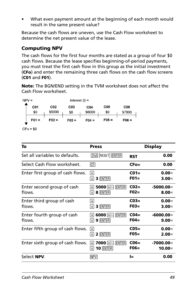What even payment amount at the beginning of each month would result in the same present value?

Because the cash flows are uneven, use the Cash Flow worksheet to determine the net present value of the lease.

#### **Computing NPV**

The cash flows for the first four months are stated as a group of four \$0 cash flows. Because the lease specifies beginning-of-period payments, you must treat the first cash flow in this group as the initial investment (**CFo**) and enter the remaining three cash flows on the cash flow screens (**C01** and **F01**).

**Note:** The BGN/END setting in the TVM worksheet does not affect the Cash Flow worksheet.



| To                                   | <b>Press</b>                                                                                   |                           | <b>Display</b>                               |
|--------------------------------------|------------------------------------------------------------------------------------------------|---------------------------|----------------------------------------------|
| Set all variables to defaults.       | <b>2nd FRESET ENTER</b>                                                                        | <b>RST</b>                | 0.00                                         |
| Select Cash Flow worksheet.          | $\boxed{\mathsf{CF}}$                                                                          | $CFo=$                    | 0.00                                         |
| Enter first group of cash flows.     | $\vert \downarrow \vert$<br>$\lceil \cdot \rceil$ 3 $\lceil$ ENTER                             | $CO1=$<br>$F01=$          | $0.00 \triangleleft$<br>$3.00 \triangleleft$ |
| Enter second group of cash<br>flows. | $5000$ $\left[\frac{+}{-}\right]$<br><b>ENTER</b><br> 1 <br>$\Box$ 8 ENTER                     | CO <sub>2</sub><br>$F02=$ | -5000.00⊲<br>8.00 $<$                        |
| Enter third group of cash<br>flows.  | ↓ <br>$\lceil \cdot \rceil$ 3 $\lceil \text{ENTER} \rceil$                                     | CO <sub>3</sub><br>$F03=$ | $0.00 \triangleleft$<br>$3.00 \triangleleft$ |
| Enter fourth group of cash<br>flows. | <b>ENTER</b><br>6000 $\left +\right\rangle -\right $<br>I∔I<br>$9$ [ENTER]<br>$  \downarrow  $ | $CO4=$<br>$F04=$          | -6000.00⊲<br>9.00 $\triangleleft$            |
| Enter fifth group of cash flows.     | $  \cdot  $<br>$2$ [ENTER]<br> 1                                                               | CO <sub>5</sub><br>$F05=$ | $0.00 \triangleleft$<br>$2.00 \triangleleft$ |
| Enter sixth group of cash flows.     | <b>ENTER</b><br>$ 1 $ 7000 +/-<br><b>10 ENTER</b>                                              | $C06=$<br>$F06=$          | $-7000.00$<br>10.00⊲                         |
| Select NPV.                          | [NPV]                                                                                          | l=                        | 0.00                                         |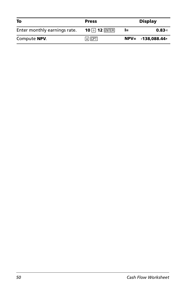| To                           | <b>Press</b>          |    | <b>Display</b>       |
|------------------------------|-----------------------|----|----------------------|
| Enter monthly earnings rate. | 10 $\ominus$ 12 ENTER | ıн | 0.83 $\triangleleft$ |
| Compute NPV.                 | $ 1 $ $ CPT $         |    | $NPV = -138,088.44*$ |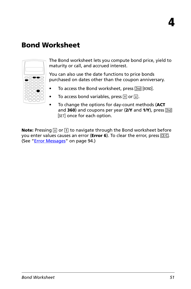# **Bond Worksheet**



The Bond worksheet lets you compute bond price, yield to maturity or call, and accrued interest.

You can also use the date functions to price bonds purchased on dates other than the coupon anniversary.

- To access the Bond worksheet, press  $[2nd]$   $[BOND]$ .
- To access bond variables, press  $\uparrow$  or  $\downarrow$ .
- To change the options for day-count methods (**ACT** and **360**) and coupons per year  $(2/Y$  and  $1/Y$ ), press  $\boxed{2nd}$ [SET] once for each option.

**Note:** Pressing  $\Box$  or  $\Box$  to navigate through the Bond worksheet before you enter values causes an error (**Error 6**). To clear the error, press CECC. [\(See "Error Messages" on page 94.\)](#page-97-0)

**4**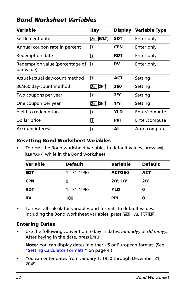# *Bond Worksheet Variables*

| Variable                                      | Key                 | <b>Display</b> | <b>Variable Type</b> |
|-----------------------------------------------|---------------------|----------------|----------------------|
| Settlement date                               | $[2nd]$ $[BOND]$    | <b>SDT</b>     | Enter only           |
| Annual coupon rate in percent                 | $ \downarrow $      | <b>CPN</b>     | Enter only           |
| Redemption date                               | $ \downarrow $      | <b>RDT</b>     | Enter only           |
| Redemption value (percentage of<br>par value) | $  \cdot  $         | <b>RV</b>      | Enter only           |
| Actual/actual day-count method                | $ \downarrow $      | ACT            | Setting              |
| 30/360 day-count method                       | $[2nd]$ $[SET]$     | 360            | Setting              |
| Two coupons per year                          | $ \downarrow $      | 2/Y            | Setting              |
| One coupon per year                           | $[2nd]$ $[SET]$     | 1/Y            | Setting              |
| Yield to redemption                           | $\vert \cdot \vert$ | YLD            | Enter/compute        |
| Dollar price                                  | $ \downarrow $      | <b>PRI</b>     | Enter/compute        |
| <b>Accrued interest</b>                       | $ \downarrow $      | Al             | Auto-compute         |

#### **Resetting Bond Worksheet Variables**

• To reset the Bond worksheet variables to default values, press  $\sqrt{2nd}$ [CLR W0RK] while in the Bond worksheet.

| Variable   | <b>Default</b> | Variable       | <b>Default</b> |
|------------|----------------|----------------|----------------|
| <b>SDT</b> | 12-31-1990     | <b>ACT/360</b> | <b>ACT</b>     |
| <b>CPN</b> | 0              | 2/Y, 1/Y       | 2/Y            |
| <b>RDT</b> | 12-31-1990     | YLD            | o              |
| RV         | 100            | <b>PRI</b>     |                |

• To reset all calculator variables and formats to default values, including the Bond worksheet variables, press [2nd] [RESET] [ENTER].

#### **Entering Dates**

• Use the following convention to key in dates: *mm.ddyy* or *dd.mmyy*. After keying in the date, press **ENTER**.

**Note:** You can display dates in either US or European format. [\(See](#page-7-0)  "Setting Calculator Formats" on page 4.)

• You can enter dates from January 1, 1950 through December 31, 2049.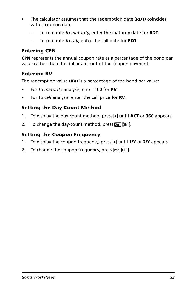- The calculator assumes that the redemption date (**RDT**) coincides with a coupon date:
	- To compute *to maturity*, enter the maturity date for **RDT**.
	- To compute *to call*, enter the call date for **RDT**.

## **Entering CPN**

**CPN** represents the annual coupon rate as a percentage of the bond par value rather than the dollar amount of the coupon payment.

#### **Entering RV**

The redemption value (**RV**) is a percentage of the bond par value:

- For *to maturity* analysis, enter 100 for **RV**.
- For *to call* analysis, enter the call price for **RV**.

#### **Setting the Day-Count Method**

- 1. To display the day-count method, press  $\mathbf{F}$  until **ACT** or **360** appears.
- 2. To change the day-count method, press  $[2nd]$  [SET].

#### **Setting the Coupon Frequency**

- 1. To display the coupon frequency, press  $\lceil \cdot \rceil$  until **1/Y** or **2/Y** appears.
- 2. To change the coupon frequency, press  $[2nd]$  [SET].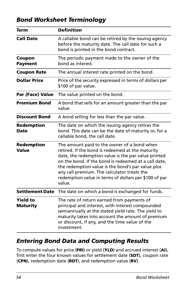# *Bond Worksheet Terminology*

| Term                               | <b>Definition</b>                                                                                                                                                                                                                                                                                                                                                                     |  |
|------------------------------------|---------------------------------------------------------------------------------------------------------------------------------------------------------------------------------------------------------------------------------------------------------------------------------------------------------------------------------------------------------------------------------------|--|
| <b>Call Date</b>                   | A callable bond can be retired by the issuing agency<br>before the maturity date. The call date for such a<br>bond is printed in the bond contract.                                                                                                                                                                                                                                   |  |
| Coupon<br><b>Payment</b>           | The periodic payment made to the owner of the<br>bond as interest.                                                                                                                                                                                                                                                                                                                    |  |
| <b>Coupon Rate</b>                 | The annual interest rate printed on the bond.                                                                                                                                                                                                                                                                                                                                         |  |
| <b>Dollar Price</b>                | Price of the security expressed in terms of dollars per<br>\$100 of par value.                                                                                                                                                                                                                                                                                                        |  |
| Par (Face) Value                   | The value printed on the bond.                                                                                                                                                                                                                                                                                                                                                        |  |
| <b>Premium Bond</b>                | A bond that sells for an amount greater than the par<br>value.                                                                                                                                                                                                                                                                                                                        |  |
| <b>Discount Bond</b>               | A bond selling for less than the par value.                                                                                                                                                                                                                                                                                                                                           |  |
| Redemption<br>Date                 | The date on which the issuing agency retires the<br>bond. This date can be the date of maturity or, for a<br>callable bond, the call date.                                                                                                                                                                                                                                            |  |
| Redemption<br>Value                | The amount paid to the owner of a bond when<br>retired. If the bond is redeemed at the maturity<br>date, the redemption value is the par value printed<br>on the bond. If the bond is redeemed at a call date,<br>the redemption value is the bond's par value plus<br>any call premium. The calculator treats the<br>redemption value in terms of dollars per \$100 of par<br>value. |  |
| <b>Settlement Date</b>             | The date on which a bond is exchanged for funds.                                                                                                                                                                                                                                                                                                                                      |  |
| <b>Yield to</b><br><b>Maturity</b> | The rate of return earned from payments of<br>principal and interest, with interest compounded<br>semiannually at the stated yield rate. The yield to<br>maturity takes into account the amount of premium<br>or discount, if any, and the time value of the<br>investment.                                                                                                           |  |

# *Entering Bond Data and Computing Results*

To compute values for price (**PRI**) or yield (**YLD**) and accrued interest (**AI**), first enter the four known values for settlement date (**SDT**), coupon rate (**CPN**), redemption date (**RDT**), and redemption value (**RV**).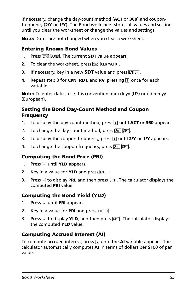If necessary, change the day-count method (**ACT** or **360**) and couponfrequency (**2/Y** or **1/Y**). The Bond worksheet stores all values and settings until you clear the worksheet or change the values and settings.

**Note:** Dates are not changed when you clear a worksheet.

#### **Entering Known Bond Values**

- 1. Press **[2nd]** [BOND]. The current **SDT** value appears.
- 2. To clear the worksheet, press  $[2nd]$  [CLR WORK].
- 3. If necessary, key in a new **SDT** value and press **ENTER**.
- 4. Repeat step 3 for **CPN, RDT**, and **RV**, pressing  $\Box$  once for each variable.

**Note:** To enter dates, use this convention: mm.ddyy (US) or dd.mmyy (European).

#### **Setting the Bond Day-Count Method and Coupon Frequency**

- 1. To display the day-count method, press  $\mathbf{F}$  until **ACT** or **360** appears.
- 2. To change the day-count method, press  $[2nd]$  [SET].
- 3. To display the coupon frequency, press  $\lceil \cdot \rceil$  until **2/Y** or **1/Y** appears.
- 4. To change the coupon frequency, press [2nd] [SET].

#### **Computing the Bond Price (PRI)**

- 1. Press  $\Box$  until **YLD** appears.
- 2. Key in a value for **YLD** and press **ENTER**.
- 3. Press  $\mathbb{F}$  to display **PRI**, and then press  $\mathbb{C}$ PT. The calculator displays the computed **PRI** value.

#### **Computing the Bond Yield (YLD)**

- 1. Press  $\Box$  until **PRI** appears.
- 2. Key in a value for **PRI** and press  $[ENTER]$ .
- 3. Press  $\mathbb{F}$  to display **YLD**, and then press  $\mathbb{F}$ . The calculator displays the computed **YLD** value.

## **Computing Accrued Interest (AI)**

To compute accrued interest, press  $\Box$  until the **AI** variable appears. The calculator automatically computes **AI** in terms of dollars per \$100 of par value.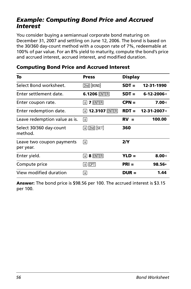## *Example: Computing Bond Price and Accrued Interest*

You consider buying a semiannual corporate bond maturing on December 31, 2007 and settling on June 12, 2006. The bond is based on the 30/360 day-count method with a coupon rate of 7%, redeemable at 100% of par value. For an 8% yield to maturity, compute the bond's price and accrued interest, accrued interest, and modified duration.

| To                                     | <b>Press</b>                 | <b>Display</b> |             |
|----------------------------------------|------------------------------|----------------|-------------|
| Select Bond worksheet.                 | $2nd$ $[BOND]$               | $SDT =$        | 12-31-1990  |
| Enter settlement date.                 | <b>6.1206 ENTER</b>          | $SDT =$        | 6-12-2006⊲  |
| Enter coupon rate.                     | $\overline{4}$ 7 ENTER       | $CPN =$        | 7.00⊲       |
| Enter redemption date.                 | $\overline{4}$ 12.3107 ENTER | $RDT =$        | 12-31-2007⊲ |
| Leave redemption value as is.          | $  \cdot  $                  | $RV =$         | 100.00      |
| Select 30/360 day-count<br>method.     | $\Box$ 2nd SET               | 360            |             |
| Leave two coupon payments<br>per year. | $  \cdot  $                  | 2/Y            |             |
| Enter yield.                           | 8 ENTER<br>$  \downarrow  $  | $YLD =$        | 8.00 $<$    |
| Compute price                          | $\downarrow$ $ $ [CPT]       | $PRI =$        | 98.56*      |
| View modified duration                 | $\downarrow$                 | $DUR =$        | 1.44        |

#### **Computing Bond Price and Accrued Interest**

**Answer:** The bond price is \$98.56 per 100. The accrued interest is \$3.15 per 100.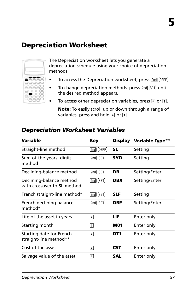# **Depreciation Worksheet**



The Depreciation worksheet lets you generate a depreciation schedule using your choice of depreciation methods.

- To access the Depreciation worksheet, press  $[2nd]$  [DEPR].
- To change depreciation methods, press [2nd] [SET] until the desired method appears.
- To access other depreciation variables, press  $\Box$  or  $\Box$ .

**Note:** To easily scroll up or down through a range of variables, press and hold  $\Box$  or  $\Box$ .

# *Depreciation Worksheet Variables*

| Variable                                                       | <b>Key</b>            | Display    | Variable Type** |
|----------------------------------------------------------------|-----------------------|------------|-----------------|
| Straight-line method                                           | $[2nd]$ $[DEPR]$      | SL         | Setting         |
| Sum-of-the-years'-digits<br>method                             | $[2nd]$ $[SET]$       | <b>SYD</b> | Setting         |
| Declining-balance method                                       | $[2nd]$ $[SET]$       | DB         | Setting/Enter   |
| Declining-balance method<br>with crossover to <b>SL</b> method | $[2nd]$ $[SET]$       | <b>DBX</b> | Setting/Enter   |
| French straight-line method*                                   | $[2nd]$ $[SET]$       | <b>SLF</b> | Setting         |
| French declining balance<br>method*                            | $[2nd]$ $[SET]$       | DBF        | Setting/Enter   |
| Life of the asset in years                                     | $\lceil \cdot \rceil$ | LIF        | Enter only      |
| Starting month                                                 | $\lceil \cdot \rceil$ | <b>M01</b> | Enter only      |
| Starting date for French<br>straight-line method**             | $\lceil \cdot \rceil$ | DT1        | Enter only      |
| Cost of the asset                                              | $\vert \cdot \vert$   | <b>CST</b> | Enter only      |
| Salvage value of the asset                                     | $\lceil \cdot \rceil$ | SAL        | Enter only      |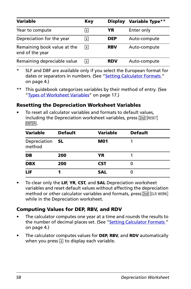| Variable                                       | Key            |            | Display Variable Type** |
|------------------------------------------------|----------------|------------|-------------------------|
| Year to compute                                | $\downarrow$   | YR         | Enter only              |
| Depreciation for the year                      | $  \cdot  $    | <b>DEP</b> | Auto-compute            |
| Remaining book value at the<br>end of the year | $ \downarrow $ | <b>RBV</b> | Auto-compute            |
| Remaining depreciable value                    | ∣∔l            | <b>RDV</b> | Auto-compute            |

SLF and DBF are available only if you select the European format for dates or separators in numbers. (See "Setting Calculator Formats" [on page 4.\)](#page-7-0)

\*\* This guidebook categorizes variables by their method of entry. [\(See](#page-20-0)  ["Types of Worksheet Variables" on page 17.\)](#page-20-0)

#### **Resetting the Depreciation Worksheet Variables**

• To reset all calculator variables and formats to default values, ENTER]. including the Depreciation worksheet variables, press  $[2nd]$  [RESET]

| Variable                  | <b>Default</b> | Variable   | <b>Default</b> |
|---------------------------|----------------|------------|----------------|
| Depreciation SL<br>method |                | <b>M01</b> |                |
| DB                        | 200            | YR         |                |
| <b>DBX</b>                | 200            | <b>CST</b> |                |
| LIF                       |                | <b>SAL</b> |                |

• To clear only the **LIF**, **YR**, **CST**, and **SAL** Depreciation worksheet variables and reset default values without affecting the depreciation method or other calculator variables and formats, press [2nd] [CLR WORK] while in the Depreciation worksheet.

#### **Computing Values for DEP, RBV, and RDV**

- The calculator computes one year at a time and rounds the results to the number of decimal places set. (See "Setting Calculator Formats" [on page 4.\)](#page-7-0)
- The calculator computes values for **DEP, RBV**, and **RDV** automatically when you press  $\Box$  to display each variable.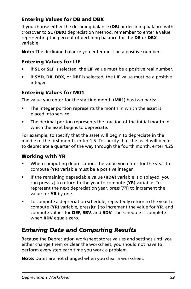## **Entering Values for DB and DBX**

If you choose either the declining balance (**DB**) or declining balance with crossover to **SL** (**DBX**) depreciation method, remember to enter a value representing the percent of declining balance for the **DB** or **DBX** variable.

**Note:** The declining balance you enter must be a positive number.

#### **Entering Values for LIF**

- If **SL** or **SLF** is selected, the **LIF** value must be a positive real number.
- If **SYD**, **DB**, **DBX**, or **DBF** is selected, the **LIF** value must be a positive integer.

#### **Entering Values for M01**

The value you enter for the starting month (**M01**) has two parts:

- The integer portion represents the month in which the asset is placed into service.
- The decimal portion represents the fraction of the initial month in which the asset begins to depreciate.

For example, to specify that the asset will begin to depreciate in the middle of the first month, enter 1.5. To specify that the asset will begin to depreciate a quarter of the way through the fourth month, enter 4.25.

#### **Working with YR**

- When computing depreciation, the value you enter for the year-tocompute (**YR**) variable must be a positive integer.
- If the remaining depreciable value (**RDV**) variable is displayed, you can press  $\mathbb{F}$  to return to the year to compute (**YR**) variable. To represent the next depreciation year, press  $\sqrt{CPT}$  to increment the value for **YR** by one.
- To compute a depreciation schedule, repeatedly return to the year to compute ( $YR$ ) variable, press  $[CPT]$  to increment the value for  $YR$ , and compute values for **DEP**, **RBV**, and **RDV**. The schedule is complete when **RDV** equals zero.

# *Entering Data and Computing Results*

Because the Depreciation worksheet stores values and settings until you either change them or clear the worksheet, you should not have to perform every step each time you work a problem.

**Note:** Dates are not changed when you clear a worksheet.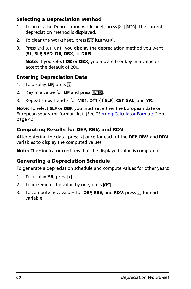## **Selecting a Depreciation Method**

- 1. To access the Depreciation worksheet, press [2nd] [DEPR]. The current depreciation method is displayed.
- 2. To clear the worksheet, press  $[2nd]$  [CLR WORK].
- 3. Press  $[2nd]$  SET until you display the depreciation method you want (**SL**, **SLF**, **SYD**, **DB**, **DBX**, or **DBF**).

**Note:** If you select **DB** or **DBX**, you must either key in a value or accept the default of 200.

#### **Entering Depreciation Data**

- 1. To display **LIF**, press  $\boxed{1}$ .
- 2. Key in a value for **LIF** and press **ENTER**.
- 3. Repeat steps 1 and 2 for **M01**, **DT1** (if **SLF**), **CST**, **SAL**, and **YR**.

**Note:** To select **SLF** or **DBF**, you must set either the European date or European separator format first. [\(See "Setting Calculator Formats " on](#page-7-0)  [page 4.\)](#page-7-0)

#### **Computing Results for DEP, RBV, and RDV**

After entering the data, press  $\Box$  once for each of the **DEP**, RBV, and RDV variables to display the computed values.

**Note:** The \* indicator confirms that the displayed value is computed.

## **Generating a Depreciation Schedule**

To generate a depreciation schedule and compute values for other years:

- 1. To display **YR**, press  $\Box$ .
- 2. To increment the value by one, press  $[CPT]$ .
- 3. To compute new values for **DEP, RBV**, and **RDV**, press  $\left| \cdot \right|$  for each variable.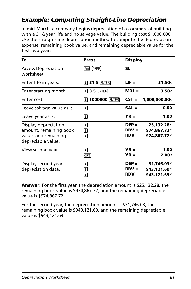# *Example: Computing Straight-Line Depreciation*

In mid-March, a company begins depreciation of a commercial building with a 31½ year life and no salvage value. The building cost \$1,000,000. Use the straight-line depreciation method to compute the depreciation expense, remaining book value, and remaining depreciable value for the first two years.

| To                                                                                           | <b>Press</b>                                               | <b>Display</b>                                                            |
|----------------------------------------------------------------------------------------------|------------------------------------------------------------|---------------------------------------------------------------------------|
| <b>Access Depreciation</b><br>worksheet.                                                     | $[2nd]$ $[DEPR]$                                           | SL                                                                        |
| Enter life in years.                                                                         | 1 31.5 ENTER                                               | $LIF =$<br>31.50⊲                                                         |
| Enter starting month.                                                                        | $\lceil \cdot \rceil$ 3.5 ENTER                            | $M01 =$<br>$3.50 \triangleleft$                                           |
| Enter cost.                                                                                  | <b>1000000 ENTER</b><br>∣∔∣                                | $CST =$<br>1,000,000.00⊲                                                  |
| Leave salvage value as is.                                                                   | $\vert \cdot \vert$                                        | $SAL =$<br>0.00                                                           |
| Leave year as is.                                                                            | $\lceil \cdot \rceil$                                      | $YR =$<br>1.00                                                            |
| Display depreciation<br>amount, remaining book<br>value, and remaining<br>depreciable value. | $\lceil \cdot \rceil$<br>⊡<br>$\downarrow$                 | $DEF =$<br>25,132.28*<br>$RBV =$<br>974,867.72*<br>$RDV =$<br>974,867.72* |
| View second year.                                                                            | $ + $<br>[CPT]                                             | $YR =$<br>1.00<br>$YR =$<br><b>2.00</b> ⊴                                 |
| Display second year<br>depreciation data.                                                    | $ \downarrow $<br>$\downarrow$<br>$\vert \downarrow \vert$ | $DEF =$<br>31,746.03*<br>$RBV =$<br>943,121.69*<br>$RDV =$<br>943,121.69* |

**Answer:** For the first year, the depreciation amount is \$25,132.28, the remaining book value is \$974,867.72, and the remaining depreciable value is \$974,867.72.

For the second year, the depreciation amount is \$31,746.03, the remaining book value is \$943,121.69, and the remaining depreciable value is \$943,121.69.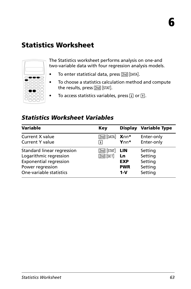# **Statistics Worksheet**

| −<br>-<br>С<br>с |
|------------------|

The Statistics worksheet performs analysis on one-and two-variable data with four regression analysis models.

- To enter statistical data, press [2nd] [DATA].
- To choose a statistics calculation method and compute the results, press  $[2nd]$  [STAT].
- To access statistics variables, press  $\Box$  or  $\Box$ .

## *Statistics Worksheet Variables*

| Variable                                                                                                                             | Key                                 |                                                | Display Variable Type                               |
|--------------------------------------------------------------------------------------------------------------------------------------|-------------------------------------|------------------------------------------------|-----------------------------------------------------|
| <b>Current X value</b><br><b>Current Y value</b>                                                                                     | $[2nd]$ $[DATA]$ $Xnn*$<br>∣∔∣      | $\mathbf{Y}$ nn*                               | Enter-only<br>Enter-only                            |
| Standard linear regression<br>Logarithmic regression<br><b>Exponential regression</b><br>Power regression<br>One-variable statistics | $[2nd]$ $[STAT]$<br>$[2nd]$ $[SET]$ | LIN<br>Ln<br><b>EXP</b><br><b>PWR</b><br>$1-V$ | Setting<br>Setting<br>Setting<br>Setting<br>Setting |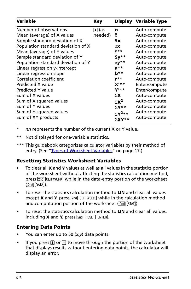| Variable                           | Key                            | Display                 | <b>Variable Type</b> |
|------------------------------------|--------------------------------|-------------------------|----------------------|
| Number of observations             | $\lceil \mathsf{I} \rceil$ (as | n                       | Auto-compute         |
| Mean (average) of X values         | needed)                        | ⊽                       | Auto-compute         |
| Sample standard deviation of X     |                                | Sx                      | Auto-compute         |
| Population standard deviation of X |                                | $\sigma$ <b>x</b>       | Auto-compute         |
| Mean (average) of Y values         |                                | $\bar{v}$ **            | Auto-compute         |
| Sample standard deviation of Y     |                                | $Sv**$                  | Auto-compute         |
| Population standard deviation of Y |                                | $\sigma$ y**            | Auto-compute         |
| Linear regression y-intercept      |                                | $a***$                  | Auto-compute         |
| Linear regression slope            |                                | b**                     | Auto-compute         |
| Correlation coefficient            |                                | $r^*$                   | Auto-compute         |
| Predicted X value                  |                                | $X$ '**                 | Enter/compute        |
| <b>Predicted Y value</b>           |                                | $Y$ '**                 | Enter/compute        |
| Sum of X values                    |                                | ΣΧ                      | Auto-compute         |
| Sum of X squared values            |                                | $\Sigma$ x <sup>2</sup> | Auto-compute         |
| Sum of Y values                    |                                | $\Sigma$ Y**            | Auto-compute         |
| Sum of Y squared values            |                                | $\Sigma Y^2$ **         | Auto-compute         |
| Sum of XY products                 |                                | $\Sigma$ XY**           | Auto-compute         |

\* *nn* represents the number of the current X or Y value.

- Not displayed for one-variable statistics.
- \*\*\* This quidebook categorizes calculator variables by their method of entry. [\(See "Types of Worksheet Variables" on page 17.\)](#page-20-0)

#### **Resetting Statistics Worksheet Variables**

- To clear all **X** and **Y** values as well as all values in the statistics portion of the worksheet without affecting the statistics calculation method, press [2nd] [CLR WORK] while in the data-entry portion of the worksheet  $(I2nd | DATA]).$
- To reset the statistics calculation method to **LIN** and clear all values except **X** and **Y**, press **[2nd]** [CLR WORK] while in the calculation method and computation portion of the worksheet  $(2nd)$  [STAT]).
- To reset the statistics calculation method to **LIN** and clear all values,  $\frac{1}{2}$  including **X** and **Y**, press  $\frac{2}{2}$  [RESET]  $\frac{1}{2}$  [ENTER].

#### **Entering Data Points**

- You can enter up to 50 (*x,y*) data points.
- If you press  $\left[\frac{1}{2}\right]$  or  $\left[\frac{1}{2}\right]$  to move through the portion of the worksheet that displays results without entering data points, the calculator will display an error.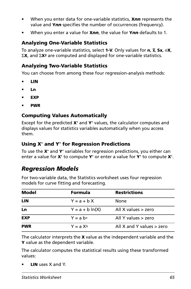- When you enter data for one-variable statistics, **X***nn* represents the value and **Y***nn* specifies the number of occurrences (frequency).
- When you enter a value for **X***nn*, the value for **Y***nn* defaults to 1.

#### **Analyzing One-Variable Statistics**

To analyze one-variable statistics, select **1-V**. Only values for **n**,  $\bar{x}$ , **Sx**,  $\sigma$ **X**,  $\Sigma$ **X**, and  $\Sigma$ **X**<sup>2</sup> are computed and displayed for one-variable statistics.

#### **Analyzing Two-Variable Statistics**

You can choose from among these four regression-analysis methods:

- **LIN**
- **Ln**
- **EXP**
- **PWR**

#### **Computing Values Automatically**

Except for the predicted **X'** and **Y'** values, the calculator computes and displays values for statistics variables automatically when you access them.

#### **Using X' and Y' for Regression Predictions**

To use the **X'** and **Y'** variables for regression predictions, you either can enter a value for **X'** to compute **Y'** or enter a value for **Y'** to compute **X'**.

## *Regression Models*

For two-variable data, the Statistics worksheet uses four regression models for curve fitting and forecasting.

| <b>Model</b> | Formula            | <b>Restrictions</b>         |
|--------------|--------------------|-----------------------------|
| LIN          | $Y = a + bX$       | None                        |
| Ln           | $Y = a + b \ln(X)$ | All X values $>$ zero       |
| <b>EXP</b>   | $Y = a b^x$        | All Y values > zero         |
| <b>PWR</b>   | $Y = a X^b$        | All X and Y values $>$ zero |

The calculator interprets the **X** value as the independent variable and the **Y** value as the dependent variable.

The calculator computes the statistical results using these transformed values:

• **LIN** uses X and Y.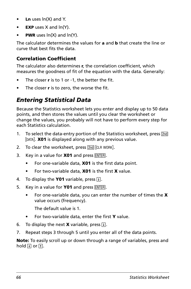- **Ln** uses ln(X) and Y.
- **EXP** uses X and  $ln(Y)$ .
- **PWR** uses  $ln(X)$  and  $ln(Y)$ .

The calculator determines the values for **a** and **b** that create the line or curve that best fits the data.

## **Correlation Coefficient**

The calculator also determines **r**, the correlation coefficient, which measures the goodness of fit of the equation with the data. Generally:

- The closer **r** is to 1 or -1, the better the fit.
- The closer **r** is to zero, the worse the fit.

# *Entering Statistical Data*

Because the Statistics worksheet lets you enter and display up to 50 data points, and then stores the values until you clear the worksheet or change the values, you probably will not have to perform every step for each Statistics calculation.

- 1. To select the data-entry portion of the Statistics worksheet, press  $[2nd]$ [DATA]. **X01** is displayed along with any previous value.
- 2. To clear the worksheet, press  $[2nd]$  [CLR WORK].
- 3. Key in a value for **X01** and press **ENTER**.
	- For one-variable data, **X01** is the first data point.
	- For two-variable data, **X01** is the first **X** value.
- 4. To display the **Y01** variable, press  $\mathbf{\Pi}$ .
- 5. Key in a value for **Y01** and press **ENTER**.
	- For one-variable data, you can enter the number of times the **X** value occurs (frequency).

The default value is 1.

- For two-variable data, enter the first **Y** value.
- 6. To display the next **X** variable, press  $\mathbf{F}$ .
- 7. Repeat steps 3 through 5 until you enter all of the data points.

**Note:** To easily scroll up or down through a range of variables, press and hold  $\Box$  or  $\Box$ .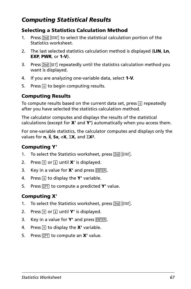# *Computing Statistical Results*

#### **Selecting a Statistics Calculation Method**

- 1. Press [2nd] [STAT] to select the statistical calculation portion of the Statistics worksheet.
- 2. The last selected statistics calculation method is displayed (**LIN**, **Ln**, **EXP**, **PWR**, or **1-V**).
- 3. Press  $\boxed{2nd}$  [SET] repeatedly until the statistics calculation method you want is displayed.
- 4. If you are analyzing one-variable data, select **1-V**.
- 5. Press  $\Box$  to begin computing results.

#### **Computing Results**

To compute results based on the current data set, press  $\Box$  repeatedly after you have selected the statistics calculation method.

The calculator computes and displays the results of the statistical calculations (except for **X'** and **Y'**) automatically when you access them.

For one-variable statistics, the calculator computes and displays only the values for **n**,  $\bar{x}$ , **Sx**,  $\sigma$ **X**,  $\Sigma$ **X**, and  $\Sigma$ **X**<sup>2</sup>.

## **Computing Y'**

- 1. To select the Statistics worksheet, press  $[2nd]$  [STAT].
- 2. Press  $\uparrow$  or  $\uparrow$  until **X'** is displayed.
- 3. Key in a value for  $X'$  and press  $[ENTER]$ .
- 4. Press  $\Box$  to display the Y' variable.
- 5. Press  $\overline{CPT}$  to compute a predicted **Y'** value.

## **Computing X'**

- 1. To select the Statistics worksheet, press  $[2nd]$  [STAT].
- 2. Press  $\lceil \mathbf{f} \rceil$  or  $\lceil \mathbf{I} \rceil$  until **Y'** is displayed.
- 3. Key in a value for **Y'** and press **ENTER**.
- 4. Press  $\lceil \cdot \rceil$  to display the **X'** variable.
- 5. Press  $\overline{CPT}$  to compute an **X'** value.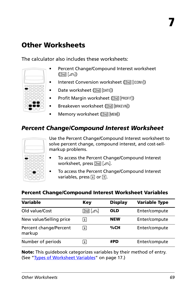# **Other Worksheets**

The calculator also includes these worksheets:



- Percent Change/Compound Interest worksheet  $(I2nd | \mathcal{A}\%])$
- Interest Conversion worksheet ([2nd] [ICONV])
- Date worksheet ([2nd] [DATE])
- Profit Margin worksheet (2nd [PROFIT])
- Breakeven worksheet (2nd [BRKEVN])
- Memory worksheet ([2nd] [MEM])

# <span id="page-72-0"></span>*Percent Change/Compound Interest Worksheet*



Use the Percent Change/Compound Interest worksheet to solve percent change, compound interest, and cost-sellmarkup problems.

- <span id="page-72-1"></span>To access the Percent Change/Compound Interest worksheet, press  $[2nd]$   $[\angle 4\%]$ .
- To access the Percent Change/Compound Interest variables, press  $\Box$  or  $\Box$ .

## **Percent Change/Compound Interest Worksheet Variables**

| Variable                         | Key                       | <b>Display</b> | <b>Variable Type</b> |
|----------------------------------|---------------------------|----------------|----------------------|
| Old value/Cost                   | $\sqrt{2nd}$ $\sqrt{2\%}$ | <b>OLD</b>     | Enter/compute        |
| New value/Selling price          | $\downarrow$              | <b>NEW</b>     | Enter/compute        |
| Percent change/Percent<br>markup | l∔l                       | %CH            | Enter/compute        |
| Number of periods                | $\downarrow$              | #PD            | Enter/compute        |

**Note:** This guidebook categorizes variables by their method of entry. [\(See "Types of Worksheet Variables" on page 17.\)](#page-20-0)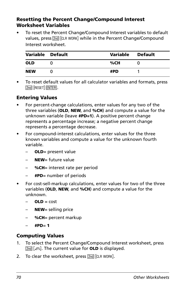#### **Resetting the Percent Change/Compound Interest Worksheet Variables**

• To reset the Percent Change/Compound Interest variables to default values, press **[2nd]** [CLR WORK] while in the Percent Change/Compound Interest worksheet.

<span id="page-73-1"></span>

| Variable Default | Variable Default |  |
|------------------|------------------|--|
| <b>OLD</b>       | %CH              |  |
| <b>NEW</b>       | #PD              |  |

• To reset default values for all calculator variables and formats, press [2nd] [RESET] [ENTER].

## **Entering Values**

- For percent-change calculations, enter values for any two of the three variables (**OLD**, **NEW**, and **%CH**) and compute a value for the unknown variable (leave **#PD=1**). A positive percent change represents a percentage increase; a negative percent change represents a percentage decrease.
- For compound-interest calculations, enter values for the three known variables and compute a value for the unknown fourth variable.
	- **OLD**= present value
	- **NEW**= future value
	- **%CH**= interest rate per period
	- **#PD**= number of periods
- For cost-sell-markup calculations, enter values for two of the three variables (**OLD**, **NEW**, and **%CH**) and compute a value for the unknown.
	- $OLD = cost$
	- **NEW**= selling price
	- **%CH**= percent markup
	- $-$  **#PD**= 1

## **Computing Values**

- <span id="page-73-0"></span>1. To select the Percent Change/Compound Interest worksheet, press [2nd] [ $\Delta$ %]. The current value for **OLD** is displayed.
- 2. To clear the worksheet, press  $[2nd]$  [CLR WORK].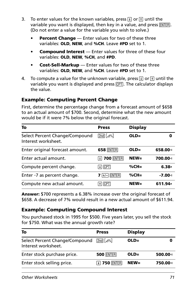- <span id="page-74-1"></span>3. To enter values for the known variables, press  $\mathbb{F}$  or  $\mathbb{F}$  until the variable you want is displayed, then key in a value, and press **ENTER**. (Do not enter a value for the variable you wish to solve.)
	- **Percent Change** Enter values for two of these three variables: **OLD**, **NEW**, and **%CH**. Leave **#PD** set to 1.
	- **Compound Interest** Enter values for three of these four variables: **OLD**, **NEW**, **%CH**, and **#PD**.
	- **Cost-Sell-Markup** Enter values for two of these three variables: **OLD**, **NEW**, and **%CH**. Leave **#PD** set to 1.
- <span id="page-74-2"></span>4. To compute a value for the unknown variable, press  $\mathbb{F}$  or  $\mathbb{F}$  until the variable you want is displayed and press **CPT**. The calculator displays the value.

#### **Example: Computing Percent Change**

<span id="page-74-0"></span>First, determine the percentage change from a forecast amount of \$658 to an actual amount of \$700. Second, determine what the new amount would be if it were 7% below the original forecast.

| To                                                    | <b>Press</b>                            | <b>Display</b> |         |
|-------------------------------------------------------|-----------------------------------------|----------------|---------|
| Select Percent Change/Compound<br>Interest worksheet. | $\boxed{2nd}$ $\boxed{\angle\%}$        | $OLD=$         | O       |
| Enter original forecast amount.                       | <b>658 ENTER</b>                        | $OLD=$         | 658.00⊲ |
| Enter actual amount.                                  | $\Box$ 700 ENTER                        | $NEW=$         | 700.00⊲ |
| Compute percent change.                               | $ $ $ $ $ $ $ $ $CPT$ $ $               | $%CH=$         | $6.38*$ |
| Enter -7 as percent change.                           | $7$ $\rightarrow$ $\rightarrow$ [ENTER] | $%CH=$         | -7.00⊲  |
| Compute new actual amount.                            | [CPT]                                   | $NFW =$        | 611.94* |

**Answer:** \$700 represents a 6.38% increase over the original forecast of \$658. A decrease of 7% would result in a new actual amount of \$611.94.

#### **Example: Computing Compound Interest**

You purchased stock in 1995 for \$500. Five years later, you sell the stock for \$750. What was the annual growth rate?

| To                                                    | <b>Press</b>                            | <b>Display</b> |         |
|-------------------------------------------------------|-----------------------------------------|----------------|---------|
| Select Percent Change/Compound<br>Interest worksheet. | $\lceil 2nd \rceil$ $\lceil 2\% \rceil$ | $OLD=$         |         |
| Enter stock purchase price.                           | <b>500 ENTER</b>                        | $OLD=$         | 500.00⊲ |
| Enter stock selling price.                            | $\Box$ 750 ENTER                        | $NEW=$         | 750.00⊲ |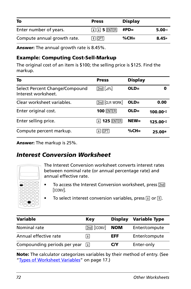| To                          | <b>Press</b>                    | <b>Display</b> |                      |
|-----------------------------|---------------------------------|----------------|----------------------|
| Enter number of years.      | $\Box$ $\Box$ 5 ENTER           | # $PD=$        | $5.00 \triangleleft$ |
| Compute annual growth rate. | $\overline{1}$ $\overline{CPT}$ | $\%$ CH=       | $8.45*$              |

**Answer:** The annual growth rate is 8.45%.

## **Example: Computing Cost-Sell-Markup**

<span id="page-75-0"></span>The original cost of an item is \$100; the selling price is \$125. Find the markup.

| To                                                    | <b>Press</b>           | <b>Display</b> |         |
|-------------------------------------------------------|------------------------|----------------|---------|
| Select Percent Change/Compound<br>Interest worksheet. | $[2nd]$ $[\angle 4\%]$ | $OLD=$         | o       |
| Clear worksheet variables.                            | <b>2nd CLR WORK</b>    | $OLD=$         | 0.00    |
| Enter original cost.                                  | <b>100 ENTER</b>       | $OLD=$         | 100.00⊲ |
| Enter selling price.                                  | $\sqrt{4}$ 125 ENTER   | $NEW =$        | 125.00⊲ |
| Compute percent markup.                               | [CPT]                  | $%CH=$         | 25.00*  |

**Answer:** The markup is 25%.

## *Interest Conversion Worksheet*



- The Interest Conversion worksheet converts interest rates between nominal rate (or annual percentage rate) and annual effective rate.
- To access the Interest Conversion worksheet, press 2nd [ICONV].
	- To select interest conversion variables, press  $\Pi$  or  $\Pi$ .

| Variable                            | Key               | <b>Display</b> | <b>Variable Type</b> |
|-------------------------------------|-------------------|----------------|----------------------|
| Nominal rate                        | $[2nd]$ $[ICONV]$ | <b>NOM</b>     | Enter/compute        |
| Annual effective rate               | $\downarrow$      | <b>EFF</b>     | Enter/compute        |
| Compounding periods per year $\Box$ |                   | C/Y            | Enter-only           |

**Note:** The calculator categorizes variables by their method of entry. [\(See](#page-20-0)  ["Types of Worksheet Variables" on page 17.\)](#page-20-0)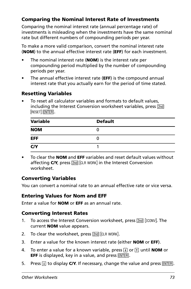#### **Comparing the Nominal Interest Rate of Investments**

Comparing the nominal interest rate (annual percentage rate) of investments is misleading when the investments have the same nominal rate but different numbers of compounding periods per year.

To make a more valid comparison, convert the nominal interest rate (**NOM**) to the annual effective interest rate (**EFF**) for each investment.

- The nominal interest rate (**NOM**) is the interest rate per compounding period multiplied by the number of compounding periods per year.
- <span id="page-76-1"></span>• The annual effective interest rate (**EFF**) is the compound annual interest rate that you actually earn for the period of time stated.

#### **Resetting Variables**

• To reset all calculator variables and formats to default values, including the Interest Conversion worksheet variables, press  $\boxed{2nd}$ [RESET] <u>(ENTER</u>).

| Variable   | <b>Default</b> |  |
|------------|----------------|--|
| <b>NOM</b> |                |  |
| <b>EFF</b> |                |  |
| <b>C/Y</b> |                |  |

<span id="page-76-0"></span>• To clear the **NOM** and **EFF** variables and reset default values without affecting **C/Y**, press **[2nd]** [CLR WORK] in the Interest Conversion worksheet.

#### **Converting Variables**

You can convert a nominal rate to an annual effective rate or vice versa.

#### **Entering Values for Nom and EFF**

Enter a value for **NOM** or **EFF** as an annual rate.

#### **Converting Interest Rates**

- 1. To access the Interest Conversion worksheet, press [2nd] [ICONV]. The current **NOM** value appears.
- 2. To clear the worksheet, press  $[2nd]$  [CLR WORK].
- 3. Enter a value for the known interest rate (either **NOM** or **EFF**).
- 4. To enter a value for a known variable, press  $\Box$  or  $\Box$  until **NOM** or **EFF** is displayed, key in a value, and press  $E\overline{\text{ENTER}}$ .
- 5. Press  $\overline{I}$  to display **C/Y**. If necessary, change the value and press **ENTER**.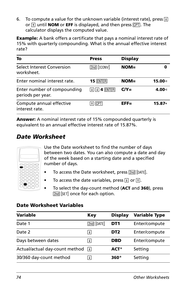6. To compute a value for the unknown variable (interest rate), press  $\boxed{1}$ or  $H$  until **NOM** or **EFF** is displayed, and then press  $\overline{CPT}$ . The calculator displays the computed value.

<span id="page-77-0"></span>**Example:** A bank offers a certificate that pays a nominal interest rate of 15% with quarterly compounding. What is the annual effective interest rate?

| To                                               | <b>Press</b>          | <b>Display</b> |        |
|--------------------------------------------------|-----------------------|----------------|--------|
| Select Interest Conversion<br>worksheet.         | $[2nd]$ $[ICONV]$     | $NOM=$         | Ω      |
| Enter nominal interest rate.                     | <b>15 ENTER</b>       | $NOM=$         | 15.00⊲ |
| Enter number of compounding<br>periods per year. | $\Box$ $\Box$ 4 ENTER | $C/Y=$         | 4.00⊲  |
| Compute annual effective<br>interest rate.       | CPT                   | $FFF=$         | 15.87* |

**Answer:** A nominal interest rate of 15% compounded quarterly is equivalent to an annual effective interest rate of 15.87%.

## <span id="page-77-1"></span>*Date Worksheet*



Use the Date worksheet to find the number of days between two dates. You can also compute a date and day of the week based on a starting date and a specified number of days.

- To access the Date worksheet, press [2nd] [DATE].
- To access the date variables, press  $\Pi$  or  $\Pi$ .
- To select the day-count method (**ACT** and **360**), press [2nd] [SET] once for each option.

#### **Date Worksheet Variables**

| <b>Variable</b>                       | Key            | <b>Display</b>  | <b>Variable Type</b> |
|---------------------------------------|----------------|-----------------|----------------------|
| Date 1                                | 2nd [DATE]     | DT <sub>1</sub> | Enter/compute        |
| Date 2                                | $ \downarrow $ | DT2             | Enter/compute        |
| Days between dates                    | $\downarrow$   | <b>DBD</b>      | Enter/compute        |
| Actual/actual day-count method $\Box$ |                | $ACT^*$         | Setting              |
| 30/360 day-count method               |                | $360*$          | Setting              |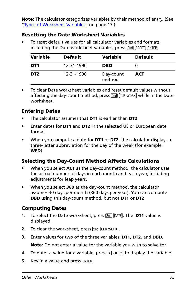**Note:** The calculator categorizes variables by their method of entry. [\(See](#page-20-0)  ["Types of Worksheet Variables" on page 17.\)](#page-20-0)

#### **Resetting the Date Worksheet Variables**

• To reset default values for all calculator variables and formats, including the Date worksheet variables, press [2nd] [RESET] [ENTER].

| Variable        | <b>Default</b> | Variable            | <b>Default</b> |  |
|-----------------|----------------|---------------------|----------------|--|
| DT <sub>1</sub> | 12-31-1990     | <b>DBD</b>          |                |  |
| DT <sub>2</sub> | 12-31-1990     | Day-count<br>method | <b>ACT</b>     |  |

• To clear Date worksheet variables and reset default values without affecting the day-count method, press [2nd] [CLR WORK] while in the Date worksheet.

#### <span id="page-78-3"></span>**Entering Dates**

- The calculator assumes that **DT1** is earlier than **DT2**.
- Enter dates for **DT1** and **DT2** in the selected US or European date format.
- When you compute a date for **DT1** or **DT2**, the calculator displays a three-letter abbreviation for the day of the week (for example, **WED**).

## **Selecting the Day-Count Method Affects Calculations**

- <span id="page-78-1"></span>When you select **ACT** as the day-count method, the calculator uses the actual number of days in each month and each year, including adjustments for leap years.
- <span id="page-78-2"></span><span id="page-78-0"></span>• When you select **360** as the day-count method, the calculator assumes 30 days per month (360 days per year). You can compute **DBD** using this day-count method, but not **DT1** or **DT2**.

## **Computing Dates**

- 1. To select the Date worksheet, press [2nd] [DATE]. The **DT1** value is displayed.
- 2. To clear the worksheet, press  $[2nd]$  [CLR WORK].
- 3. Enter values for two of the three variables: **DT1**, **DT2**, and **DBD**. **Note:** Do not enter a value for the variable you wish to solve for.
- 4. To enter a value for a variable, press  $\Box$  or  $\Box$  to display the variable.
- 5. Key in a value and press  $[ENTER]$ .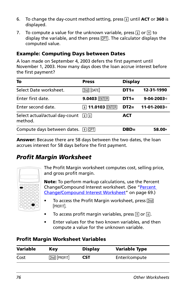- 6. To change the day-count method setting, press  $\mathbf{F}$  until **ACT** or **360** is displayed.
- 7. To compute a value for the unknown variable, press  $\Box$  or  $\Box$  to display the variable, and then press  $\overline{CPT}$ . The calculator displays the computed value.

#### **Example: Computing Days between Dates**

<span id="page-79-0"></span>A loan made on September 4, 2003 defers the first payment until November 1, 2003. How many days does the loan accrue interest before the first payment?

| To                                                                      | <b>Press</b>           | <b>Display</b> |             |
|-------------------------------------------------------------------------|------------------------|----------------|-------------|
| Select Date worksheet.                                                  | $[2nd]$ $[DATE]$       | $DT1=$         | 12-31-1990  |
| Enter first date.                                                       | <b>9.0403 ENTER</b>    | $DT1=$         | 9-04-2003<  |
| Enter second date.                                                      | <b>T 11.0103 ENTER</b> | $DT2=$         | 11-01-2003⊲ |
| Select actual/actual day-count $\Pi\Pi$<br>method.                      |                        | <b>ACT</b>     |             |
| Compute days between dates. $\begin{array}{ c c }\n\hline\n\end{array}$ |                        | DBD=           | 58.00*      |

**Answer:** Because there are 58 days between the two dates, the loan accrues interest for 58 days before the first payment.

## *Profit Margin Worksheet*



The Profit Margin worksheet computes cost, selling price, and gross profit margin.

**Note:** To perform markup calculations, use the Percent Change/Compound Interest worksheet. [\(See "Percent](#page-72-0)  [Change/Compound Interest Worksheet" on page 69.\)](#page-72-0)

- To access the Profit Margin worksheet, press [2nd] [PROFIT].
- To access profit margin variables, press  $\uparrow$  or  $\uparrow$ .
- Enter values for the two known variables, and then compute a value for the unknown variable.

## **Profit Margin Worksheet Variables**

| Variable | Key                | <b>Display</b> | <b>Variable Type</b> |
|----------|--------------------|----------------|----------------------|
| Cost     | $[2nd]$ $[PROFIT]$ | CST            | Enter/compute        |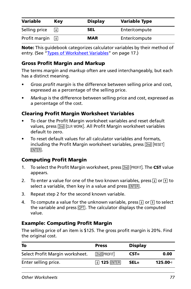| Variable             | Kev | <b>Display</b> | <b>Variable Type</b> |
|----------------------|-----|----------------|----------------------|
| Selling price        |     | SEL            | Enter/compute        |
| Profit margin $\Box$ |     | <b>MAR</b>     | Enter/compute        |

**Note:** This guidebook categorizes calculator variables by their method of entry. [\(See "Types of Worksheet Variables" on page 17.\)](#page-20-0)

#### **Gross Profit Margin and Markup**

The terms *margin* and *markup* often are used interchangeably, but each has a distinct meaning.

- *Gross profit margin* is the difference between selling price and cost, expressed as a percentage of the selling price.
- *Markup* is the difference between selling price and cost, expressed as a percentage of the cost.

#### **Clearing Profit Margin Worksheet Variables**

- <span id="page-80-1"></span><span id="page-80-0"></span>• To clear the Profit Margin worksheet variables and reset default values, press [2nd] [CLR WORK]. All Profit Margin worksheet variables default to zero.
- To reset default values for all calculator variables and formats, ENTER). including the Profit Margin worksheet variables, press  $[2nd]$  [RESET]

## **Computing Profit Margin**

- 1. To select the Profit Margin worksheet, press [2nd] [PROFIT]. The **CST** value appears.
- 2. To enter a value for one of the two known variables, press  $\Box$  or  $\Box$  to select a variable, then key in a value and press  $[ENTER]$ .
- 3. Repeat step 2 for the second known variable.
- 4. To compute a value for the unknown variable, press  $\Box$  or  $\Box$  to select the variable and press  $[CPT]$ . The calculator displays the computed value.

#### **Example: Computing Profit Margin**

The selling price of an item is \$125. The gross profit margin is 20%. Find the original cost.

| To                              | <b>Press</b>         | <b>Display</b> |         |
|---------------------------------|----------------------|----------------|---------|
| Select Profit Margin worksheet. | [2nd][PROFIT]        | $CST =$        | 0.00    |
| Enter selling price.            | $\sqrt{4}$ 125 ENTER | $SEL =$        | 125.00⊲ |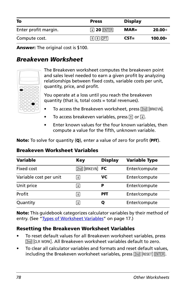| To                   | <b>Press</b>    | <b>Display</b> |                       |
|----------------------|-----------------|----------------|-----------------------|
| Enter profit margin. | $\Box$ 20 ENTER | $MAR =$        | $20.00 \triangleleft$ |
| Compute cost.        | n n cetl        | $CST =$        | $100.00*$             |

**Answer:** The original cost is \$100.

## <span id="page-81-0"></span>*Breakeven Worksheet*

| ▭<br>€<br>5<br>г<br>⊏<br>c |  |
|----------------------------|--|

The Breakeven worksheet computes the breakeven point and sales level needed to earn a given profit by analyzing relationships between fixed costs, variable costs per unit, quantity, price, and profit.

You operate at a loss until you reach the breakeven quantity (that is, total costs = total revenues).

- To access the Breakeven worksheet, press [2nd] [BRKEVN].
- To access breakeven variables, press  $\uparrow$  or  $\uparrow$ .
- Enter known values for the four known variables, then compute a value for the fifth, unknown variable.

**Note:** To solve for quantity (**Q**), enter a value of zero for profit (**PFT**).

#### **Breakeven Worksheet Variables**

| Variable               | Key                   | <b>Display</b> | <b>Variable Type</b> |
|------------------------|-----------------------|----------------|----------------------|
| Fixed cost             | $[2nd]$ $[BRKEYN]$ FC |                | Enter/compute        |
| Variable cost per unit | $\ddot{\phantom{0}}$  | VC.            | Enter/compute        |
| Unit price             | $\downarrow$          | Р              | Enter/compute        |
| Profit                 | $\ddot{\phantom{1}}$  | PFT            | Enter/compute        |
| Quantity               | $\ddagger$            | O              | Enter/compute        |

**Note:** This guidebook categorizes calculator variables by their method of entry. [\(See "Types of Worksheet Variables" on page 17.\)](#page-20-0)

## **Resetting the Breakeven Worksheet Variables**

- To reset default values for all Breakeven worksheet variables, press [2nd] [CLR WORK]. All Breakeven worksheet variables default to zero.
- To clear all calculator variables and formats and reset default values, including the Breakeven worksheet variables, press  $[2nd]$  [RESET]  $[ENTER]$ .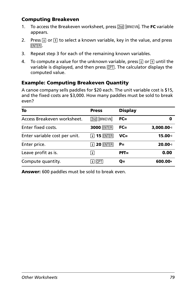## **Computing Breakeven**

- 1. To access the Breakeven worksheet, press [2nd] [BRKEVN]. The **FC** variable appears.
- 2. Press  $\Box$  or  $\Box$  to select a known variable, key in the value, and press ENTER].
- 3. Repeat step 3 for each of the remaining known variables.
- 4. To compute a value for the unknown variable, press  $\Box$  or  $\Box$  until the variable is displayed, and then press  $\overline{CPT}$ . The calculator displays the computed value.

## **Example: Computing Breakeven Quantity**

A canoe company sells paddles for \$20 each. The unit variable cost is \$15, and the fixed costs are \$3,000. How many paddles must be sold to break even?

| To                            | <b>Press</b>      | <b>Display</b> |                          |
|-------------------------------|-------------------|----------------|--------------------------|
| Access Breakeven worksheet.   | 2nd [BRKEVN]      | $FC =$         | Ω                        |
| Enter fixed costs.            | <b>3000 ENTER</b> | $FC =$         | $3,000,00 \triangleleft$ |
| Enter variable cost per unit. | $\Box$ 15 ENTER   | VC=            | 15.00⊲                   |
| Enter price.                  | $\Box$ 20 ENTER   | $P=$           | 20.00⊲                   |
| Leave profit as is.           | ∣∔∣               | $PFT =$        | 0.00                     |
| Compute quantity.             | ICPTI             | 0=             | 600.00*                  |

<span id="page-82-0"></span>**Answer:** 600 paddles must be sold to break even.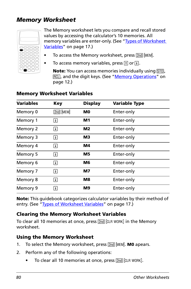## *Memory Worksheet*



The Memory worksheet lets you compare and recall stored values by accessing the calculator's 10 memories. All memory variables are enter-only. [\(See "Types of Worksheet](#page-20-0)  [Variables" on page 17.\)](#page-20-0)

- To access the Memory worksheet, press [2nd] [MEM].
- To access memory variables, press  $\lceil \cdot \rceil$  or  $\lceil \cdot \rceil$ .

**Note:** You can access memories individually using  $ST0$ . RCLI, and the digit keys. (See "Memory Operations" on [page 12.\)](#page-15-0)

| <b>Variables</b> | <b>Key</b>          | <b>Display</b> | Variable Type |  |
|------------------|---------------------|----------------|---------------|--|
| Memory 0         | $[2nd]$ $[MEM]$     | M0             | Enter-only    |  |
| Memory 1         | $ \downarrow $      | M1             | Enter-only    |  |
| Memory 2         | $ \downarrow $      | M <sub>2</sub> | Enter-only    |  |
| Memory 3         | $ \downarrow $      | M3             | Enter-only    |  |
| Memory 4         | $ \downarrow $      | M4             | Enter-only    |  |
| Memory 5         | $ \downarrow $      | M5             | Enter-only    |  |
| Memory 6         | $ \ddagger $        | M6             | Enter-only    |  |
| Memory 7         | $ \ddagger $        | M7             | Enter-only    |  |
| Memory 8         | $\vert \cdot \vert$ | M8             | Enter-only    |  |
| Memory 9         | $\downarrow$        | M <sub>9</sub> | Enter-only    |  |

#### **Memory Worksheet Variables**

**Note:** This guidebook categorizes calculator variables by their method of entry. [\(See "Types of Worksheet Variables" on page 17.\)](#page-20-0)

#### **Clearing the Memory Worksheet Variables**

To clear all 10 memories at once, press [2nd] [CLR WORK] in the Memory worksheet.

#### **Using the Memory Worksheet**

- 1. To select the Memory worksheet, press [2nd] [MEM]. **MO** apears.
- 2. Perform any of the following operations:
	- To clear all 10 memories at once, press [2nd] [CLR WORK].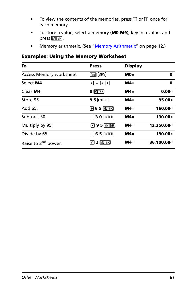- To view the contents of the memories, press  $\Box$  or  $\Box$  once for each memory.
- To store a value, select a memory (**M0**-**M9**), key in a value, and press **ENTER**.
- Memory arithmetic. [\(See "Memory Arithmetic" on page 12.\)](#page-15-1)

#### **Examples: Using the Memory Worksheet**

| To                              | <b>Press</b>          | <b>Display</b> |                      |
|---------------------------------|-----------------------|----------------|----------------------|
| <b>Access Memory worksheet</b>  | 2nd) [MEM]            | $MO=$          | 0                    |
| Select M4.                      | 1  1  1  1            | $M4=$          | 0                    |
| Clear M4.                       | $O$ $[ENTER]$         | $M4=$          | 0.00 $\triangleleft$ |
| Store 95.                       | <b>9 5 ENTER</b>      | $M4=$          | 95.00⊲               |
| Add 65.                         | $H$ 6 5 ENTER         | $M4=$          | 160.00⊲              |
| Subtract 30.                    | $\Box$ 3 0 $EMTER$    | $M4=$          | 130.00⊲              |
| Multiply by 95.                 | $\boxtimes$ 9 5 ENTER | $M4=$          | 12,350.00⊲           |
| Divide by 65.                   | $\boxdot$ 6 5 Enter   | $M4=$          | 190.00⊲              |
| Raise to 2 <sup>nd</sup> power. | $[y^x]$ 2 $[ENTER]$   | $M4=$          | 36,100.00⊲           |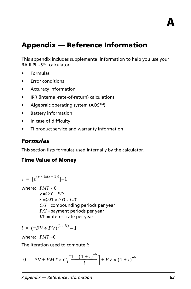# **Appendix — Reference Information**

This appendix includes supplemental information to help you use your  $BA$  II PLUS<sup>™</sup> calculator:

- Formulas
- Error conditions
- Accuracy information
- IRR (internal-rate-of-return) calculations
- Algebraic operating system (AOS™)
- Battery information
- In case of difficulty
- TI product service and warranty information

## *Formulas*

This section lists formulas used internally by the calculator.

## **Time Value of Money**

$$
i = [e^{(y \times \ln(x+1))}] - 1
$$
  
where:  $PMT \neq 0$   

$$
y = C/Y = PY
$$
  

$$
x = (.01 \times I/Y) \div C/Y
$$
  

$$
CY = compounding periods per year
$$
  

$$
P/Y = payment periods per year
$$
  

$$
I/Y = interest rate per year
$$

$$
i = (-FV \div PV)^{(1+N)} - 1
$$

where: *PMT* = 0

The iteration used to compute *i*:

$$
0 = PV + PMT \times G_i \left[ \frac{1 - (1 + i)^{-N}}{i} \right] + FV \times (1 + i)^{-N}
$$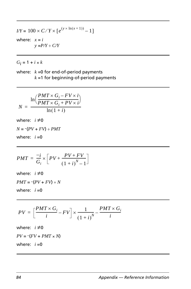$$
LY = 100 \times C/Y \times [e^{(y \times \ln(x+1))} - 1]
$$
  
where:  $x = i$   
 $y = P/Y \div CY$ 

 $G_i = 1 + i \times k$ 

where:  $k = 0$  for end-of-period payments  $k = 1$  for beginning-of-period payments

$$
N = \frac{\ln\left(\frac{PMT \times G_i - FV \times i}{PMT \times G_i + PV \times i}\right)}{\ln(1 + i)}
$$

where:  $i \neq 0$ 

$$
N = -(PV + FV) \div PMT
$$
  
where:  $i = 0$ 

$$
PMT = \frac{-i}{G_i} \times \left[ PV + \frac{PV + FV}{(1 + i)^{N} - 1} \right]
$$
  
where:  $i \neq 0$   

$$
PMT = -(PV + FV) \div N
$$
  
where:  $i = 0$ 

$$
PV = \left[\frac{PMT \times G_i}{i} - FV\right] \times \frac{1}{\left(1+i\right)^N} - \frac{PMT \times G_i}{i}
$$

where:  $i \neq 0$  $PV = -(FV + PMT \times N)$ where:  $i = 0$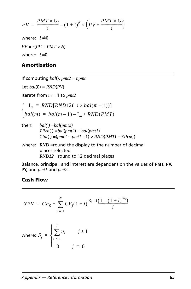$$
FV = \frac{PMT \times G_i}{i} - (1+i)^N \times \left(PV + \frac{PMT \times G_i}{i}\right)
$$

where:  $i \neq 0$  $FV = -(PV + PMT \times N)$ where:  $i=0$ 

#### **Amortization**

<span id="page-88-0"></span>If computing *bal*(), *pmt2* = *npmt* Let *bal*(0) = *RND*(*PV*) Iterate from *m* = 1 to *pmt2*

$$
\begin{cases} I_m = RND[RND12(-i \times bal(m-1))] \\ bal(m) = bal(m-1) - I_m + RND(PMT) \end{cases}
$$

- then: *bal( )* =*bal(pmt2)*  $\Sigma Prn() = bal(pmt2) - bal(pmt1)$  $\Sigma Int() = (pm1 - pmt1 + 1) \times RND(PMT) - \Sigma Prn()$
- where: *RND* =round the display to the number of decimal places selected *RND12* =round to 12 decimal places

Balance, principal, and interest are dependent on the values of **PMT**, **PV**, **I/Y**, and *pmt1* and *pmt2*.

#### <span id="page-88-1"></span>**Cash Flow**

$$
NPV = CF_0 + \sum_{j=1}^{N} CF_j (1+i)^{-S_j-1} \frac{(1-(1+i)^{-n_j})}{i}
$$

where: 
$$
S_j = \begin{cases} \sum_{i=1}^j n_i & j \ge 1 \\ 0 & j = 0 \end{cases}
$$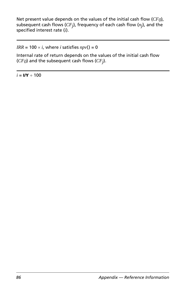Net present value depends on the values of the initial cash flow (*CF0*), subsequent cash flows (*CFj*), frequency of each cash flow (*nj*), and the specified interest rate (*i*).

#### *IRR* = 100  $\times$  *i*, where *i* satisfies  $npv() = 0$

Internal rate of return depends on the values of the initial cash flow (*CF0*) and the subsequent cash flows (*CFj*).

 $i = I/Y \div 100$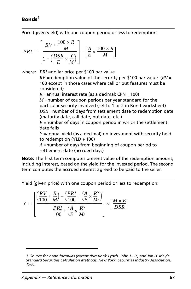## **Bonds1**

Price (given yield) with one coupon period or less to redemption:

$$
PRI = \left[\frac{RV + \frac{100 \times R}{M}}{1 + \left(\frac{DSR}{E} \times \frac{Y}{M}\right)}\right] - \left[\frac{A}{E} \times \frac{100 \times R}{M}\right]
$$

<span id="page-90-0"></span>where: *PRI* =dollar price per \$100 par value  $RV$  =redemption value of the security per \$100 par value ( $RV =$ 100 except in those cases where call or put features must be considered)  $R$  =annual interest rate (as a decimal; CPN  $\_\,$  100) *M* =number of coupon periods per year standard for the particular security involved (set to 1 or 2 in Bond worksheet) *DSR* =number of days from settlement date to redemption date (maturity date, call date, put date, etc.) *E* =number of days in coupon period in which the settlement date falls *Y* =annual yield (as a decimal) on investment with security held to redemption (YLD  $\div$  100) *A* =number of days from beginning of coupon period to settlement date (accrued days)

**Note:** The first term computes present value of the redemption amount, including interest, based on the yield for the invested period. The second term computes the accrued interest agreed to be paid to the seller.

Yield (given price) with one coupon period or less to redemption:

$$
Y = \left[ \frac{\left(\frac{RV}{100} + \frac{R}{M}\right) - \left(\frac{PRI}{100} + \left(\frac{A}{E} \times \frac{R}{M}\right)\right)}{\frac{PRI}{100} + \left(\frac{A}{E} \times \frac{R}{M}\right)} \right] \times \left[ \frac{M \times E}{DSR} \right]
$$

*<sup>1.</sup> Source for bond formulas (except duration): Lynch, John J., Jr., and Jan H. Mayle. Standard Securities Calculation Methods. New York: Securities Industry Association, 1986.*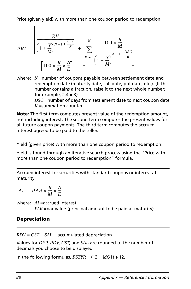Price (given yield) with more than one coupon period to redemption:

$$
PRI = \left[ \frac{RV}{\left(1 + \frac{Y}{M}\right)^{N-1 + \frac{DSC}{E}}}\right] + \left[ \sum_{K=1}^{N} \frac{100 \times \frac{R}{M}}{\left(1 + \frac{Y}{M}\right)^{K-1 + \frac{DSC}{E}}}\right]
$$

where: *N* =number of coupons payable between settlement date and redemption date (maturity date, call date, put date, etc.). (If this number contains a fraction, raise it to the next whole number; for example,  $2.4 = 3$ )

*DSC* =number of days from settlement date to next coupon date  $K =$ summation counter

**Note:** The first term computes present value of the redemption amount, not including interest. The second term computes the present values for all future coupon payments. The third term computes the accrued interest agreed to be paid to the seller.

Yield (given price) with more than one coupon period to redemption:

Yield is found through an iterative search process using the "Price with more than one coupon period to redemption" formula.

Accrued interest for securities with standard coupons or interest at maturity:

$$
AI = PAR \times \frac{R}{M} \times \frac{A}{E}
$$

where: *AI* =accrued interest *PAR* =par value (principal amount to be paid at maturity)

#### **Depreciation**

 $RDV = CST - SAL$  – accumulated depreciation

Values for *DEP*, *RDV*, *CST*, and *SAL* are rounded to the number of decimals you choose to be displayed.

In the following formulas,  $FSTYR = (13 - MO1) \div 12$ .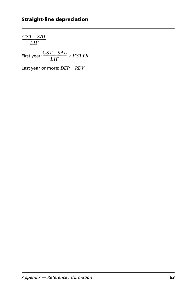## **Straight-line depreciation**

 $\textsf{First year:} \frac{CST-SAL}{LIF} \times FSTYR$  $\frac{\text{CST}-\text{SAL}}{\text{LIF}}$ 

Last year or more: *DEP* = *RDV*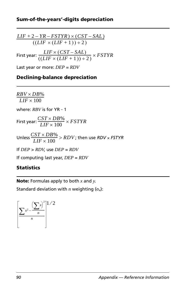$$
\frac{LIF + 2 - YR - FSTYR \times (CST - SAL)}{((LIF \times (LIF + 1)) \div 2)}
$$

 $\textsf{First year: } \frac{LIF \times (CST - SAL)}{((LIF \times (LIF + 1)) \div 2)} \times FSTYR$ 

Last year or more: *DEP* = *RDV*

## <span id="page-93-0"></span>**Declining-balance depreciation**

where: *RBV* is for YR - 1  $\textsf{First year:} \frac{CST \times DB\%}{LIF \times 100} \times FSTYR$  $\mathsf{Unless} \frac{CST \times DB\%}{LIF \times 100}$  >  $RDV$  ; then use  $RDV \times FSTYR$ If *DEP* > *RDV*, use *DEP* = *RDV* If computing last year, *DEP* = *RDV*  $RBV \times DB\%$  $\overline{IIF \times 100}$ 

## **Statistics**

**Note:** Formulas apply to both *x* and *y*.

Standard deviation with *n* weighting  $(\sigma_x)$ :

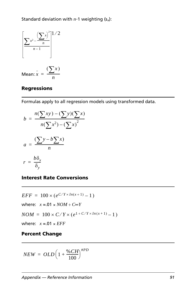$$
\left[\frac{\sum x^2 - \frac{\left(\sum x\right)^2}{n}}{n-1}\right]^{1/2}
$$

Mean: 
$$
\bar{x} = \frac{(\sum x)}{n}
$$

## **Regressions**

Formulas apply to all regression models using transformed data.

$$
b = \frac{n(\sum xy) - (\sum y)(\sum x)}{n(\sum x^2) - (\sum x)^2}
$$

$$
a = \frac{(\sum y - b\sum x)}{n}
$$

$$
r = \frac{b\delta_x}{\delta_y}
$$

## **Interest Rate Conversions**

$$
EFF = 100 \times (e^{C/Y \times In(x+1)} - 1)
$$
  
where:  $x = .01 \times NOM \div C \approx Y$   

$$
NOM = 100 \times C/Y \times (e^{1 \div C/Y \times In(x+1)} - 1)
$$
  
where:  $x = .01 \times EFF$ 

## **Percent Change**

$$
NEW = \quad OLD \left( 1 + \frac{\%CH}{100} \right)^{tPD}
$$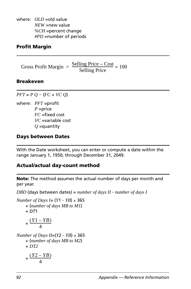where: *OLD* =old value *NEW* =new value *%CH* =percent change *#PD* =number of periods

#### **Profit Margin**

Gross Profit Margin  $=$   $\frac{\text{Selling Price} - \text{Cost}}{\text{Selling Price}} \times 100$ 

#### **Breakeven**

 $PFT = PQ - (FC + VCQ)$ 

where: *PFT* =profit *P* =price  $FC = fixed$  cost *VC* =variable cost *Q* =quantity

#### **Days between Dates**

With the Date worksheet, you can enter or compute a date within the range January 1, 1950, through December 31, 2049.

#### **Actual/actual day-count method**

**Note:** The method assumes the actual number of days per month and per year.

*DBD* (days between dates) = *number of days II* - *number of days I*

*Number of Days I* =  $(Y1 - YB) \times 365$ + (*number of days MB to M1*) + *DT*1  $+\frac{(Y1-YB)}{4}$ *Number of Days II*= $(Y2 - YB) \times 365$ + (*number of days MB to M2*) + *DT2*  $+\frac{(Y2-YB)}{4}$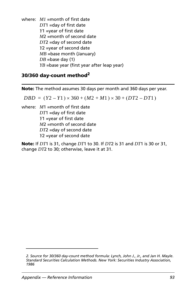where: *M1* =month of first date *DT*1 =day of first date *Y*1 =year of first date *M*2 =month of second date *DT*2 =day of second date *Y*2 =year of second date *MB* =base month (January)  $DB =$ base day  $(1)$ *YB* =base year (first year after leap year)

## **30/360 day-count method2**

**Note:** The method assumes 30 days per month and 360 days per year.

 $DBD = (Y2 - Y1) \times 360 + (M2 + M1) \times 30 + (DT2 - DT1)$ 

where: *M*1 =month of first date *DT*1 =day of first date *Y*1 =year of first date *M*2 =month of second date *DT*2 =day of second date *Y*2 =year of second date

**Note:** If *DT*1 is 31, change *DT*1 to 30. If *DT*2 is 31 and *DT*1 is 30 or 31, change *DT*2 to 30; otherwise, leave it at 31.

*<sup>2.</sup> Source for 30/360 day-count method formula: Lynch, John J., Jr., and Jan H. Mayle. Standard Securities Calculation Methods. New York: Securities Industry Association, 1986*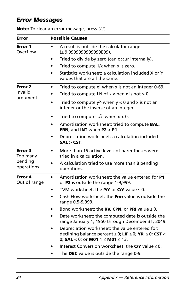## <span id="page-97-0"></span>*Error Messages*

| Error                              | <b>Possible Causes</b>                                                                                                                                               |  |  |  |
|------------------------------------|----------------------------------------------------------------------------------------------------------------------------------------------------------------------|--|--|--|
| Error 1<br>Overflow                | A result is outside the calculator range<br>$\bullet$<br>(± 9.999999999999599).                                                                                      |  |  |  |
|                                    | Tried to divide by zero (can occur internally).                                                                                                                      |  |  |  |
|                                    | Tried to compute 1/x when x is zero.<br>$\bullet$                                                                                                                    |  |  |  |
|                                    | Statistics worksheet: a calculation included X or Y<br>values that are all the same.                                                                                 |  |  |  |
| Error <sub>2</sub>                 | Tried to compute x! when x is not an integer 0-69.<br>$\bullet$                                                                                                      |  |  |  |
| Invalid<br>argument                | Tried to compute LN of x when x is not $> 0$ .                                                                                                                       |  |  |  |
|                                    | Tried to compute $y^x$ when $y < 0$ and x is not an<br>integer or the inverse of an integer.                                                                         |  |  |  |
|                                    | Tried to compute $\sqrt{x}$ when x < 0.                                                                                                                              |  |  |  |
|                                    | Amortization worksheet: tried to compute <b>BAL</b> ,<br>PRN, and INT when P2 < P1.                                                                                  |  |  |  |
|                                    | Depreciation worksheet: a calculation included<br>$SAL > CST$ .                                                                                                      |  |  |  |
| Error 3<br>Too many                | More than 15 active levels of parentheses were<br>٠<br>tried in a calculation.                                                                                       |  |  |  |
| pending<br>operations              | A calculation tried to use more than 8 pending<br>operations.                                                                                                        |  |  |  |
| Error <sub>4</sub><br>Out of range | Amortization worksheet: the value entered for P1<br>$\bullet$<br>or P2 is outside the range 1-9,999.                                                                 |  |  |  |
|                                    | TVM worksheet: the P/Y or C/Y value $\leq 0$ .                                                                                                                       |  |  |  |
|                                    | Cash Flow worksheet: the Fnn value is outside the<br>range 0.5-9,999.                                                                                                |  |  |  |
|                                    | Bond worksheet: the RV, CPN, or PRI value $\leq 0$ .                                                                                                                 |  |  |  |
|                                    | Date worksheet: the computed date is outside the<br>range January 1, 1950 through December 31, 2049.                                                                 |  |  |  |
|                                    | Depreciation worksheet: the value entered for:<br>declining balance percent $\leq$ 0; LIF $\leq$ 0; YR $\leq$ 0; CST <<br>0; SAL < 0; or M01 $1 \leq$ M01 $\leq$ 13. |  |  |  |
|                                    | Interest Conversion worksheet: the $C/Y$ value $\leq 0$ .                                                                                                            |  |  |  |
|                                    | The DEC value is outside the range 0-9.                                                                                                                              |  |  |  |

**Note:** To clear an error message, press **CE/C**.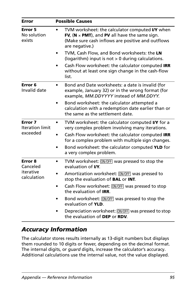| Error                             | <b>Possible Causes</b>                                                                                                                                                          |
|-----------------------------------|---------------------------------------------------------------------------------------------------------------------------------------------------------------------------------|
| Error 5<br>No solution<br>exists  | TVM worksheet: the calculator computed I/Y when<br>FV, $(N \times PMT)$ , and PV all have the same sign.<br>(Make sure cash inflows are positive and outflows<br>are negative.) |
|                                   | TVM, Cash Flow, and Bond worksheets: the LN<br>(logarithm) input is not > 0 during calculations.                                                                                |
|                                   | Cash Flow worksheet: the calculator computed IRR<br>without at least one sign change in the cash-flow<br>list.                                                                  |
| Error 6<br>Invalid date           | Bond and Date worksheets: a date is invalid (for<br>example, January 32) or in the wrong format (for<br>example, MM.DDYYYY instead of MM.DDYY.                                  |
|                                   | Bond worksheet: the calculator attempted a<br>calculation with a redemption date earlier than or<br>the same as the settlement date.                                            |
| Error 7<br><b>Iteration limit</b> | TVM worksheet: the calculator computed I/Y for a<br>$\bullet$<br>very complex problem involving many iterations.                                                                |
| exceeded                          | Cash Flow worksheet: the calculator computed IRR<br>for a complex problem with multiple sign changes.                                                                           |
|                                   | Bond worksheet: the calculator computed YLD for<br>a very complex problem.                                                                                                      |
| Error <sub>8</sub><br>Canceled    | TVM worksheet: [ON/OFF] was pressed to stop the<br>$\bullet$<br>evaluation of I/Y.                                                                                              |
| iterative<br>calculation          | Amortization worksheet: [ON/OFF] was pressed to<br>stop the evaluation of BAL or INT.                                                                                           |
|                                   | Cash Flow worksheet: [ON/OFF] was pressed to stop<br>the evaluation of <b>IRR</b> .                                                                                             |
|                                   | Bond worksheet: [ON/OFF] was pressed to stop the<br>evaluation of YLD.                                                                                                          |
|                                   | Depreciation worksheet: <b>ON/OFF</b> was pressed to stop<br>the evaluation of DEP or RDV.                                                                                      |
|                                   |                                                                                                                                                                                 |

## *Accuracy Information*

<span id="page-98-0"></span>The calculator stores results internally as 13-digit numbers but displays them rounded to 10 digits or fewer, depending on the decimal format. The internal digits, or *guard* digits, increase the calculator's accuracy. Additional calculations use the internal value, not the value displayed.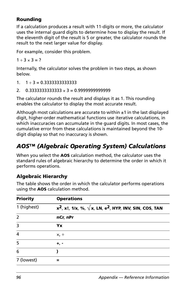## **Rounding**

If a calculation produces a result with 11-digits or more, the calculator uses the internal guard digits to determine how to display the result. If the eleventh digit of the result is 5 or greater, the calculator rounds the result to the next larger value for display.

For example, consider this problem.

 $1 - 3 \times 3 = 2$ 

Internally, the calculator solves the problem in two steps, as shown below.

- 1. 1 P 3 = 0.3333333333333
- 2. 0.3333333333333 Q 3 = 0.9999999999999

The calculator rounds the result and displays it as 1. This rounding enables the calculator to display the most accurate result.

Although most calculations are accurate to within  $\pm 1$  in the last displayed digit, higher-order mathematical functions use iterative calculations, in which inaccuracies can accumulate in the guard digits. In most cases, the cumulative error from these calculations is maintained beyond the 10 digit display so that no inaccuracy is shown.

# *AOS™ (Algebraic Operating System) Calculations*

<span id="page-99-0"></span>When you select the **AOS** calculation method, the calculator uses the standard rules of algebraic hierarchy to determine the order in which it performs operations.

## **Algebraic Hierarchy**

| <b>Priority</b> | <b>Operations</b>                                                             |
|-----------------|-------------------------------------------------------------------------------|
| 1 (highest)     | $x^2$ , x!, 1/x, %, $\sqrt{x}$ , LN, e <sup>2</sup> , HYP, INV, SIN, COS, TAN |
| 2               | nCr, nPr                                                                      |
| 3               | Yx                                                                            |
| $\overline{4}$  | $x, \div$                                                                     |
| 5               | $+$ , $-$                                                                     |
| 6               |                                                                               |
| 7 (lowest)      |                                                                               |

The table shows the order in which the calculator performs operations using the **AOS** calculation method.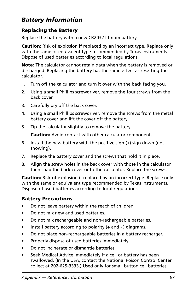## *Battery Information*

## **Replacing the Battery**

Replace the battery with a new CR2032 lithium battery.

**Caution:** Risk of explosion if replaced by an incorrect type. Replace only with the same or equivalent type recommended by Texas Instruments. Dispose of used batteries according to local regulations.

**Note:** The calculator cannot retain data when the battery is removed or discharged. Replacing the battery has the same effect as resetting the calculator.

- <span id="page-100-0"></span>1. Turn off the calculator and turn it over with the back facing you.
- 2. Using a small Phillips screwdriver, remove the four screws from the back cover.
- 3. Carefully pry off the back cover.
- 4. Using a small Phillips screwdriver, remove the screws from the metal battery cover and lift the cover off the battery.
- 5. Tip the calculator slightly to remove the battery.

**Caution:** Avoid contact with other calculator components.

- 6. Install the new battery with the positive sign (+) sign down (not showing).
- 7. Replace the battery cover and the screws that hold it in place.
- 8. Align the screw holes in the back cover with those in the calculator, then snap the back cover onto the calculator. Replace the screws.

<span id="page-100-1"></span>**Caution:** Risk of explosion if replaced by an incorrect type. Replace only with the same or equivalent type recommended by Texas Instruments. Dispose of used batteries according to local regulations.

#### **Battery Precautions**

- Do not leave battery within the reach of children.
- Do not mix new and used batteries.
- Do not mix rechargeable and non-rechargeable batteries.
- Install battery according to polarity (+ and ) diagrams.
- Do not place non-rechargeable batteries in a battery recharger.
- Properly dispose of used batteries immediately.
- Do not incinerate or dismantle batteries.
- Seek Medical Advice immediately if a cell or battery has been swallowed. (In the USA, contact the National Poison Control Center collect at 202-625-3333.) Used only for small button cell batteries.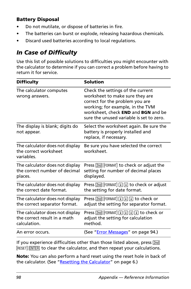## **Battery Disposal**

- Do not mutilate, or dispose of batteries in fire.
- The batteries can burst or explode, releasing hazardous chemicals.
- Discard used batteries according to local regulations.

# *In Case of Difficulty*

<span id="page-101-0"></span>Use this list of possible solutions to difficulties you might encounter with the calculator to determine if you can correct a problem before having to return it for service.

| <b>Difficulty</b>                                                               | <b>Solution</b>                                                                                                                                                                                                                |
|---------------------------------------------------------------------------------|--------------------------------------------------------------------------------------------------------------------------------------------------------------------------------------------------------------------------------|
| The calculator computes<br>wrong answers.                                       | Check the settings of the current<br>worksheet to make sure they are<br>correct for the problem you are<br>working; for example, in the TVM<br>worksheet, check END and BGN and be<br>sure the unused variable is set to zero. |
| The display is blank; digits do<br>not appear.                                  | Select the worksheet again. Be sure the<br>battery is properly installed and<br>replace, if necessary.                                                                                                                         |
| The calculator does not display<br>the correct worksheet<br>variables.          | Be sure you have selected the correct<br>worksheet.                                                                                                                                                                            |
| The calculator does not display<br>the correct number of decimal<br>places.     | Press [2nd] [FORMAT] to check or adjust the<br>setting for number of decimal places<br>displayed.                                                                                                                              |
| The calculator does not display<br>the correct date format.                     | Press $[2nd]$ [FORMAT] $[1]$ $[1]$ to check or adjust<br>the setting for date format.                                                                                                                                          |
| The calculator does not display<br>the correct separator format.                | Press $[2nd]$ [FORMAT] $\boxed{1}$ $\boxed{1}$ $\boxed{1}$ to check or<br>adjust the setting for separator format.                                                                                                             |
| The calculator does not display<br>the correct result in a math<br>calculation. | Press $[2nd]$ [FORMAT] $\Box$ $\Box$ $\Box$ $\Box$ to check or<br>adjust the setting for calculation<br>method.                                                                                                                |
| An error occurs.                                                                | (See "Error Messages" on page 94.)                                                                                                                                                                                             |

[RESET] **[ENTER**] to clear the calculator, and then repeat your calculations. If you experience difficulties other than those listed above, press  $[2nd]$ 

**Note:** You can also perform a hard reset using the reset hole in back of the calculator. [\(See "Resetting the Calculator" on page 6.\)](#page-9-0)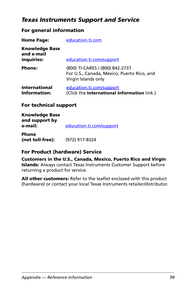## <span id="page-102-0"></span>*Texas Instruments Support and Service*

#### **For general information**

| <b>Home Page:</b>                                 | education.ti.com                                                                                     |
|---------------------------------------------------|------------------------------------------------------------------------------------------------------|
| <b>Knowledge Base</b><br>and e-mail<br>inquiries: | education.ti.com/support                                                                             |
| <b>Phone:</b>                                     | (800) TI-CARES / (800) 842-2737<br>For U.S., Canada, Mexico, Puerto Rico, and<br>Virgin Islands only |
| <b>International</b><br>Information:              | education.ti.com/support<br>(Click the <b>International Information</b> link.)                       |

#### **For technical support**

| <b>Knowledge Base</b> |                          |
|-----------------------|--------------------------|
| and support by        |                          |
| e-mail:               | education.ti.com/support |

| Phone            |                |
|------------------|----------------|
| (not toll-free): | (972) 917-8324 |

#### **For Product (hardware) Service**

**Customers in the U.S., Canada, Mexico, Puerto Rico and Virgin Islands:** Always contact Texas Instruments Customer Support before returning a product for service.

**All other customers:** Refer to the leaflet enclosed with this product (hardware) or contact your local Texas Instruments retailer/distributor.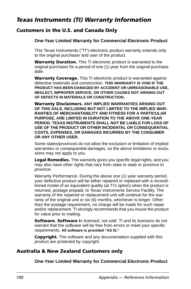## *Texas Instruments (TI) Warranty Information*

#### **Customers in the U.S. and Canada Only**

#### **One-Year Limited Warranty for Commercial Electronic Product**

This Texas Instruments ("TI") electronic product warranty extends only to the original purchaser and user of the product.

**Warranty Duration.** This TI electronic product is warranted to the original purchaser for a period of one (1) year from the original purchase date.

**Warranty Coverage.** This TI electronic product is warranted against defective materials and construction. **THIS WARRANTY IS VOID IF THE PRODUCT HAS BEEN DAMAGED BY ACCIDENT OR UNREASONABLE USE, NEGLECT, IMPROPER SERVICE, OR OTHER CAUSES NOT ARISING OUT OF DEFECTS IN MATERIALS OR CONSTRUCTION.**

**Warranty Disclaimers. ANY IMPLIED WARRANTIES ARISING OUT OF THIS SALE, INCLUDING BUT NOT LIMITED TO THE IMPLIED WAR-RANTIES OF MERCHANTABILITY AND FITNESS FOR A PARTICULAR PURPOSE, ARE LIMITED IN DURATION TO THE ABOVE ONE-YEAR PERIOD. TEXAS INSTRUMENTS SHALL NOT BE LIABLE FOR LOSS OF USE OF THE PRODUCT OR OTHER INCIDENTAL OR CONSEQUENTIAL COSTS, EXPENSES, OR DAMAGES INCURRED BY THE CONSUMER OR ANY OTHER USER.**

Some states/provinces do not allow the exclusion or limitation of implied warranties or consequential damages, so the above limitations or exclusions may not apply to you.

**Legal Remedies.** This warranty gives you specific legal rights, and you may also have other rights that vary from state to state or province to province.

Warranty Performance. During the above one (1) year warranty period, your defective product will be either repaired or replaced with a reconditioned model of an equivalent quality (at TI's option) when the product is returned, postage prepaid, to Texas Instruments Service Facility. The warranty of the repaired or replacement unit will continue for the warranty of the original unit or six (6) months, whichever is longer. Other than the postage requirement, no charge will be made for such repair and/or replacement. TI strongly recommends that you insure the product for value prior to mailing.

**Software. Software i**s licensed, not sold. TI and its licensors do not warrant that the software will be free from errors or meet your specific requirements. **All software is provided "AS IS."**

**Copyright.** The software and any documentation supplied with this product are protected by copyright.

#### **Australia & New Zealand Customers only**

**One-Year Limited Warranty for Commercial Electronic Product**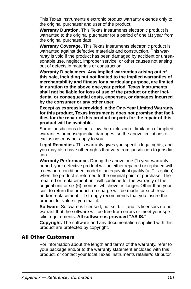This Texas Instruments electronic product warranty extends only to the original purchaser and user of the product.

**Warranty Duration.** This Texas Instruments electronic product is warranted to the original purchaser for a period of one (1) year from the original purchase date.

**Warranty Coverage.** This Texas Instruments electronic product is warranted against defective materials and construction. This warranty is void if the product has been damaged by accident or unreasonable use, neglect, improper service, or other causes not arising out of defects in materials or construction.

**Warranty Disclaimers. Any implied warranties arising out of this sale, including but not limited to the implied warranties of merchantability and fitness for a particular purpose, are limited in duration to the above one-year period. Texas Instruments shall not be liable for loss of use of the product or other incidental or consequential costs, expenses, or damages incurred by the consumer or any other user.**

**Except as expressly provided in the One-Year Limited Warranty for this product, Texas Instruments does not promise that facilities for the repair of this product or parts for the repair of this product will be available.**

Some jurisdictions do not allow the exclusion or limitation of implied warranties or consequential damages, so the above limitations or exclusions may not apply to you.

**Legal Remedies.** This warranty gives you specific legal rights, and you may also have other rights that vary from jurisdiction to jurisdiction.

**Warranty Performance.** During the above one (1) year warranty period, your defective product will be either repaired or replaced with a new or reconditioned model of an equivalent quality (at TI's option) when the product is returned to the original point of purchase. The repaired or replacement unit will continue for the warranty of the original unit or six (6) months, whichever is longer. Other than your cost to return the product, no charge will be made for such repair and/or replacement. TI strongly recommends that you insure the product for value if you mail it.

**Software.** Software is licensed, not sold. TI and its licensors do not warrant that the software will be free from errors or meet your specific requirements. **All software is provided "AS IS."**

**Copyright.** The software and any documentation supplied with this product are protected by copyright.

#### **All Other Customers**

For information about the length and terms of the warranty, refer to your package and/or to the warranty statement enclosed with this product, or contact your local Texas Instruments retailer/distributor.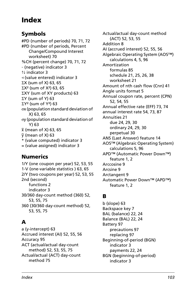# **Index**

## **Symbols**

#PD (number of periods) [70](#page-73-0), [71](#page-74-0), [72](#page-75-0) #PD (number of periods, Percent Change/Compound Interest worksheet) [70](#page-73-1) %CH (percent change) [70](#page-73-1), [71](#page-74-0), [72](#page-75-0) - (negative) indicator [3](#page-6-0)  $\mathcal N$  indicator [3](#page-6-1) 1 (value entered) indicator [3](#page-6-2)  $\Sigma X$  (sum of X) [63,](#page-66-0) [65](#page-68-0)  $\Sigma$ X<sup>2</sup> (sum of X<sup>2</sup>) [63,](#page-66-0) [65](#page-68-0)  $\Sigma XY$  (sum of XY products) [63](#page-66-0)  $\Sigma$ Y (sum of Y) [63](#page-66-0)  $\Sigma$ Y<sup>2</sup> (sum of Y<sup>2</sup>) [63](#page-66-0)  $\sigma$ x (population standard deviation of X) [63,](#page-66-0) [65](#page-68-0)  $\sigma$ y (population standard deviation of Y) [63](#page-66-0)  $\bar{x}$  (mean of X) [63,](#page-66-0) [65](#page-68-0)  $\overline{y}$  (mean of X) [63](#page-66-0) \* (value computed) indicator [3](#page-6-3) = (value assigned) indicator [3](#page-6-4)

## **Numerics**

1/Y (one coupon per year) [52,](#page-55-0) [53,](#page-56-0) [55](#page-58-0) 1-V (one-variable statistics ) [63,](#page-66-0) [65](#page-68-1) 2/Y (two coupons per year) [52](#page-55-0), [53,](#page-56-0) [55](#page-58-0) 2nd (second) functions [2](#page-5-0) indicator [3](#page-6-5) 30/360 day-count method (360) [52,](#page-55-0) [53](#page-56-1), [55](#page-58-0), [75](#page-78-0) 360 (30/360 day-count method) [52,](#page-55-0) [53](#page-56-1), [55](#page-58-0), [75](#page-78-0)

## **A**

a (y-intercept) [63](#page-66-0) Accrued interest (AI) [52](#page-55-0), [55](#page-58-1), [56](#page-59-0) Accuracy [95](#page-98-0) ACT (actual/actual day-count method) [52](#page-55-0), [53](#page-56-1), [55](#page-58-0), [75](#page-78-1) Actual/actual (ACT) day-count method [75](#page-78-1)

Actual/actual day-count method (ACT) [52](#page-55-0), [53,](#page-56-1) [55](#page-58-0) Addition [8](#page-11-0) AI (accrued interest) [52,](#page-55-0) [55,](#page-58-1) [56](#page-59-0) Algebraic Operating System (AOS™) calculations [4,](#page-7-0) [5](#page-8-0), [96](#page-99-0) Amortization formulas [85](#page-88-0) schedule [21,](#page-24-0) [25,](#page-28-0) [26,](#page-29-0) [38](#page-41-0) worksheet [21](#page-24-1) Amount of nth cash flow (Cnn) [41](#page-44-0) Angle units format [5](#page-8-1) Annual coupon rate, percent (CPN) [52](#page-55-0), [54](#page-57-0), [55](#page-58-2) Annual effective rate (EFF) [73](#page-76-0), [74](#page-77-0) annual interest rate [54](#page-57-1), [73](#page-76-1), [87](#page-90-0) Annuities [21](#page-24-2) due [24](#page-27-0), [29](#page-32-0), [30](#page-33-0) ordinary [24,](#page-27-1) [29,](#page-32-1) [30](#page-33-1) perpetual [30](#page-33-2) ANS (Last Answer) feature [14](#page-17-0) AOS™ (Algebraic Operating System) calculations [5,](#page-8-0) [96](#page-99-0) APD™ (Automatic Power Down™) feature [1,](#page-4-0) [2](#page-5-1) Arccosine [9](#page-12-0) Arcsine [9](#page-12-1) Arctangent [9](#page-12-2) Automatic Power Down™ (APD™) feature [1,](#page-4-0) [2](#page-5-1)

## **B**

b (slope) [63](#page-66-0) Backspace key [7](#page-10-0) BAL (balance) [22](#page-25-0), [24](#page-27-2) Balance (BAL) [22](#page-25-0), [24](#page-27-2) Battery [97](#page-100-0) precautions [97](#page-100-1) replacing [97](#page-100-0) Beginning-of-period (BGN) indicator [3](#page-6-6) payments [22,](#page-25-0) [24](#page-27-3) BGN (beginning-of-period) indicator [3](#page-6-6)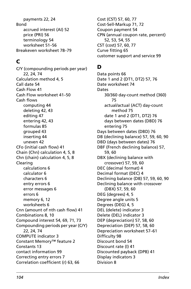payments [22,](#page-25-0) [24](#page-27-3) Bond accrued interest (AI) [52](#page-55-0) price (PRI) [56](#page-59-0) terminology [54](#page-57-2) worksheet [51](#page-54-0)[–56](#page-59-1) Breakeven worksheet [78–](#page-81-0)[79](#page-82-0)

## **C**

C/Y (compounding periods per year) [22](#page-25-0), [24](#page-27-4), [74](#page-77-0) Calculation method [4](#page-7-0), [5](#page-8-0) Call date [54](#page-57-2) Cash Flow [41](#page-44-1) Cash Flow worksheet [41–](#page-44-2)[50](#page-53-0) Cash flows computing [44](#page-47-0) deleting [42,](#page-45-0) [43](#page-46-0) editing [47](#page-50-0) entering [42,](#page-45-1) [43](#page-46-1) formulas [85](#page-88-1) grouped [43](#page-46-2) inserting [44](#page-47-1) uneven [42](#page-45-2) CFo (initial cash flow) [41](#page-44-0) Chain (Chn) calculation [4,](#page-7-0) [5](#page-8-0), [8](#page-11-1) Chn (chain) calculation [4,](#page-7-0) [5,](#page-8-0) [8](#page-11-1) Clearing calculations [6](#page-9-1) calculator [6](#page-9-1) characters [6](#page-9-1) entry errors [6](#page-9-1) error messages [6](#page-9-1) errors [6](#page-9-1) memory [6](#page-9-1), [12](#page-15-2) worksheets [6](#page-9-1) Cnn (amount of nth cash flow) [41](#page-44-0) Combinations [8](#page-11-0), [10](#page-13-0) Compound interest [54,](#page-57-3) [69,](#page-72-1) [71](#page-74-1), [73](#page-76-1) Compounding periods per year (C/Y) [22](#page-25-0), [24](#page-27-4), [74](#page-77-0) COMPUTE indicator [3](#page-6-7) Constant Memory™ feature [2](#page-5-2) Constants [13](#page-16-0) contact information [99](#page-102-0) Correcting entry errors [7](#page-10-1) Correlation coefficient (r) [63,](#page-66-0) [66](#page-69-0)

Cost (CST) [57](#page-60-0), [60](#page-63-0), [77](#page-80-0) Cost-Sell-Markup [71,](#page-74-2) [72](#page-75-0) Coupon payment [54](#page-57-4) CPN (annual coupon rate, percent) [52](#page-55-0), [53](#page-56-2), [54](#page-57-0), [55](#page-58-2) CST (cost) [57,](#page-60-0) [60,](#page-63-0) [77](#page-80-1) Curve fitting [65](#page-68-2) customer support and service [99](#page-102-0)

## **D**

Data points [66](#page-69-1) Date 1 and 2 (DT1, DT2) [57,](#page-60-0) [76](#page-79-0) Date worksheet [74](#page-77-1) **Dates** 30/360 day-count method (360) [75](#page-78-2) actual/actual (ACT) day-count method [75](#page-78-1) date 1 and 2 (DT1, DT2) [76](#page-79-0) days between dates (DBD) [76](#page-79-0) entering [75](#page-78-3) Days between dates (DBD) [76](#page-79-0) DB (declining balance) [57,](#page-60-0) [59,](#page-62-0) [60,](#page-63-1) [90](#page-93-0) DBD (days between dates) [76](#page-79-0) DBF (French declining balance) [57,](#page-60-0) [59](#page-62-1), [60](#page-63-1) DBX (declining balance with crossover) [57,](#page-60-0) [59,](#page-62-0) [60](#page-63-1) DEC (decimal format) [4](#page-7-0) Decimal format (DEC) [4](#page-7-0) Declining balance (DB) [57,](#page-60-0) [59,](#page-62-0) [60,](#page-63-1) [90](#page-93-0) Declining balance with crossover (DBX) [57](#page-60-0), [59](#page-62-0), [60](#page-63-1) DEG (degrees) [4,](#page-7-0) [5](#page-8-1) Degree angle units [5](#page-8-1) Degrees (DEG) [4,](#page-7-0) [5](#page-8-1) DEL (delete) indicator [3](#page-6-8) Delete (DEL) indicator [3](#page-6-8) DEP (depreciation) [57,](#page-60-0) [58,](#page-61-0) [60](#page-63-2) Depreciation (DEP) [57,](#page-60-0) [58,](#page-61-0) [60](#page-63-2) Depreciation worksheet [57](#page-60-1)[–61](#page-64-0) Difficulty [98](#page-101-0) Discount bond [54](#page-57-5) Discount rate (I) [41](#page-44-0) Discounted payback (DPB) [41](#page-44-3) Display indicators [3](#page-6-9) Division [8](#page-11-0)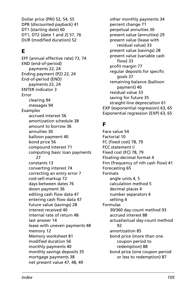Dollar price (PRI) [52](#page-55-0), [54,](#page-57-0) [55](#page-58-0) DPB (discounted payback) [41](#page-44-0) DT1 (starting date) [60](#page-63-0) DT1, DT2 (date 1 and 2) [57](#page-60-0), [76](#page-79-0) DUR (modified duration) [52](#page-55-1)

### **E**

EFF (annual effective rate) [73,](#page-76-0) [74](#page-77-0) END (end-of-period) payments [22,](#page-25-0) [24](#page-27-0) Ending payment (P2) [22,](#page-25-0) [24](#page-27-1) End-of-period (END) payments [22,](#page-25-0) [24](#page-27-0) ENTER indicator [3](#page-6-0) Error clearing [94](#page-97-0) messages [94](#page-97-1) Examples accrued interest [56](#page-59-0) amortization schedule [38](#page-41-0) amount to borrow [36](#page-39-0) annuities [30](#page-33-0) balloon payment [40](#page-43-0) bond price [56](#page-59-0) compound interest [71](#page-74-0) computing basic loan payments [27](#page-30-0) constants [13](#page-16-0) converting interest [74](#page-77-0) correcting an entry error [7](#page-10-0) cost-sell-markup [72](#page-75-0) days between dates [76](#page-79-0) down payment [36](#page-39-0) editing cash flow data [47](#page-50-0) entering cash flow data [47](#page-50-1) future value (savings) [28](#page-31-0) interest received [40](#page-43-0) internal rate of return [48](#page-51-0) last answer [14](#page-17-0) lease with uneven payments [48](#page-51-1) memory [12](#page-15-0) Memory worksheet [81](#page-84-0) modified duration [56](#page-59-0) monthly payments [40](#page-43-0) monthly savings deposits [35](#page-38-0) mortgage payments [38](#page-41-0) net present value [47](#page-50-2), [48](#page-51-2), [49](#page-52-0)

other monthly payments [34](#page-37-0) percent change [71](#page-74-1) perpetual annuities [30](#page-33-0) present value (annuities) [29](#page-32-0) present value (lease with residual value) [33](#page-36-0) present value (savings) [28](#page-31-0) present value (variable cash flow) [33](#page-36-1) profit margin [77](#page-80-0) regular deposits for specific goals [37](#page-40-0) remaining balance (balloon payment) [40](#page-43-0) residual value [33](#page-36-0) saving for future [35](#page-38-0) straight-line depreciation [61](#page-64-0) EXP (exponential regression) [63](#page-66-0), [65](#page-68-0) Exponential regression (EXP) [63](#page-66-0), [65](#page-68-0)

### **F**

Face value [54](#page-57-1) Factorial [10](#page-13-0) FC (fixed cost) [78](#page-81-0), [79](#page-82-0) FCC statement [ii](#page-1-0) Fixed cost (FC) [78](#page-81-0), [79](#page-82-0) Floating-decimal format [4](#page-7-0) Fnn (frequency of nth cash flow) [41](#page-44-1) Forecasting [65](#page-68-1) Formats angle units [4](#page-7-0), [5](#page-8-0) calculation method [5](#page-8-1) decimal places [4](#page-7-0) number separators [4](#page-7-0) setting [4](#page-7-0) Formulas 30/360 day-count method [93](#page-96-0) accrued interest [88](#page-91-0) actual/actual day-count method [92](#page-95-0) amortization [85](#page-88-0) bond price (more than one coupon period to redemption) [88](#page-91-1) bond price (one coupon period or less to redemption) [87](#page-90-0)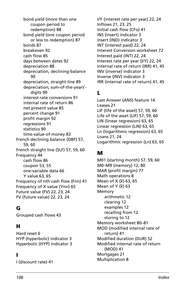bond yield (more than one coupon period to redemption) [88](#page-91-2) bond yield (one coupon period or less to redemption) [87](#page-90-1) bonds [87](#page-90-0) breakeven [92](#page-95-1) cash flow [85](#page-88-1) days between dates [92](#page-95-2) depreciation [88](#page-91-3) depreciation, declining-balance [90](#page-93-0) depreciation, straight-line [89](#page-92-0) depreciation, sum-of-the-years' digits [90](#page-93-1) interest-rate conversions [91](#page-94-0) internal rate of return [86](#page-89-0) net present value [85](#page-88-1) percent change [91](#page-94-1) profit margin [92](#page-95-3) regressions [91](#page-94-2) statistics [90](#page-93-2) time-value-of-money [83](#page-86-0) French declining balance (DBF) [57,](#page-60-0) [59](#page-62-0), [60](#page-63-1) French straight line (SLF) [57](#page-60-0), [59](#page-62-0), [60](#page-63-1) Frequency [44](#page-47-0) cash flow [86](#page-89-1) coupon [53](#page-56-0), [55](#page-58-1) one-variable data [66](#page-69-0) Y value [63,](#page-66-0) [65](#page-68-2) Frequency of nth cash flow (Fnn) [41](#page-44-1) Frequency of X value (Ynn) [65](#page-68-2) Future value (FV) [22,](#page-25-0) [23,](#page-26-0) [24](#page-27-2) FV (future value) [22,](#page-25-0) [23,](#page-26-0) [24](#page-27-2)

# **G**

Grouped cash flows [43](#page-46-0)

### **H**

Hard reset [6](#page-9-0) HYP (hyperbolic) indicator [3](#page-6-1) Hyperbolic (HYP) indicator [3](#page-6-1)

### **I**

I (discount rate) [41](#page-44-1)

I/Y (interest rate per year) [22](#page-25-0), [24](#page-27-3) Inflows [21,](#page-24-0) [23,](#page-26-1) [25](#page-28-0) Initial cash flow (CFo) [41](#page-44-1) INS (insert) indicator [3](#page-6-2) Insert (IND) indicator [3](#page-6-2) INT (interest paid) [22](#page-25-0), [24](#page-27-4) Interest Conversion worksheet [72](#page-75-1) Interest paid (INT) [22](#page-25-0), [24](#page-27-4) Interest rate per year (I/Y) [22](#page-25-0), [24](#page-27-3) Internal rate of return (IRR) [41,](#page-44-2) [45](#page-48-0) INV (inverse) indicator [3](#page-6-3) Inverse (INV) indicator [3](#page-6-3) IRR (internal rate of return) [41,](#page-44-1) [45](#page-48-0)

# **L**

Last Answer (ANS) feature [14](#page-17-0) Leases [21](#page-24-1) LIF (life of the asset) [57,](#page-60-0) [59,](#page-62-0) [60](#page-63-0) Life of the asset (LIF) [57,](#page-60-0) [59,](#page-62-0) [60](#page-63-0) LIN (linear regression) [63,](#page-66-0) [65](#page-68-0) Linear regression (LIN) [63](#page-66-0), [65](#page-68-0) Ln (logarithmic regression) [63,](#page-66-0) [65](#page-68-0) Loans [21,](#page-24-1) [24](#page-27-5) Logarithmic regression (Ln) [63,](#page-66-0) [65](#page-68-0)

### **M**

M01 (starting month) [57](#page-60-0), [59,](#page-62-1) [60](#page-63-0) M0–M9 (memory) [12](#page-15-1), [80](#page-83-0) MAR (profit margin) [77](#page-80-1) Math operations [8](#page-11-0) Mean of  $X(\overline{x})$  [63](#page-66-0), [65](#page-68-3) Mean of Y  $(\bar{x})$  [63](#page-66-0) Memory arithmetic [12](#page-15-0) clearing [12](#page-15-2) examples [12](#page-15-0) recalling from [12](#page-15-0) storing to [12](#page-15-2) Memory worksheet [80](#page-83-0)[–81](#page-84-1) MOD (modified internal rate of return) [41](#page-44-1) Modified duration (DUR) [52](#page-55-1) Modified internal rate of return (MOD) [41](#page-44-1) Mortgages [21](#page-24-1) Multiplication [8](#page-11-0)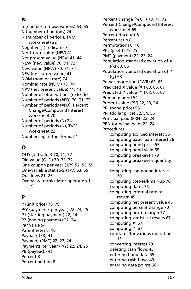### **N**

n (number of observations) [63,](#page-66-0) [65](#page-68-3) N (number of periods) [24](#page-27-2) N (number of periods, TVM worksheet) [22](#page-25-0) Negative (–) indicator [3](#page-6-4) Net future value (NFV) [41](#page-44-0) Net present value (NPV) [41](#page-44-0), [44](#page-47-1) NEW (new value) [70,](#page-73-0) [71,](#page-74-1) [72](#page-75-0) New value (NEW) [70,](#page-73-0) [71,](#page-74-1) [72](#page-75-0) NFV (net future value) [41](#page-44-0) NOM (nominal rate) [74](#page-77-0) Nominal rate (NOM) [73,](#page-76-0) [74](#page-77-0) NPV (net present value) [41](#page-44-1), [44](#page-47-1) Number of observations (n) [63,](#page-66-0) [65](#page-68-3) Number of periods (#PD) [70](#page-73-1), [71](#page-74-1), [72](#page-75-0) Number of periods (#PD), Percent Change/Compound Interest worksheet [70](#page-73-0) Number of periods (N) [24](#page-27-2) Number of periods (N), TVM worksheet [22](#page-25-0) Number separators format [4](#page-7-0)

### **O**

OLD (old value) [70](#page-73-0), [71](#page-74-1), [72](#page-75-0) Old value (OLD) [70,](#page-73-0) [71,](#page-74-1) [72](#page-75-0) One coupon per year (1/Y) [52](#page-55-0), [53](#page-56-1), [55](#page-58-2) One-variable statistics (1-V) [63,](#page-66-0) [65](#page-68-2) Outflows [21](#page-24-2), [25](#page-28-0) Overview of calculator operation [1](#page-4-0)– [19](#page-22-0)

### **P**

P (unit price) [78](#page-81-0), [79](#page-82-0) P/Y (payments per year) [22,](#page-25-0) [24,](#page-27-3) [25](#page-28-1) P1 (starting payment) [22](#page-25-0), [24](#page-27-1) P2 (ending payment) [22,](#page-25-0) [24](#page-27-1) Par value [54](#page-57-1) Parentheses [8](#page-11-0), [10](#page-13-1) Payback (PB) [41](#page-44-0) Payment (PMT) [22,](#page-25-0) [23,](#page-26-0) [24](#page-27-2) Payments per year (P/Y) [22](#page-25-0), [24](#page-27-3), [25](#page-28-1) PB (payback) [41](#page-44-0) Percent [8](#page-11-0) Percent add-on [8](#page-11-0)

Percent change (%CH) [70,](#page-73-0) [71,](#page-74-1) [72](#page-75-0) Percent Change/Compound Interest worksheet [69](#page-72-0) Percent discount [8](#page-11-0) Percent ratio [8](#page-11-0) Permutations [8](#page-11-0), [10](#page-13-2) PFT (profit) [78](#page-81-0), [79](#page-82-0) PMT (payment) [22](#page-25-0), [23](#page-26-0), [24](#page-27-2) Population standard deviation of X  $((x)$  [63](#page-66-0), [65](#page-68-3) Population standard deviation of Y  $($ ( $v)$  [63](#page-66-0) Power regression (PWR) [63](#page-66-0), [65](#page-68-0) Predicted X value (X') [63,](#page-66-0) [65,](#page-68-4) [67](#page-70-0) Predicted Y value (Y') [63,](#page-66-0) [65,](#page-68-4) [67](#page-70-1) Premium bond [54](#page-57-2) Present value (PV) [22](#page-25-0), [23](#page-26-0), [24](#page-27-2) PRI (bond price) [56](#page-59-1) PRI (dollar price) [52](#page-55-0), [54,](#page-57-0) [55](#page-58-0) Principal paid (PRN) [22,](#page-25-0) [24](#page-27-4) PRN (principal paid) [22](#page-25-0), [24](#page-27-4) **Procedures** computing accrued interest [55](#page-58-3) computing basic loan interest [26](#page-29-0) computing bond price [55](#page-58-0) computing bond yield [55](#page-58-4) computing breakeven [79](#page-82-1) computing breakeven quantity [79](#page-82-0) computing compound interest [70](#page-73-1) computing cost-sell-markup [70](#page-73-1) computing dates [75](#page-78-0) computing internal rate of return [45](#page-48-1) computing net present value [45](#page-48-2) computing percent change [70](#page-73-1) computing profit margin [77](#page-80-2) computing statistical results [67](#page-70-2) computing X' [67](#page-70-3) computing Y' [67](#page-70-4) constants for various operations [13](#page-16-0) converting interest [73](#page-76-1) deleting cash flows [43](#page-46-1) entering bond data [55](#page-58-5) entering cash flows [43](#page-46-2) entering data points [66](#page-69-1)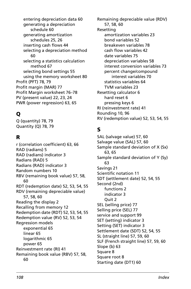entering depreciation data [60](#page-63-0) generating a depreciation schedule [60](#page-63-2) generating amortization schedules [25,](#page-28-2) [26](#page-29-1) inserting cash flows [44](#page-47-2) selecting a depreciation method [60](#page-63-1) selecting a statistics calculation method [67](#page-70-5) selecting bond settings [55](#page-58-2) using the memory worksheet [80](#page-83-1) Profit (PFT) [78](#page-81-0), [79](#page-82-0) Profit margin (MAR) [77](#page-80-1) Profit Margin worksheet [76](#page-79-1)[–78](#page-81-1) PV (present value) [22,](#page-25-0) [23,](#page-26-0) [24](#page-27-2) PWR (power regression) [63](#page-66-0), [65](#page-68-0)

# **Q**

Q (quantity) [78](#page-81-0), [79](#page-82-0) Quantity (Q) [78,](#page-81-0) [79](#page-82-0)

### **R**

r (correlation coefficient) [63](#page-66-0), [66](#page-69-2) RAD (radians) [5](#page-8-0) RAD (radians) indicator [3](#page-6-5) Radians (RAD) [5](#page-8-0) Radians (RAD) indicator [3](#page-6-5) Random numbers [10](#page-13-3) RBV (remaining book value) [57](#page-60-0), [58,](#page-61-0) [60](#page-63-3) RDT (redemption date) [52](#page-55-0), [53,](#page-56-2) [54,](#page-57-3) [55](#page-58-5) RDV (remaining depreciable value) [57](#page-60-0), [58](#page-61-0), [60](#page-63-3) Reading the display [2](#page-5-0) Recalling from memory [12](#page-15-0) Redemption date (RDT) [52,](#page-55-0) [53](#page-56-2), [54,](#page-57-3) [55](#page-58-5) Redemption value (RV) [52](#page-55-0), [53](#page-56-3), [54](#page-57-4) Regression models exponential [65](#page-68-0) linear [65](#page-68-0) logarithmic [65](#page-68-0) power [65](#page-68-0) Reinvestment rate (RI) [41](#page-44-1) Remaining book value (RBV) [57,](#page-60-0) [58,](#page-61-0) [60](#page-63-3)

Remaining depreciable value (RDV) [57](#page-60-0), [58](#page-61-0), [60](#page-63-3) Resetting amortization variables [23](#page-26-2) bond variables [52](#page-55-2) breakeven variables [78](#page-81-2) cash flow variables [42](#page-45-0) date variables [75](#page-78-1) depreciation variables [58](#page-61-1) interest conversion variables [73](#page-76-2) percent change/compound interest variables [70](#page-73-2) statistics variables [64](#page-67-0) TVM variables [23](#page-26-2) Resetting calculator [6](#page-9-1) hard reset [6](#page-9-0) pressing keys [6](#page-9-1) RI (reinvestment rate) [41](#page-44-1) Rounding [10,](#page-13-4) [96](#page-99-0) RV (redemption value) [52](#page-55-0), [53](#page-56-3), [54](#page-57-4), [55](#page-58-5)

# **S**

SAL (salvage value) [57,](#page-60-0) [60](#page-63-0) Salvage value (SAL) [57,](#page-60-0) [60](#page-63-0) Sample standard deviation of X (Sx) [63](#page-66-0), [65](#page-68-3) Sample standard deviation of Y (Sy) [63](#page-66-0) Savings [21](#page-24-1) Scientific notation [11](#page-14-0) SDT (settlement date) [52](#page-55-0), [54,](#page-57-5) [55](#page-58-5) Second (2nd) functions [2](#page-5-1) indicator [3](#page-6-6) Quit [2](#page-5-2) SEL (selling price) [77](#page-80-1) Selling price (SEL) [77](#page-80-1) service and support [99](#page-102-0) SET (setting) indicator [3](#page-6-7) Setting (SET) indicator [3](#page-6-7) Settlement date (SDT) [52](#page-55-0), [54,](#page-57-5) [55](#page-58-5) SL (straight line) [57](#page-60-0), [59](#page-62-0), [60](#page-63-1) SLF (French straight line) [57](#page-60-0), [59](#page-62-0), [60](#page-63-1) Slope (b) [63](#page-66-0) Square [8](#page-11-0) Square root [8](#page-11-0) Starting date (DT1) [60](#page-63-0)